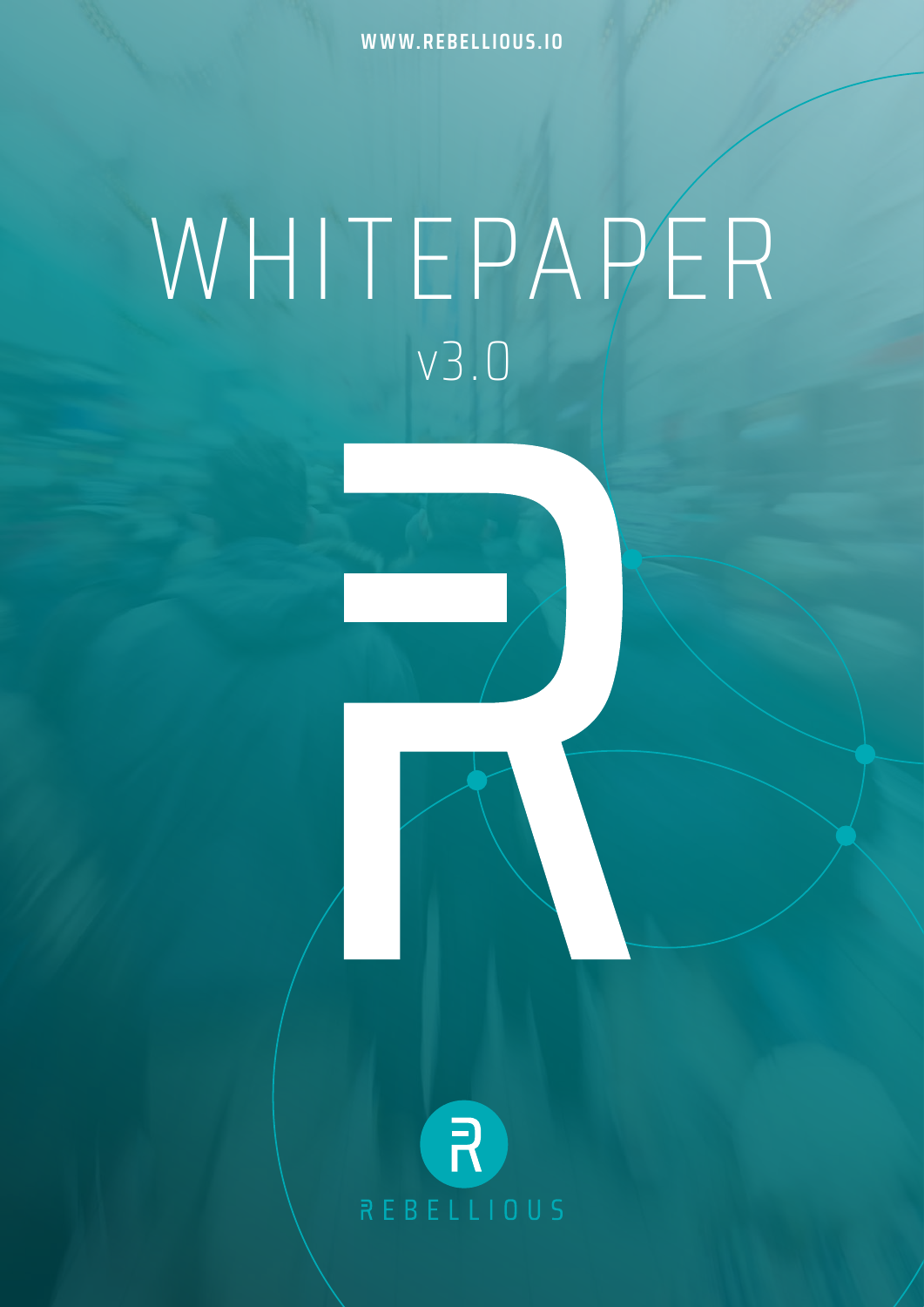**WWW.REBELLIOUS.IO**

### WHITEPAPER v3.0

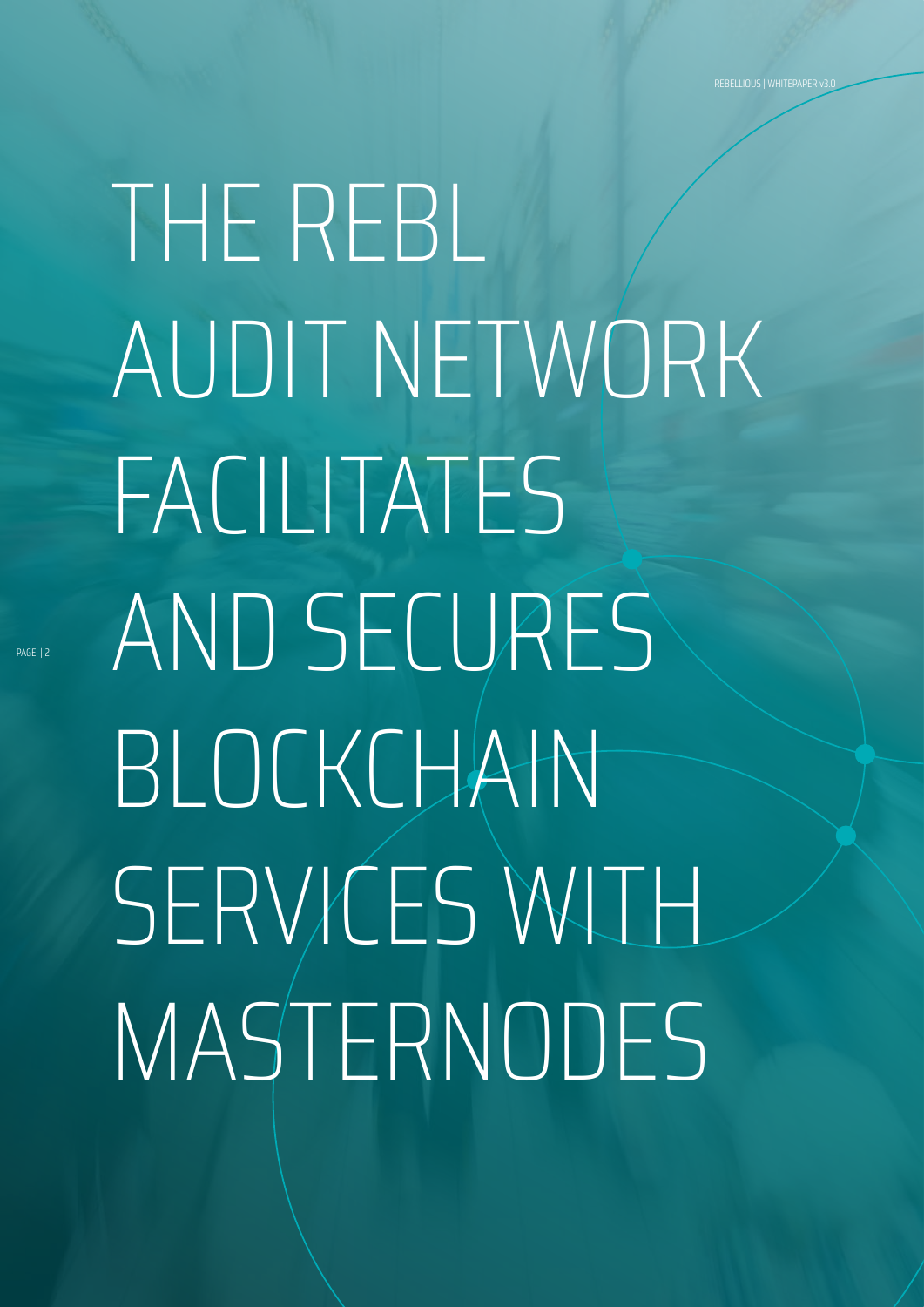# THE REBL AUDIT NETWORK FACILITATES AND SECURES BLOCKCHAIN SERVICES WITH MASTERNODES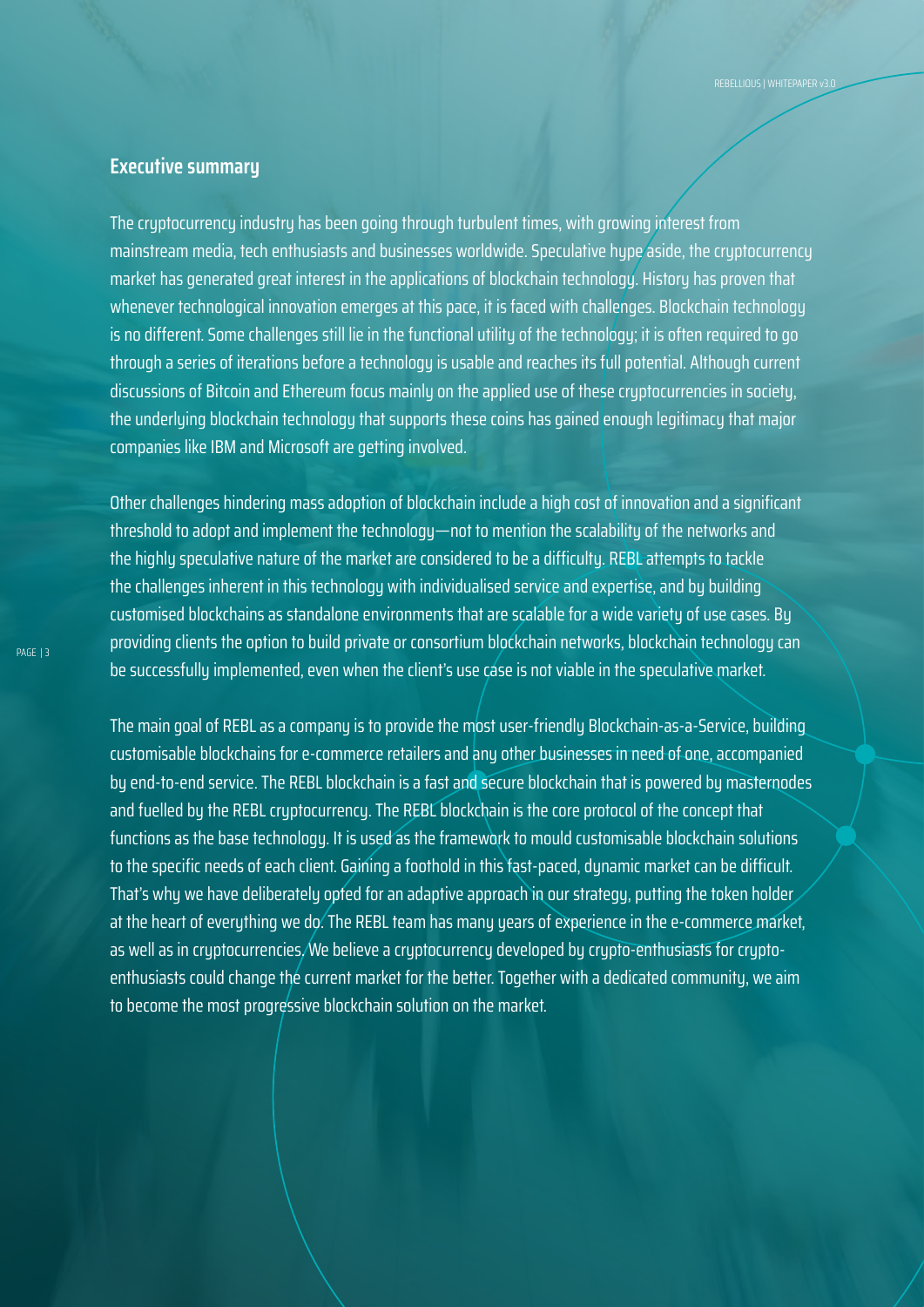### **Executive summary**

The cryptocurrency industry has been going through turbulent times, with growing interest from mainstream media, tech enthusiasts and businesses worldwide. Speculative hupe aside, the cruptocurrencu market has generated great interest in the applications of blockchain technology. History has proven that whenever technological innovation emerges at this pace, it is faced with challenges. Blockchain technology is no different. Some challenges still lie in the functional utility of the technology; it is often required to go through a series of iterations before a technology is usable and reaches its full potential. Although current discussions of Bitcoin and Ethereum focus mainly on the applied use of these cryptocurrencies in society, the underlying blockchain technology that supports these coins has gained enough legitimacy that major companies like IBM and Microsoft are getting involved.

Other challenges hindering mass adoption of blockchain include a high cost of innovation and a significant threshold to adopt and implement the technology—not to mention the scalability of the networks and the highly speculative nature of the market are considered to be a difficulty. REBL attempts to tackle the challenges inherent in this technology with individualised service and expertise, and by building customised blockchains as standalone environments that are scalable for a wide variety of use cases. By providing clients the option to build private or consortium blockchain networks, blockchain technology can be successfully implemented, even when the client's use case is not viable in the speculative market.

The main goal of REBL as a company is to provide the most user-friendly Blockchain-as-a-Service, building customisable blockchains for e-commerce retailers and any other businesses in need of one, accompanied by end-to-end service. The REBL blockchain is a fast and secure blockchain that is powered by masternodes and fuelled by the REBL cryptocurrency. The REBL blockchain is the core protocol of the concept that functions as the base technology. It is used as the framework to mould customisable blockchain solutions to the specific needs of each client. Gaining a foothold in this fast-paced, dynamic market can be difficult. That's why we have deliberately opfed for an adaptive approach in our strategy, putting the token holder at the heart of everything we do. The REBL team has many years of experience in the e-commerce market, as well as in cryptocurrencies. We believe a cryptocurrency developed by crypto-enthusiasts for cryptoenthusiasts could change the current market for the better. Together with a dedicated community, we aim to become the most progressive blockchain solution on the market.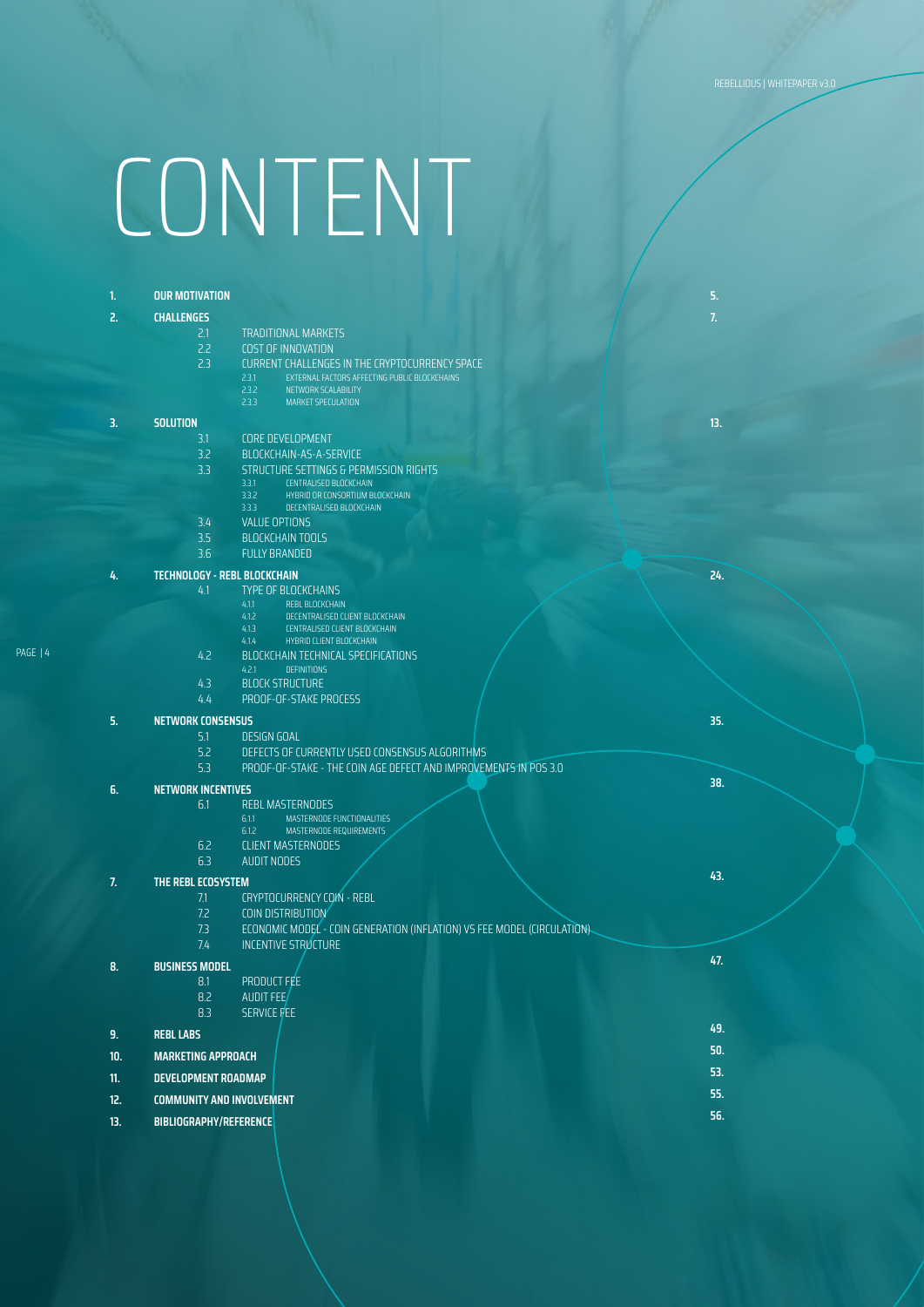### CONTENT

PAGE | 4

| 1.  | <b>OUR MOTIVATION</b>               |                                                                                                          | 5.  |
|-----|-------------------------------------|----------------------------------------------------------------------------------------------------------|-----|
| 2.  | <b>CHALLENGES</b>                   |                                                                                                          | 7.  |
|     | 2.1                                 | <b>TRADITIONAL MARKETS</b>                                                                               |     |
|     | 2.2                                 | <b>COST OF INNOVATION</b>                                                                                |     |
|     | 2.3                                 | CURRENT CHALLENGES IN THE CRYPTOCURRENCY SPACE<br>EXTERNAL FACTORS AFFECTING PUBLIC BLOCKCHAINS<br>2.3.1 |     |
|     |                                     | 2.3.2<br>NETWORK SCALABILITY                                                                             |     |
|     |                                     | 2.3.3<br><b>MARKET SPECULATION</b>                                                                       |     |
| 3.  | <b>SOLUTION</b>                     |                                                                                                          | 13. |
|     | 3.1                                 | <b>CORE DEVELOPMENT</b>                                                                                  |     |
|     | 3.2                                 | BLOCKCHAIN-AS-A-SERVICE                                                                                  |     |
|     | 3.3                                 | STRUCTURE SETTINGS & PERMISSION RIGHTS<br>3.3.1<br>CENTRALISED BLOCKCHAIN                                |     |
|     |                                     | 3.3.2<br>HYBRID OR CONSORTIUM BLOCKCHAIN                                                                 |     |
|     |                                     | 3.3.3<br>DECENTRALISED BLOCKCHAIN                                                                        |     |
|     | 3.4<br>3.5                          | <b>VALUE OPTIONS</b><br><b>BLOCKCHAIN TOOLS</b>                                                          |     |
|     | 3.6                                 | <b>FULLY BRANDED</b>                                                                                     |     |
|     |                                     |                                                                                                          | 24. |
| 4.  | <b>TECHNOLOGY - REBL BLOCKCHAIN</b> |                                                                                                          |     |
|     | 4.1                                 | <b>TYPE OF BLOCKCHAINS</b><br>4.1.1<br>REBL BLOCKCHAIN                                                   |     |
|     |                                     | 4.1.2<br>DECENTRALISED CLIENT BLOCKCHAIN                                                                 |     |
|     |                                     | 4.1.3<br>CENTRALISED CLIENT BLOCKCHAIN<br>HYBRID CLIENT BLOCKCHAIN<br>4.1.4                              |     |
|     | 4.2                                 | BLOCKCHAIN TECHNICAL SPECIFICATIONS                                                                      |     |
|     |                                     | 4.2.1<br><b>DEFINITIONS</b>                                                                              |     |
|     | 4.3                                 | <b>BLOCK STRUCTURE</b>                                                                                   |     |
|     | 4.4                                 | PROOF-OF-STAKE PROCESS                                                                                   |     |
| 5.  | <b>NETWORK CONSENSUS</b>            |                                                                                                          | 35. |
|     | 5.1<br>5.2                          | <b>DESIGN GOAL</b><br>DEFECTS OF CURRENTLY USED CONSENSUS ALGORITHMS                                     |     |
|     | 5.3                                 | PROOF-OF-STAKE - THE COIN AGE DEFECT AND IMPROVEMENTS IN POS 3.0                                         |     |
|     |                                     |                                                                                                          | 38. |
| 6.  | <b>NETWORK INCENTIVES</b><br>6.1    | <b>REBL MASTERNODES</b>                                                                                  |     |
|     |                                     | 6.1.1<br>MASTERNODE FUNCTIONALITIES                                                                      |     |
|     |                                     | MASTERNODE REQUIREMENTS<br>6.1.2                                                                         |     |
|     | 6.2                                 | <b>CLIENT MASTERNODES</b>                                                                                |     |
|     | 6.3                                 | <b>AUDIT NODES</b>                                                                                       | 43. |
| 7.  | THE REBL ECOSYSTEM                  |                                                                                                          |     |
|     | 7.1<br>7.2                          | CRYPTOCURRENCY COIN - REBL<br>COIN DISTRIBUTION                                                          |     |
|     | 7.3                                 | ECONOMIC MODEL - COIN GENERATION (INFLATION) VS FEE MODEL (CIRCULATION).                                 |     |
|     | 7.4                                 | INCENTIVE STRUCTURE                                                                                      |     |
| 8.  | <b>BUSINESS MODEL</b>               |                                                                                                          | 47. |
|     | 8.1                                 | PRODUCT FEE                                                                                              |     |
|     | 8.2                                 | AUDIT FEE                                                                                                |     |
|     | 8.3                                 | SERVICE FEE                                                                                              |     |
| 9.  | <b>REBL LABS</b>                    |                                                                                                          | 49. |
| 10. | <b>MARKETING APPROACH</b>           |                                                                                                          | 50. |
| 11. | <b>DEVELOPMENT ROADMAP</b>          |                                                                                                          | 53. |
| 12. | <b>COMMUNITY AND INVOLVEMENT</b>    |                                                                                                          |     |
| 13. | BIBLIOGRAPHY/REFERENCE              |                                                                                                          | 56. |
|     |                                     |                                                                                                          |     |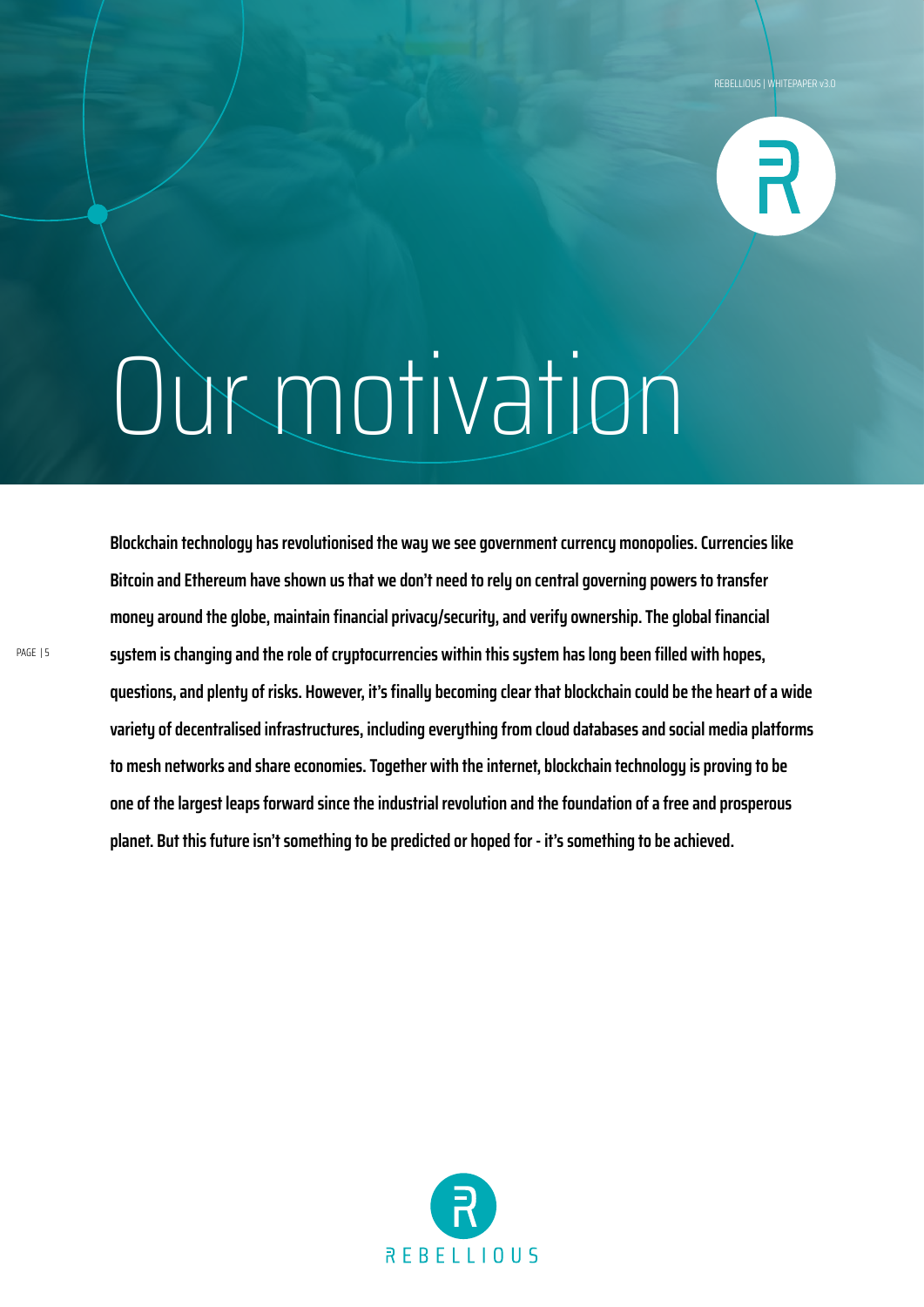

### Our motivation

**Blockchain technology has revolutionised the way we see government currency monopolies. Currencies like Bitcoin and Ethereum have shown us that we don't need to rely on central governing powers to transfer money around the globe, maintain financial privacy/security, and verify ownership. The global financial system is changing and the role of cryptocurrencies within this system has long been filled with hopes, questions, and plenty of risks. However, it's finally becoming clear that blockchain could be the heart of a wide variety of decentralised infrastructures, including everything from cloud databases and social media platforms to mesh networks and share economies. Together with the internet, blockchain technology is proving to be one of the largest leaps forward since the industrial revolution and the foundation of a free and prosperous planet. But this future isn't something to be predicted or hoped for - it's something to be achieved.**

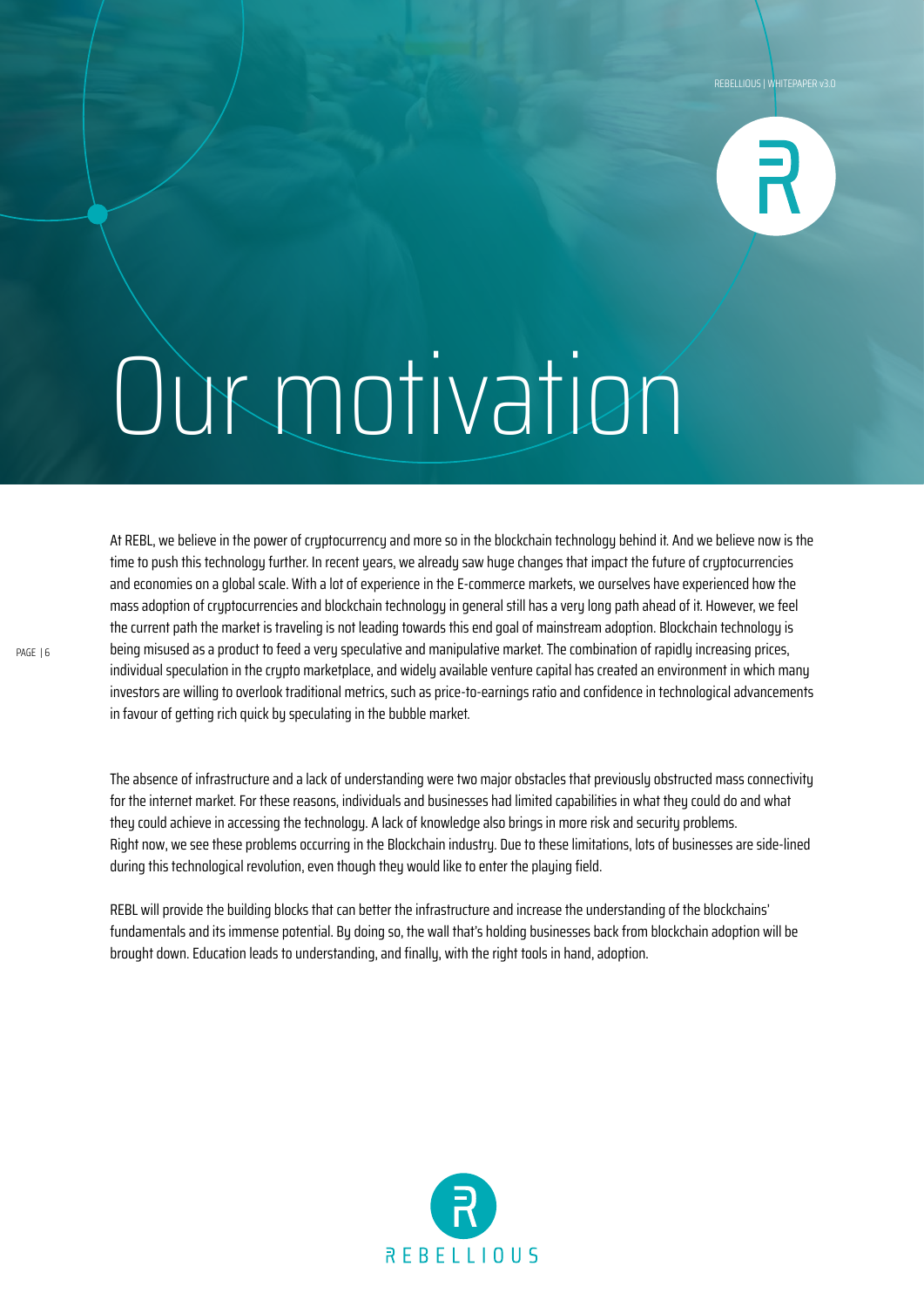

### Our motivation

At REBL, we believe in the power of cryptocurrency and more so in the blockchain technology behind it. And we believe now is the time to push this technology further. In recent years, we already saw huge changes that impact the future of cryptocurrencies and economies on a global scale. With a lot of experience in the E-commerce markets, we ourselves have experienced how the mass adoption of cryptocurrencies and blockchain technology in general still has a very long path ahead of it. However, we feel the current path the market is traveling is not leading towards this end goal of mainstream adoption. Blockchain technology is being misused as a product to feed a very speculative and manipulative market. The combination of rapidly increasing prices, individual speculation in the crypto marketplace, and widely available venture capital has created an environment in which many investors are willing to overlook traditional metrics, such as price-to-earnings ratio and confidence in technological advancements in favour of getting rich quick by speculating in the bubble market.

The absence of infrastructure and a lack of understanding were two major obstacles that previously obstructed mass connectivity for the internet market. For these reasons, individuals and businesses had limited capabilities in what they could do and what they could achieve in accessing the technology. A lack of knowledge also brings in more risk and security problems. Right now, we see these problems occurring in the Blockchain industry. Due to these limitations, lots of businesses are side-lined during this technological revolution, even though they would like to enter the playing field.

REBL will provide the building blocks that can better the infrastructure and increase the understanding of the blockchains' fundamentals and its immense potential. By doing so, the wall that's holding businesses back from blockchain adoption will be brought down. Education leads to understanding, and finally, with the right tools in hand, adoption.

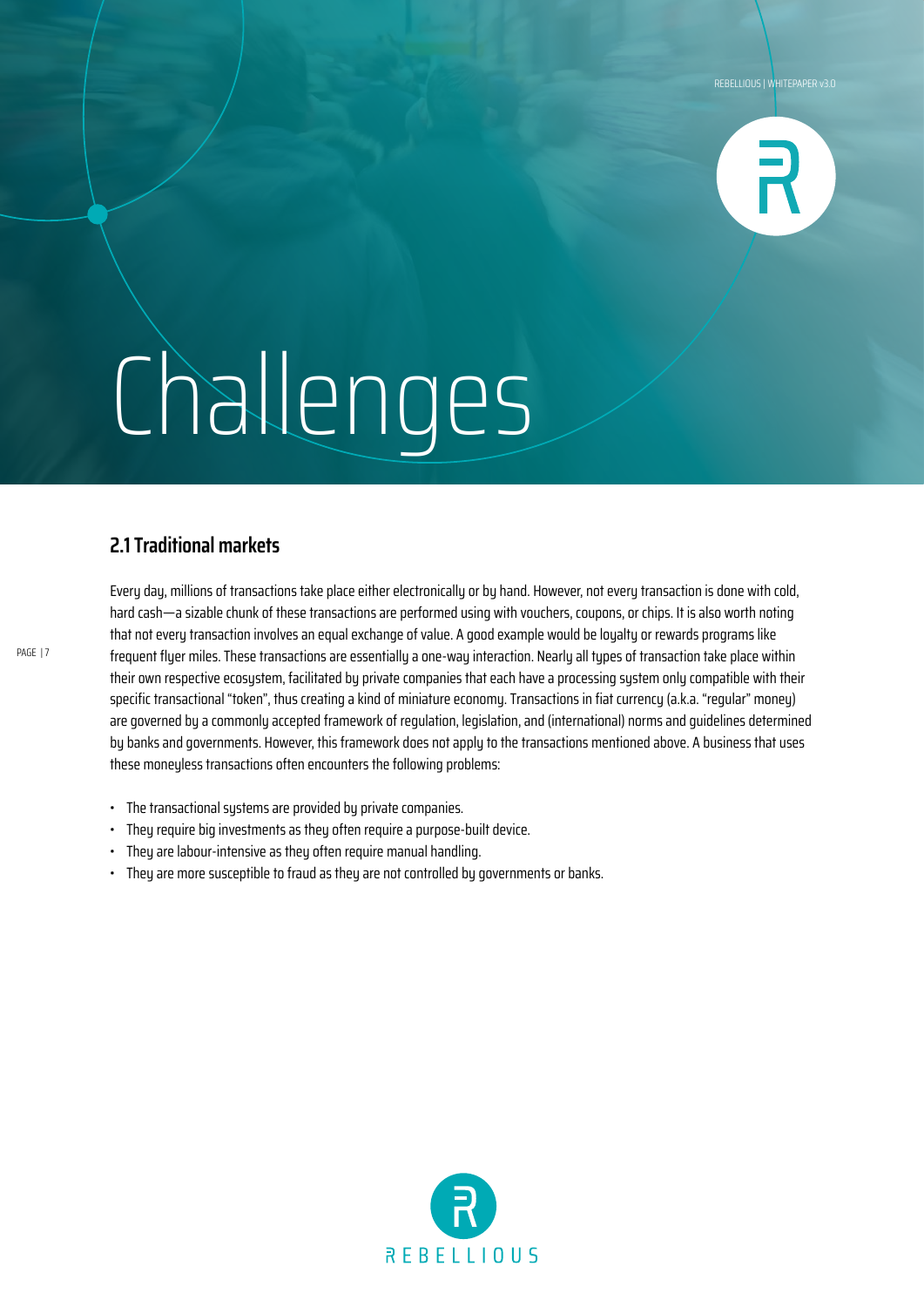

### **2.1 Traditional markets**

Every day, millions of transactions take place either electronically or by hand. However, not every transaction is done with cold, hard cash—a sizable chunk of these transactions are performed using with vouchers, coupons, or chips. It is also worth noting that not every transaction involves an equal exchange of value. A good example would be loyalty or rewards programs like frequent fluer miles. These transactions are essentially a one-way interaction. Nearly all types of transaction take place within their own respective ecosystem, facilitated by private companies that each have a processing system only compatible with their specific transactional "token", thus creating a kind of miniature economy. Transactions in fiat currency (a.k.a. "regular" money) are governed by a commonly accepted framework of regulation, legislation, and (international) norms and guidelines determined by banks and governments. However, this framework does not apply to the transactions mentioned above. A business that uses these moneyless transactions often encounters the following problems:

- The transactional systems are provided by private companies.
- They require big investments as they often require a purpose-built device.
- They are labour-intensive as they often require manual handling.
- They are more susceptible to fraud as they are not controlled by governments or banks.

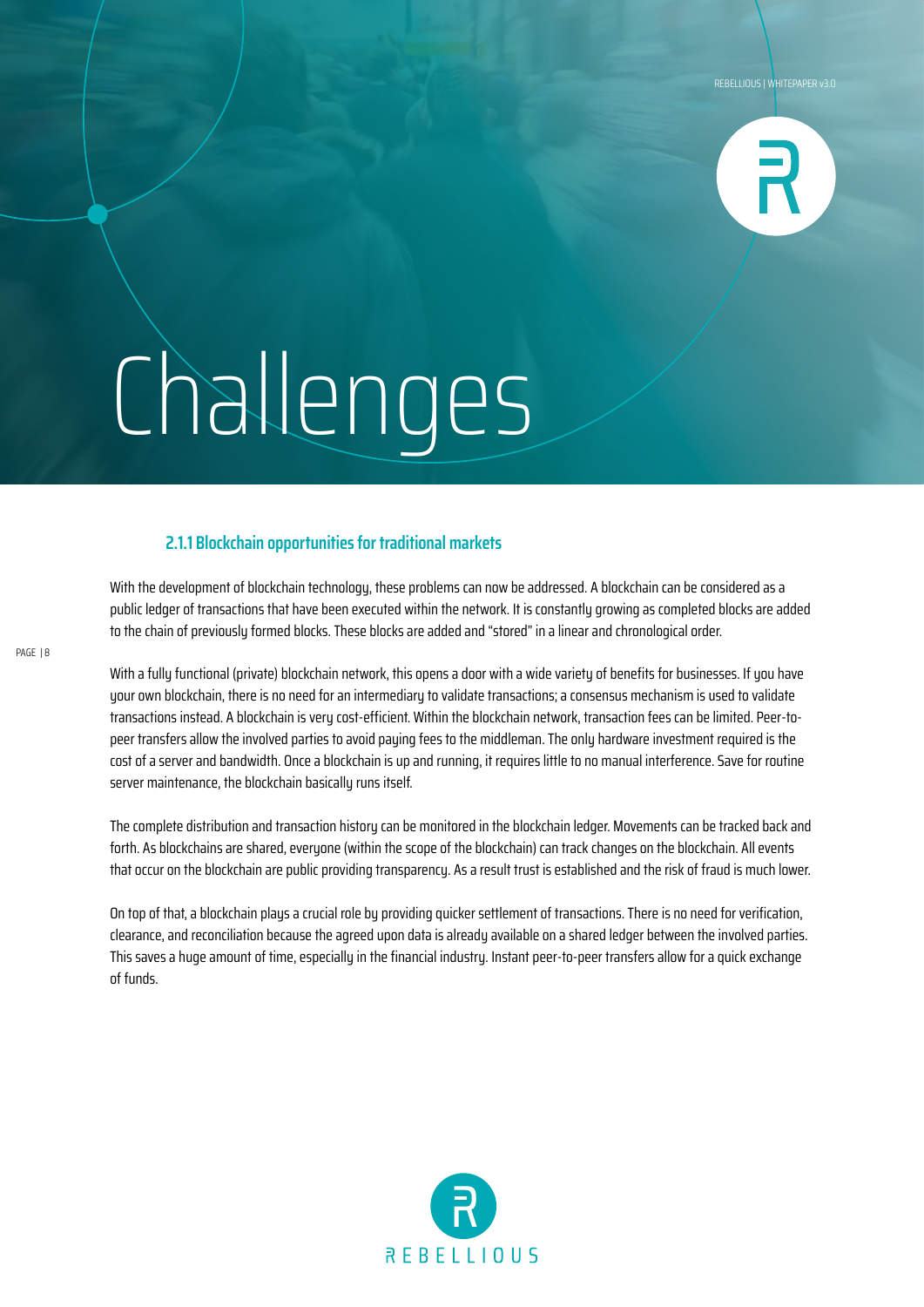

#### **2.1.1 Blockchain opportunities for traditional markets**

With the development of blockchain technology, these problems can now be addressed. A blockchain can be considered as a public ledger of transactions that have been executed within the network. It is constantly growing as completed blocks are added to the chain of previously formed blocks. These blocks are added and "stored" in a linear and chronological order.

With a fully functional (private) blockchain network, this opens a door with a wide variety of benefits for businesses. If you have your own blockchain, there is no need for an intermediary to validate transactions; a consensus mechanism is used to validate transactions instead. A blockchain is very cost-efficient. Within the blockchain network, transaction fees can be limited. Peer-topeer transfers allow the involved parties to avoid paying fees to the middleman. The only hardware investment required is the cost of a server and bandwidth. Once a blockchain is up and running, it requires little to no manual interference. Save for routine server maintenance, the blockchain basically runs itself.

The complete distribution and transaction history can be monitored in the blockchain ledger. Movements can be tracked back and forth. As blockchains are shared, everyone (within the scope of the blockchain) can track changes on the blockchain. All events that occur on the blockchain are public providing transparency. As a result trust is established and the risk of fraud is much lower.

On top of that, a blockchain plays a crucial role by providing quicker settlement of transactions. There is no need for verification, clearance, and reconciliation because the agreed upon data is already available on a shared ledger between the involved parties. This saves a huge amount of time, especially in the financial industry. Instant peer-to-peer transfers allow for a quick exchange of funds.

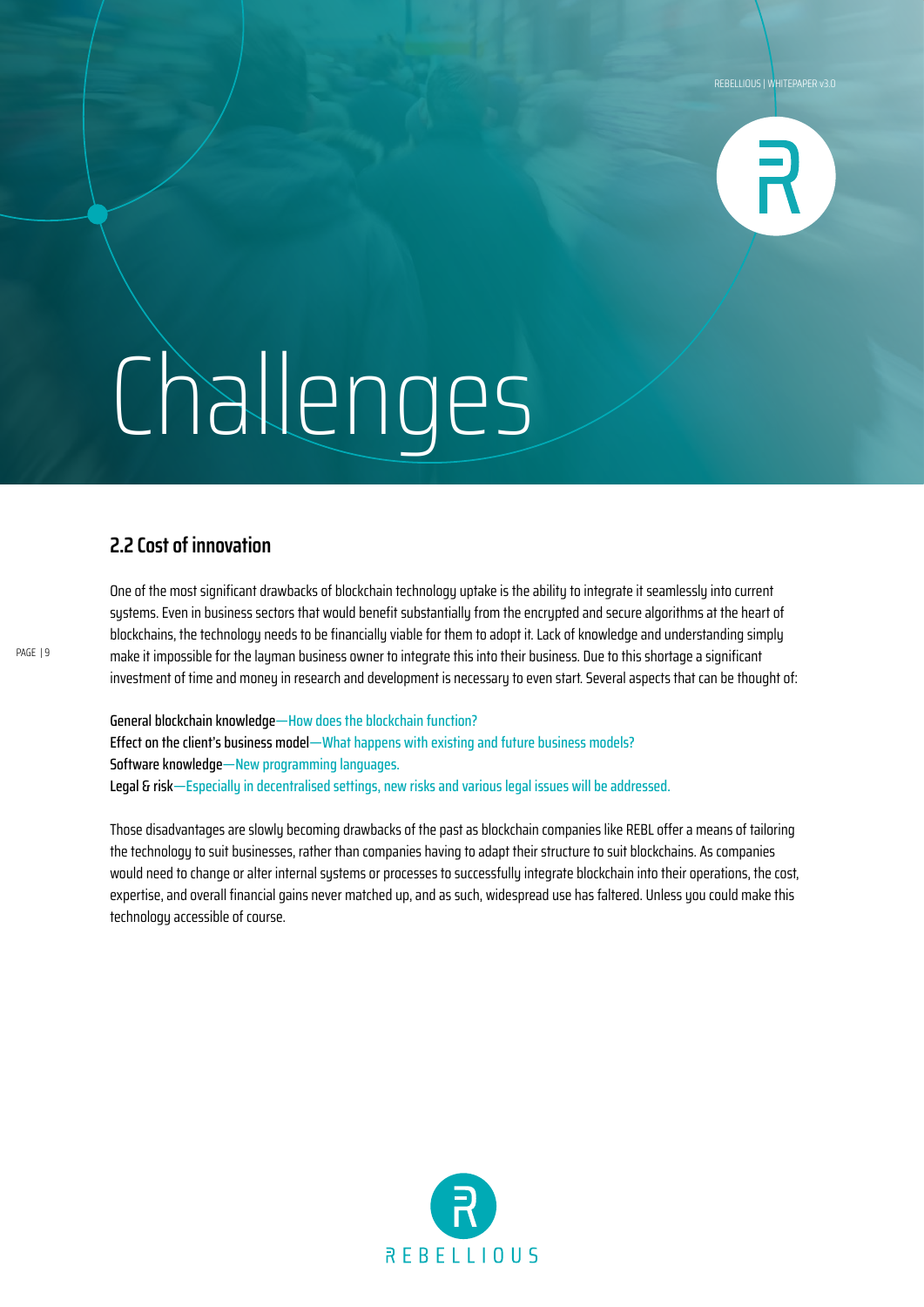

### **2.2 Cost of innovation**

One of the most significant drawbacks of blockchain technology uptake is the ability to integrate it seamlessly into current systems. Even in business sectors that would benefit substantially from the encrypted and secure algorithms at the heart of blockchains, the technology needs to be financially viable for them to adopt it. Lack of knowledge and understanding simply make it impossible for the layman business owner to integrate this into their business. Due to this shortage a significant investment of time and money in research and development is necessary to even start. Several aspects that can be thought of:

General blockchain knowledge—How does the blockchain function? Effect on the client's business model—What happens with existing and future business models? Software knowledge—New programming languages. Legal & risk—Especially in decentralised settings, new risks and various legal issues will be addressed.

Those disadvantages are slowly becoming drawbacks of the past as blockchain companies like REBL offer a means of tailoring the technology to suit businesses, rather than companies having to adapt their structure to suit blockchains. As companies would need to change or alter internal systems or processes to successfully integrate blockchain into their operations, the cost, expertise, and overall financial gains never matched up, and as such, widespread use has faltered. Unless you could make this technology accessible of course.

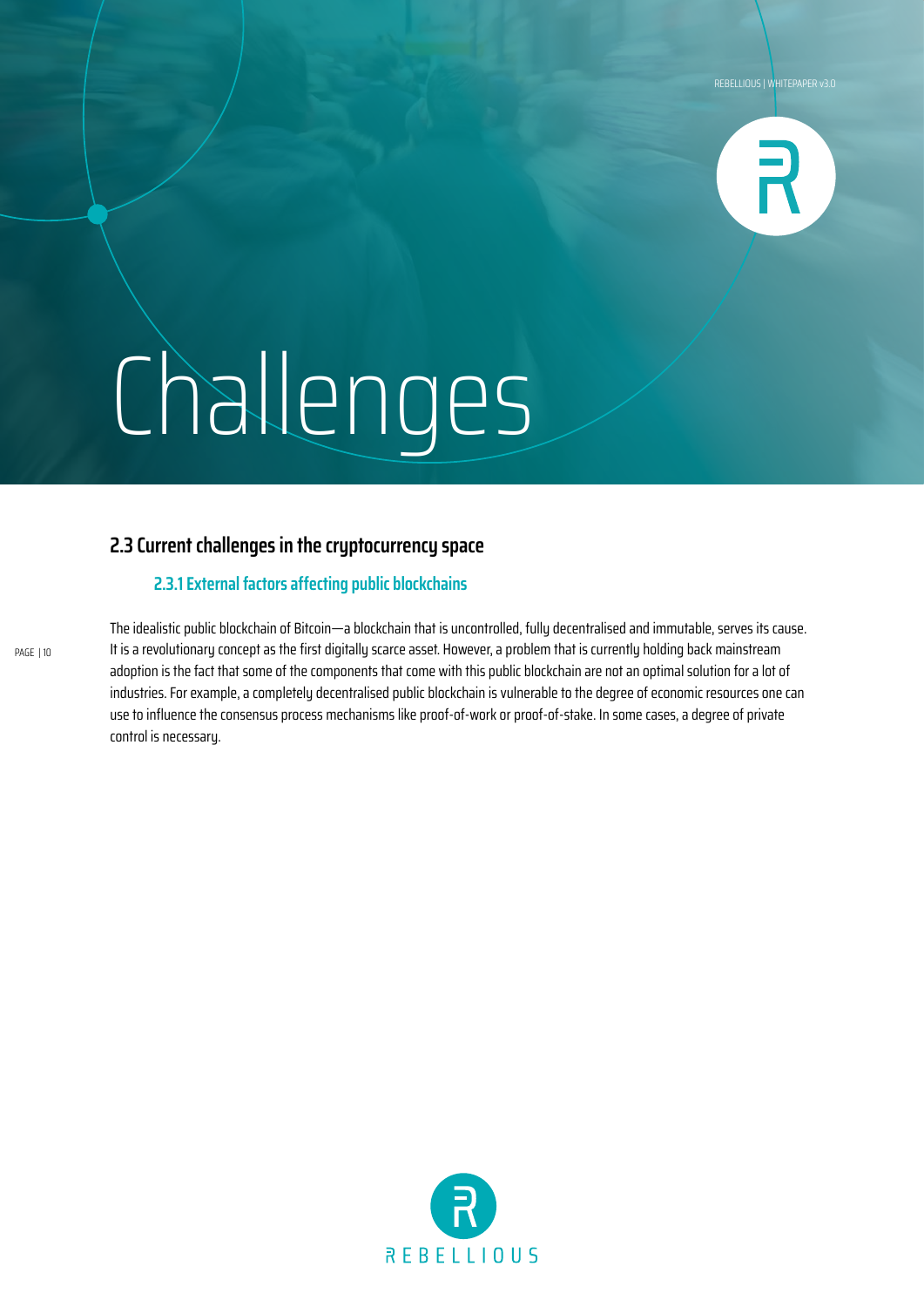

### **2.3 Current challenges in the cryptocurrency space**

### **2.3.1 External factors affecting public blockchains**

The idealistic public blockchain of Bitcoin—a blockchain that is uncontrolled, fully decentralised and immutable, serves its cause. It is a revolutionary concept as the first digitally scarce asset. However, a problem that is currently holding back mainstream adoption is the fact that some of the components that come with this public blockchain are not an optimal solution for a lot of industries. For example, a completely decentralised public blockchain is vulnerable to the degree of economic resources one can use to influence the consensus process mechanisms like proof-of-work or proof-of-stake. In some cases, a degree of private control is necessary.

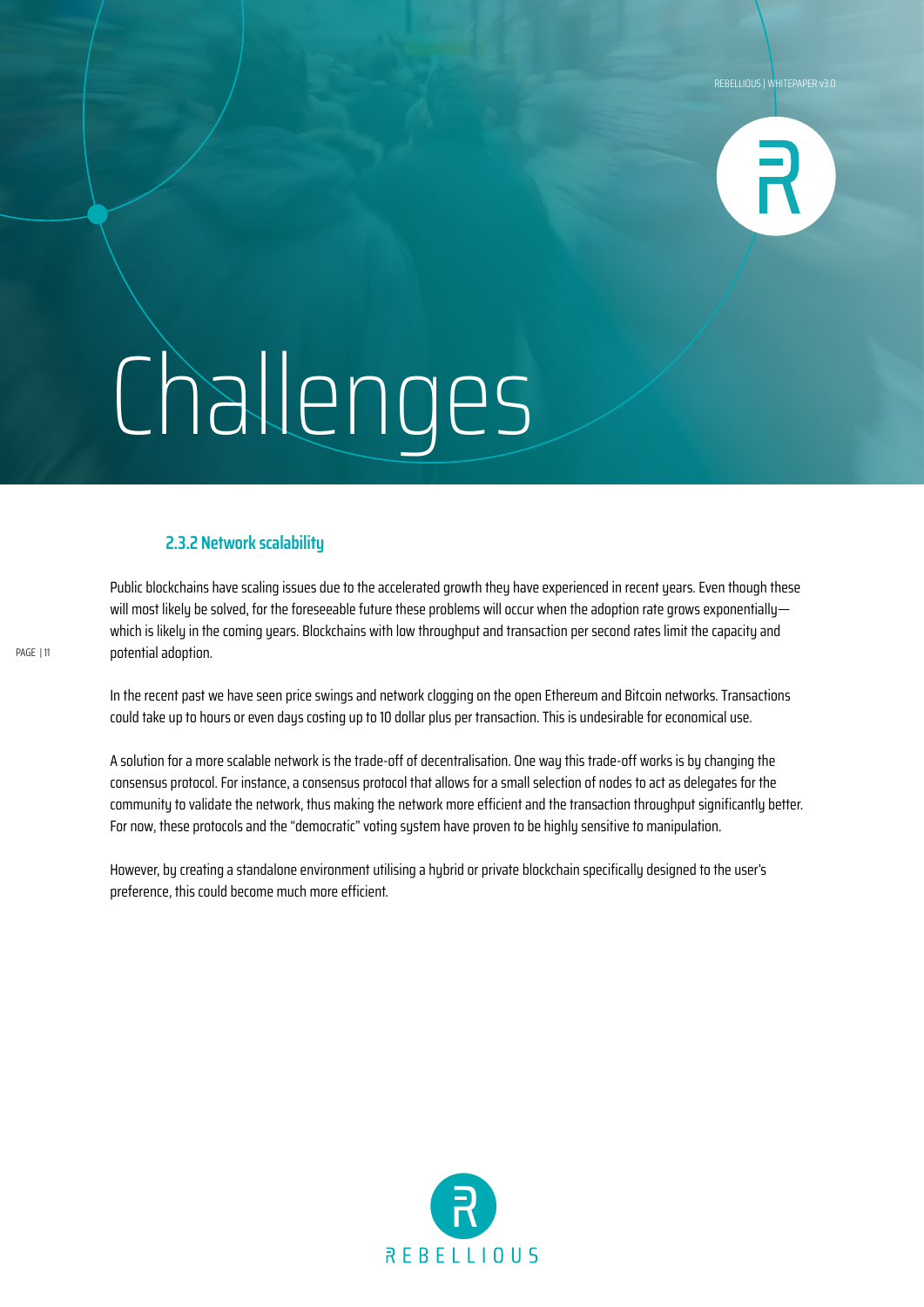

### **2.3.2 Network scalability**

Public blockchains have scaling issues due to the accelerated growth they have experienced in recent years. Even though these will most likely be solved, for the foreseeable future these problems will occur when the adoption rate grows exponentially which is likely in the coming years. Blockchains with low throughput and transaction per second rates limit the capacity and potential adoption.

In the recent past we have seen price swings and network clogging on the open Ethereum and Bitcoin networks. Transactions could take up to hours or even days costing up to 10 dollar plus per transaction. This is undesirable for economical use.

A solution for a more scalable network is the trade-off of decentralisation. One way this trade-off works is by changing the consensus protocol. For instance, a consensus protocol that allows for a small selection of nodes to act as delegates for the community to validate the network, thus making the network more efficient and the transaction throughput significantly better. For now, these protocols and the "democratic" voting system have proven to be highly sensitive to manipulation.

However, by creating a standalone environment utilising a hybrid or private blockchain specifically designed to the user's preference, this could become much more efficient.

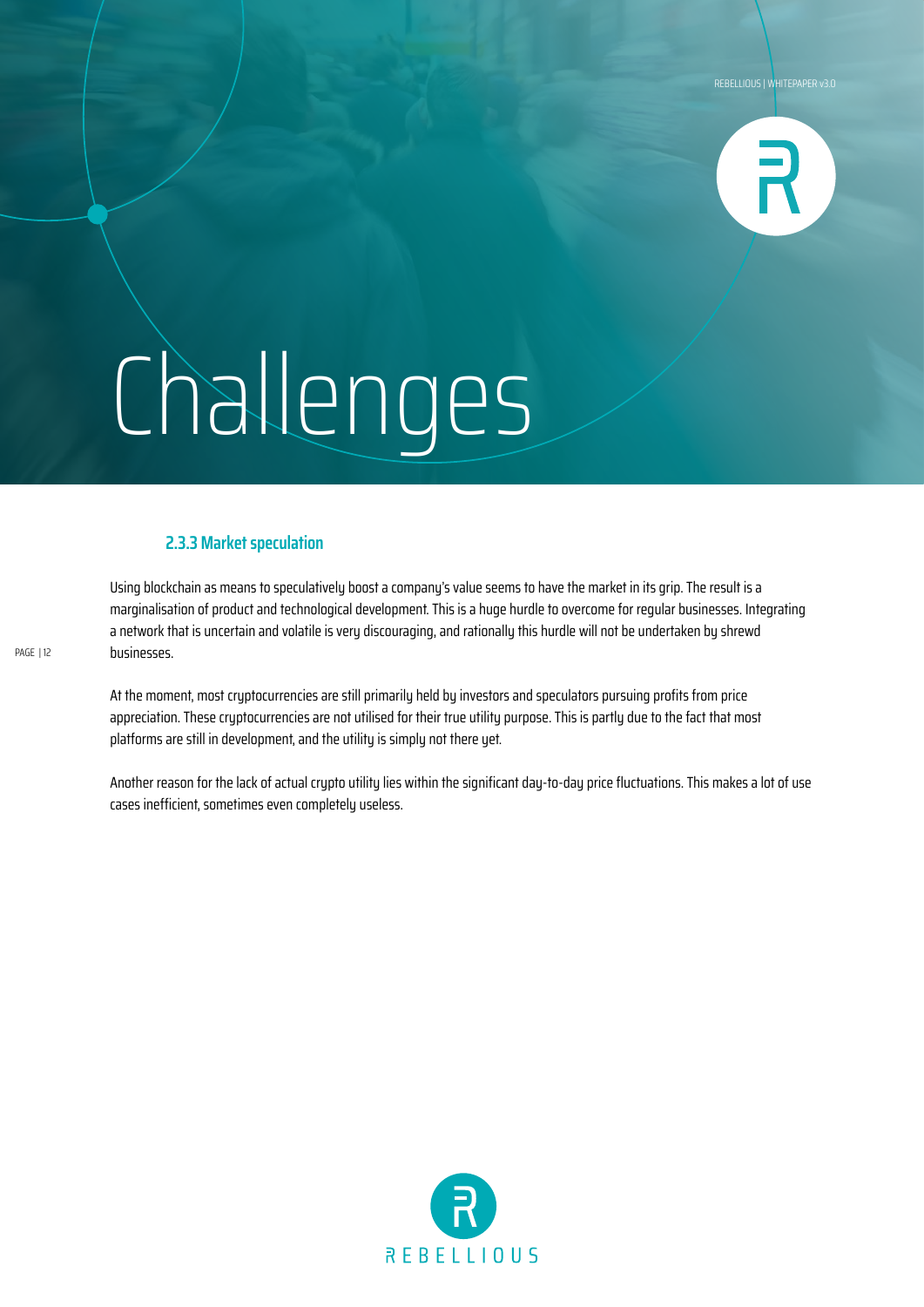

#### **2.3.3 Market speculation**

Using blockchain as means to speculatively boost a company's value seems to have the market in its grip. The result is a marginalisation of product and technological development. This is a huge hurdle to overcome for regular businesses. Integrating a network that is uncertain and volatile is very discouraging, and rationally this hurdle will not be undertaken by shrewd businesses.

At the moment, most cryptocurrencies are still primarily held by investors and speculators pursuing profits from price appreciation. These cryptocurrencies are not utilised for their true utility purpose. This is partly due to the fact that most platforms are still in development, and the utility is simply not there yet.

Another reason for the lack of actual crypto utility lies within the significant day-to-day price fluctuations. This makes a lot of use cases inefficient, sometimes even completely useless.

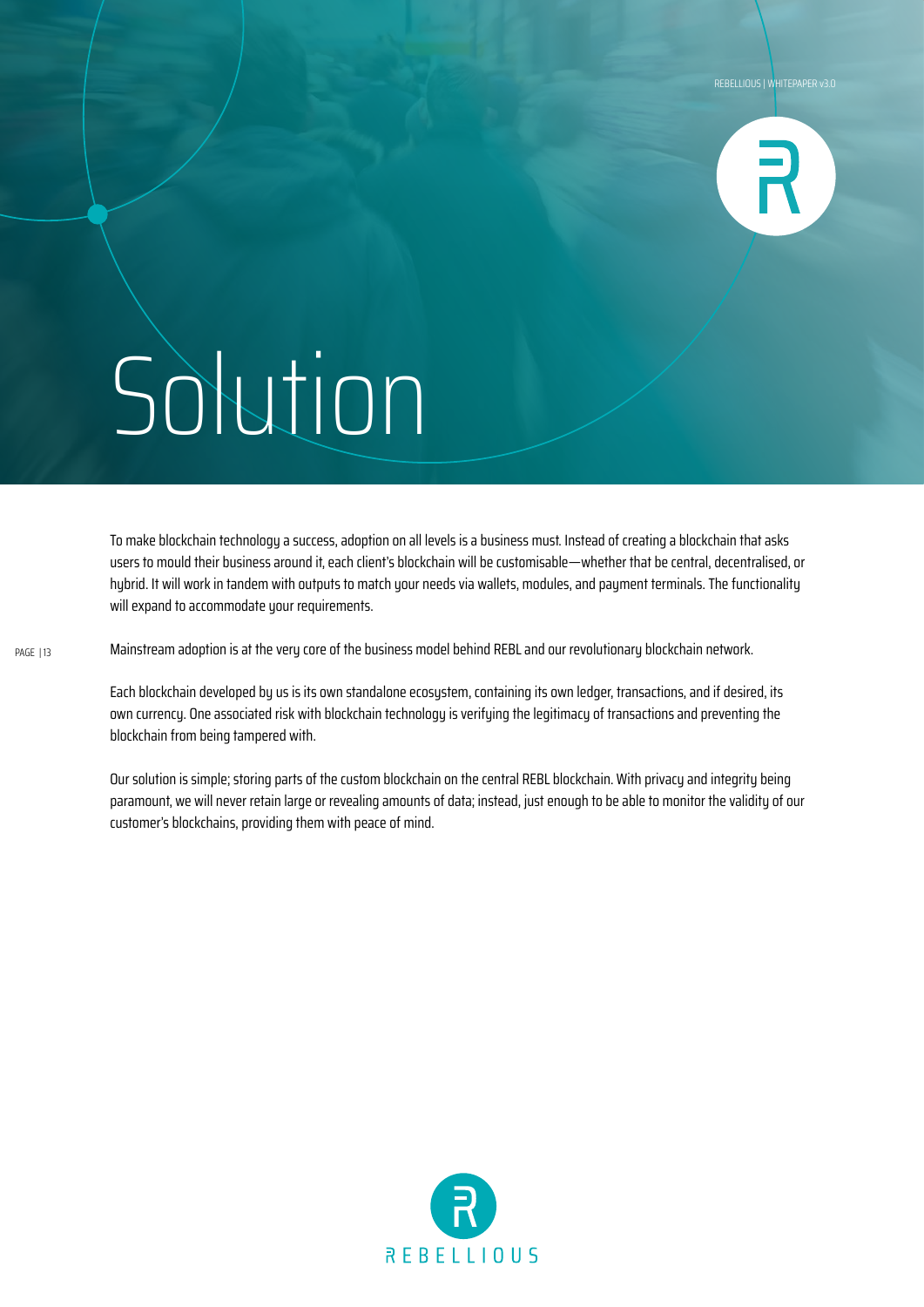

To make blockchain technology a success, adoption on all levels is a business must. Instead of creating a blockchain that asks users to mould their business around it, each client's blockchain will be customisable—whether that be central, decentralised, or hybrid. It will work in tandem with outputs to match your needs via wallets, modules, and payment terminals. The functionality will expand to accommodate your requirements.

Mainstream adoption is at the very core of the business model behind REBL and our revolutionary blockchain network.

Each blockchain developed by us is its own standalone ecosystem, containing its own ledger, transactions, and if desired, its own currency. One associated risk with blockchain technology is verifying the legitimacy of transactions and preventing the blockchain from being tampered with.

Our solution is simple; storing parts of the custom blockchain on the central REBL blockchain. With privacy and integrity being paramount, we will never retain large or revealing amounts of data; instead, just enough to be able to monitor the validity of our customer's blockchains, providing them with peace of mind.

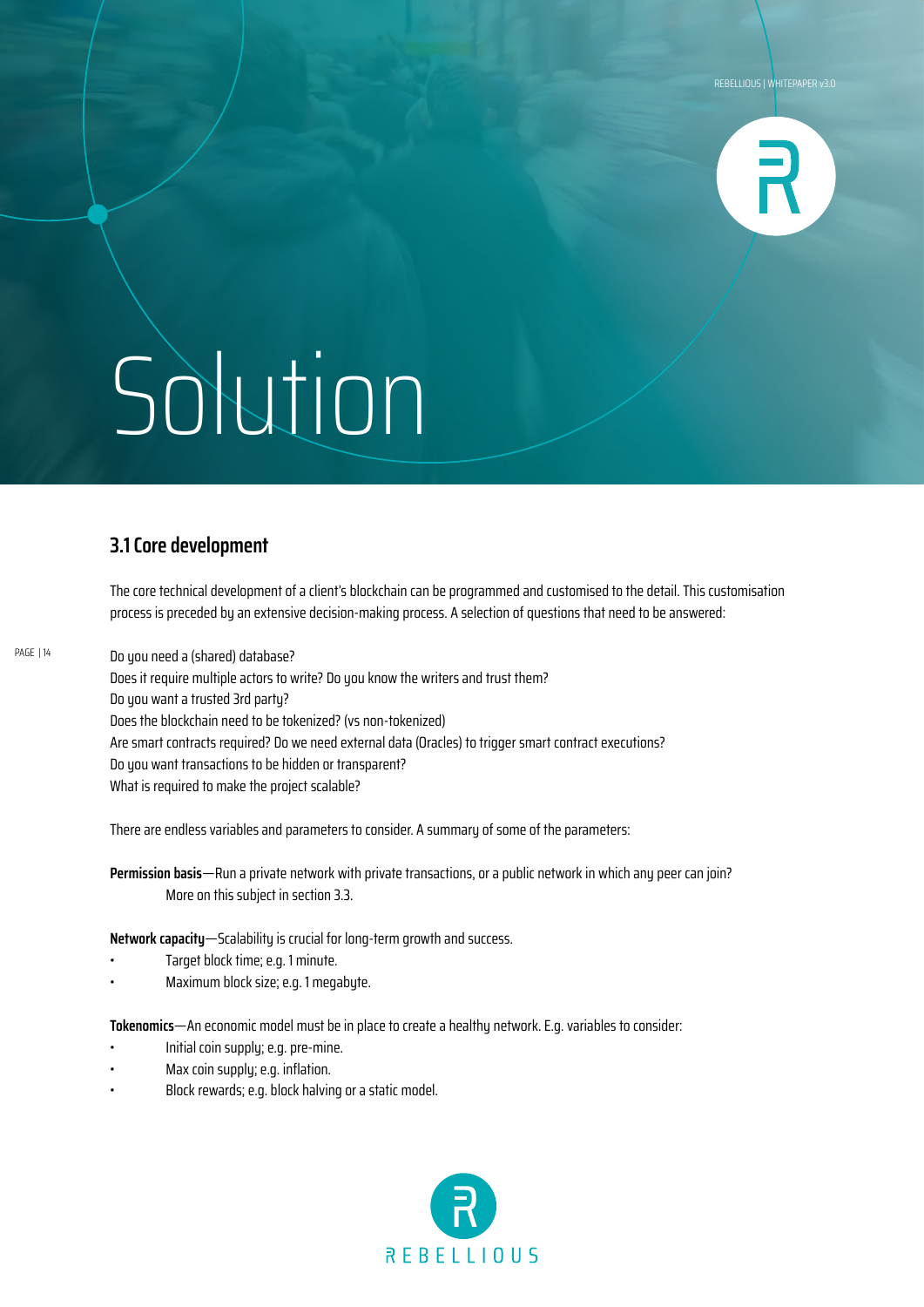

### **3.1 Core development**

The core technical development of a client's blockchain can be programmed and customised to the detail. This customisation process is preceded by an extensive decision-making process. A selection of questions that need to be answered:

Do you need a (shared) database? Does it require multiple actors to write? Do you know the writers and trust them? Do you want a trusted 3rd party? Does the blockchain need to be tokenized? (vs non-tokenized) Are smart contracts required? Do we need external data (Oracles) to trigger smart contract executions? Do you want transactions to be hidden or transparent? What is required to make the project scalable?

There are endless variables and parameters to consider. A summary of some of the parameters:

**Permission basis**—Run a private network with private transactions, or a public network in which any peer can join? More on this subject in section 3.3.

**Network capacity**—Scalability is crucial for long-term growth and success.

- Target block time; e.g. 1 minute.
- Maximum block size; e.g. 1 megabyte.

**Tokenomics**—An economic model must be in place to create a healthy network. E.g. variables to consider:

- Initial coin supply; e.g. pre-mine.
- Max coin supply; e.g. inflation.
- Block rewards; e.g. block halving or a static model.

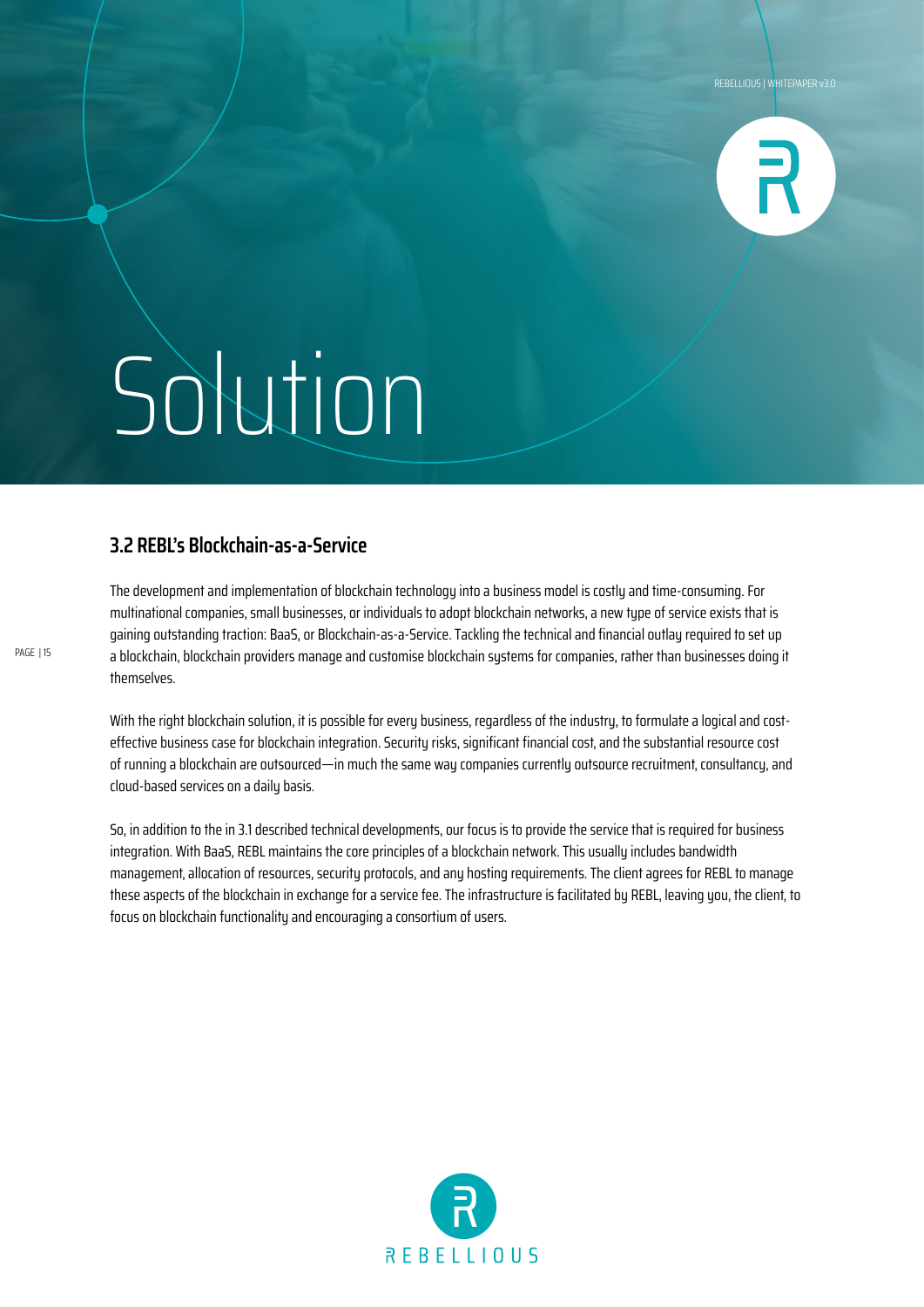

### **3.2 REBL's Blockchain-as-a-Service**

The development and implementation of blockchain technology into a business model is costly and time-consuming. For multinational companies, small businesses, or individuals to adopt blockchain networks, a new type of service exists that is gaining outstanding traction: BaaS, or Blockchain-as-a-Service. Tackling the technical and financial outlay required to set up a blockchain, blockchain providers manage and customise blockchain systems for companies, rather than businesses doing it themselves.

With the right blockchain solution, it is possible for every business, regardless of the industry, to formulate a logical and costeffective business case for blockchain integration. Security risks, significant financial cost, and the substantial resource cost of running a blockchain are outsourced—in much the same way companies currently outsource recruitment, consultancy, and cloud-based services on a daily basis.

So, in addition to the in 3.1 described technical developments, our focus is to provide the service that is required for business integration. With BaaS, REBL maintains the core principles of a blockchain network. This usually includes bandwidth management, allocation of resources, security protocols, and any hosting requirements. The client agrees for REBL to manage these aspects of the blockchain in exchange for a service fee. The infrastructure is facilitated by REBL, leaving you, the client, to focus on blockchain functionality and encouraging a consortium of users.

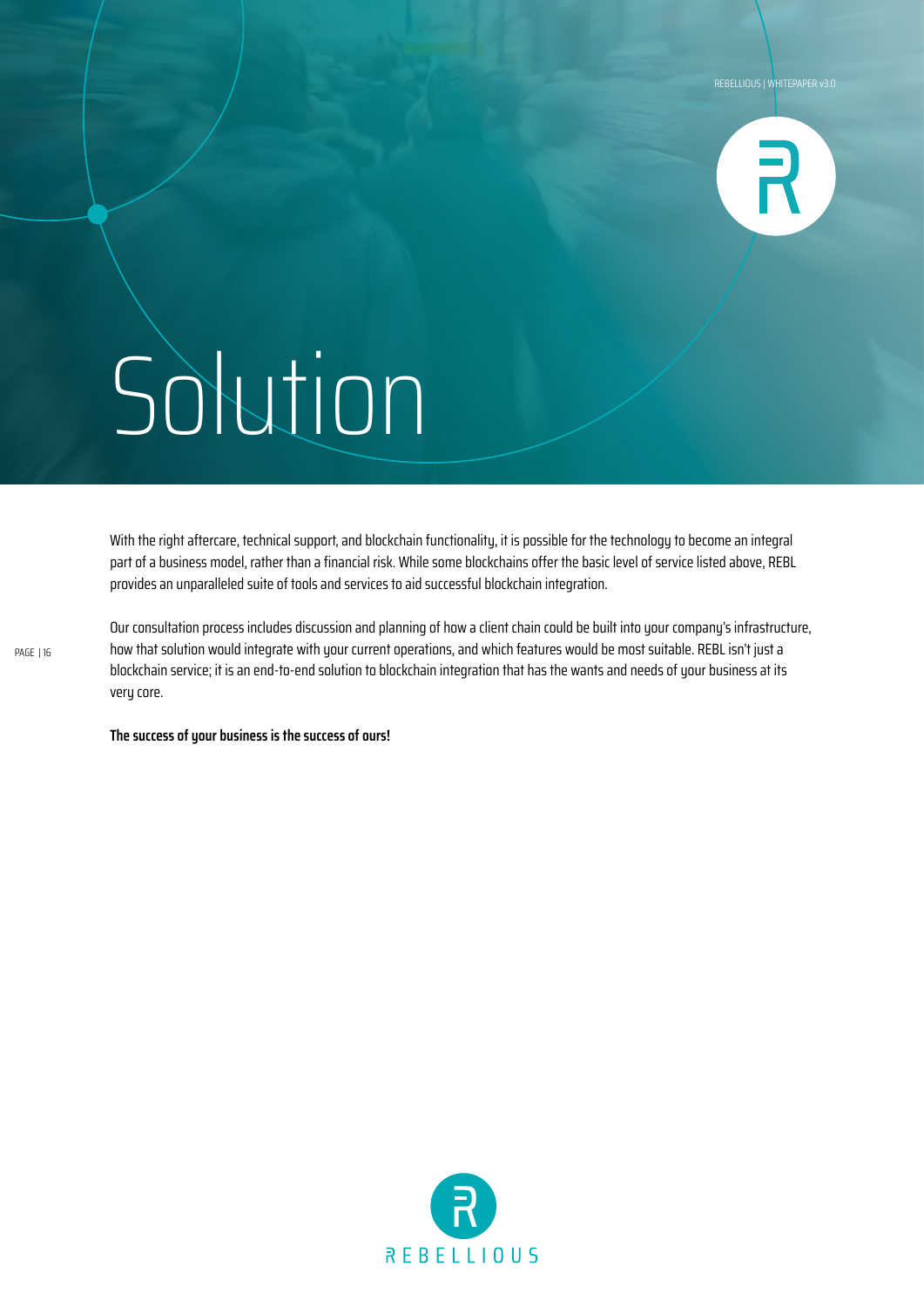

With the right aftercare, technical support, and blockchain functionality, it is possible for the technology to become an integral part of a business model, rather than a financial risk. While some blockchains offer the basic level of service listed above, REBL provides an unparalleled suite of tools and services to aid successful blockchain integration.

Our consultation process includes discussion and planning of how a client chain could be built into your company's infrastructure, how that solution would integrate with your current operations, and which features would be most suitable. REBL isn't just a blockchain service; it is an end-to-end solution to blockchain integration that has the wants and needs of your business at its very core.

**The success of your business is the success of ours!**

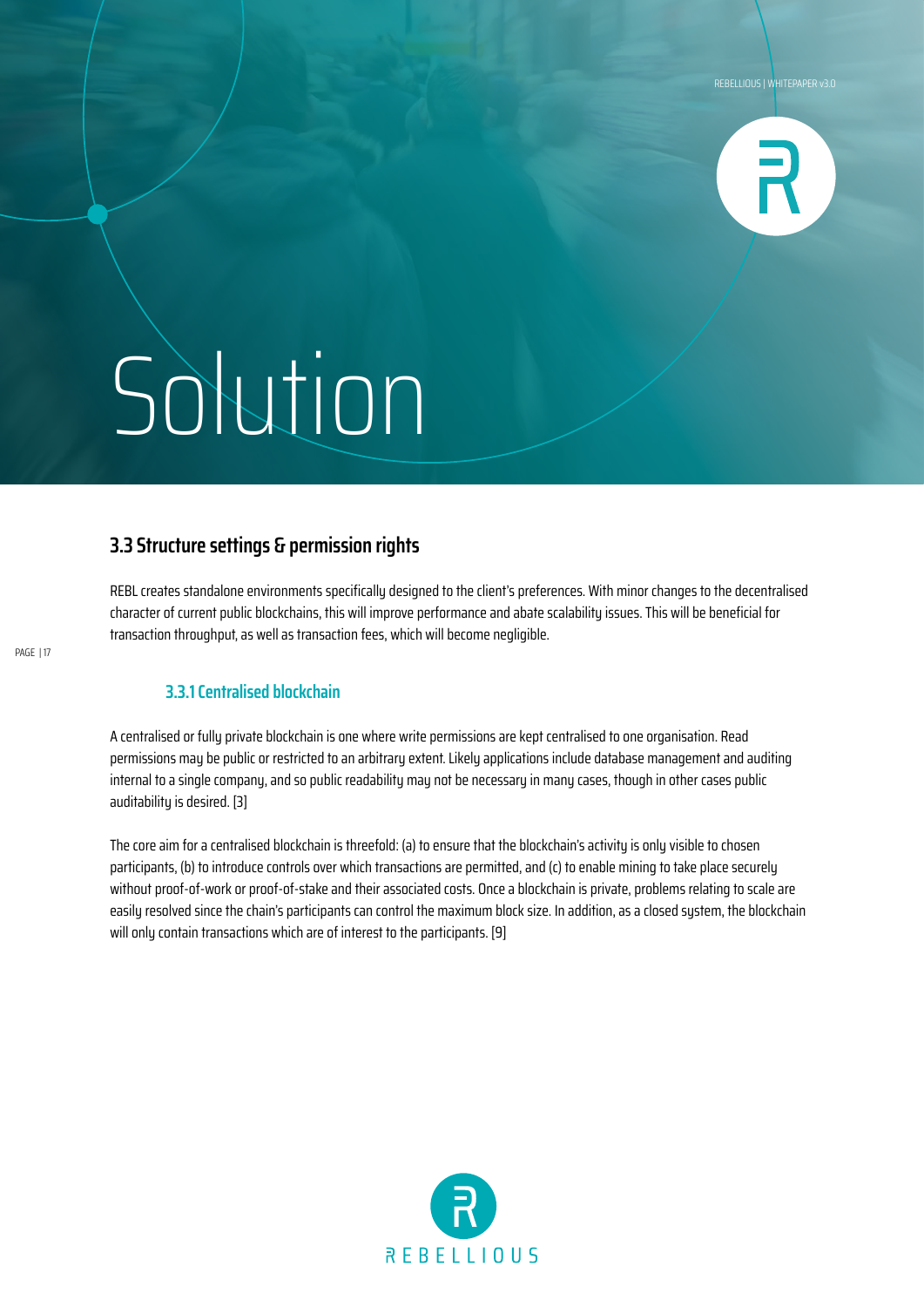

### **3.3 Structure settings & permission rights**

REBL creates standalone environments specifically designed to the client's preferences. With minor changes to the decentralised character of current public blockchains, this will improve performance and abate scalability issues. This will be beneficial for transaction throughput, as well as transaction fees, which will become negligible.

### **3.3.1 Centralised blockchain**

A centralised or fully private blockchain is one where write permissions are kept centralised to one organisation. Read permissions may be public or restricted to an arbitrary extent. Likely applications include database management and auditing internal to a single company, and so public readability may not be necessary in many cases, though in other cases public auditability is desired. [3]

The core aim for a centralised blockchain is threefold: (a) to ensure that the blockchain's activity is only visible to chosen participants, (b) to introduce controls over which transactions are permitted, and (c) to enable mining to take place securely without proof-of-work or proof-of-stake and their associated costs. Once a blockchain is private, problems relating to scale are easily resolved since the chain's participants can control the maximum block size. In addition, as a closed system, the blockchain will only contain transactions which are of interest to the participants. [9]

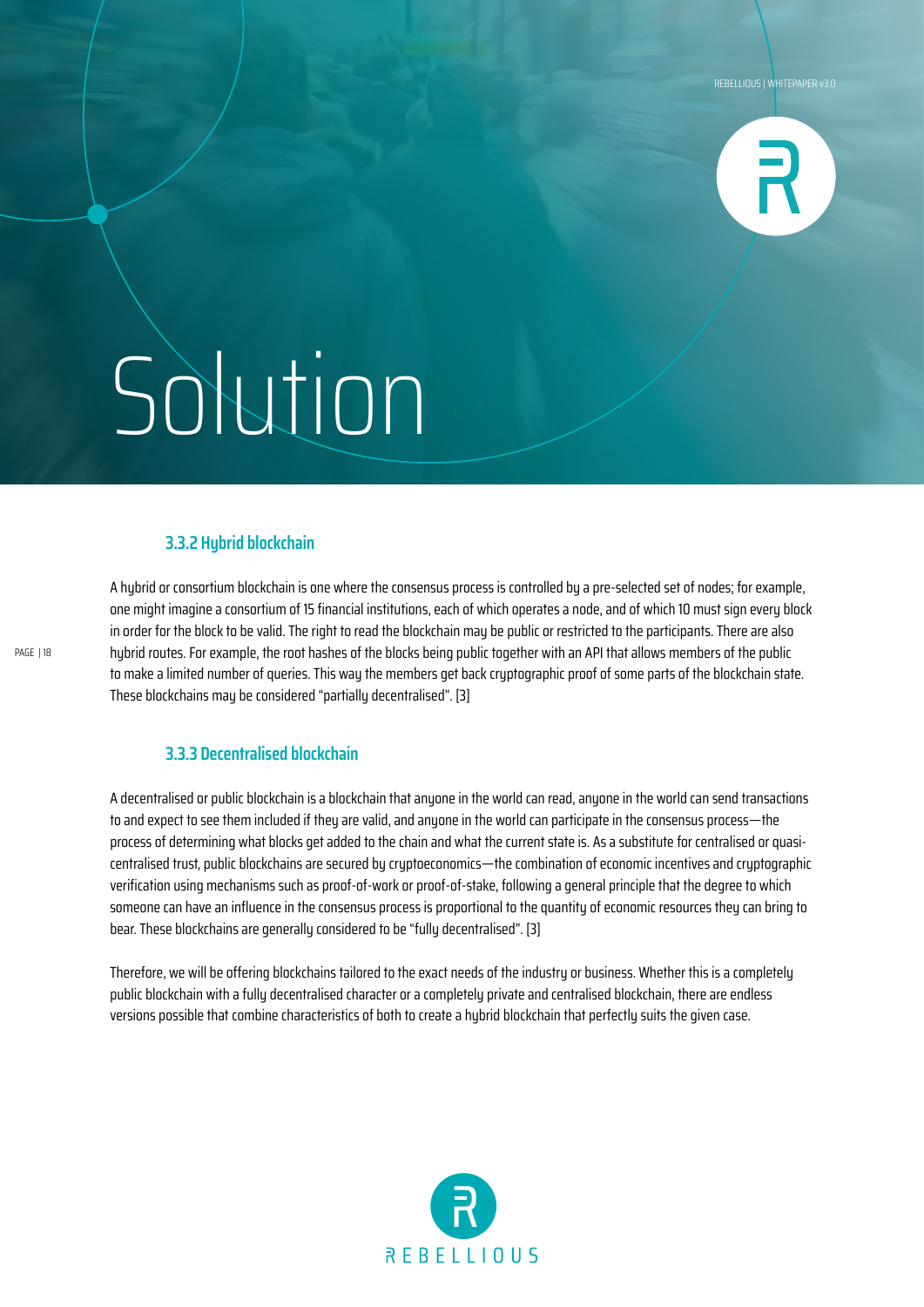![](_page_17_Picture_1.jpeg)

#### **3.3.2 Hybrid blockchain**

A hubrid or consortium blockchain is one where the consensus process is controlled by a pre-selected set of nodes; for example, one might imagine a consortium of 15 financial institutions, each of which operates a node, and of which 10 must sign every block in order for the block to be valid. The right to read the blockchain may be public or restricted to the participants. There are also hybrid routes. For example, the root hashes of the blocks being public together with an API that allows members of the public to make a limited number of queries. This way the members get back cryptographic proof of some parts of the blockchain state. These blockchains may be considered "partially decentralised". [3]

#### **3.3.3 Decentralised blockchain**

A decentralised or public blockchain is a blockchain that anyone in the world can read, anyone in the world can send transactions to and expect to see them included if they are valid, and anyone in the world can participate in the consensus process—the process of determining what blocks get added to the chain and what the current state is. As a substitute for centralised or quasicentralised trust, public blockchains are secured by cryptoeconomics—the combination of economic incentives and cryptographic verification using mechanisms such as proof-of-work or proof-of-stake, following a general principle that the degree to which someone can have an influence in the consensus process is proportional to the quantity of economic resources they can bring to bear. These blockchains are generally considered to be "fully decentralised". [3]

Therefore, we will be offering blockchains tailored to the exact needs of the industry or business. Whether this is a completely public blockchain with a fully decentralised character or a completely private and centralised blockchain, there are endless versions possible that combine characteristics of both to create a hubrid blockchain that perfectly suits the given case.

![](_page_17_Picture_8.jpeg)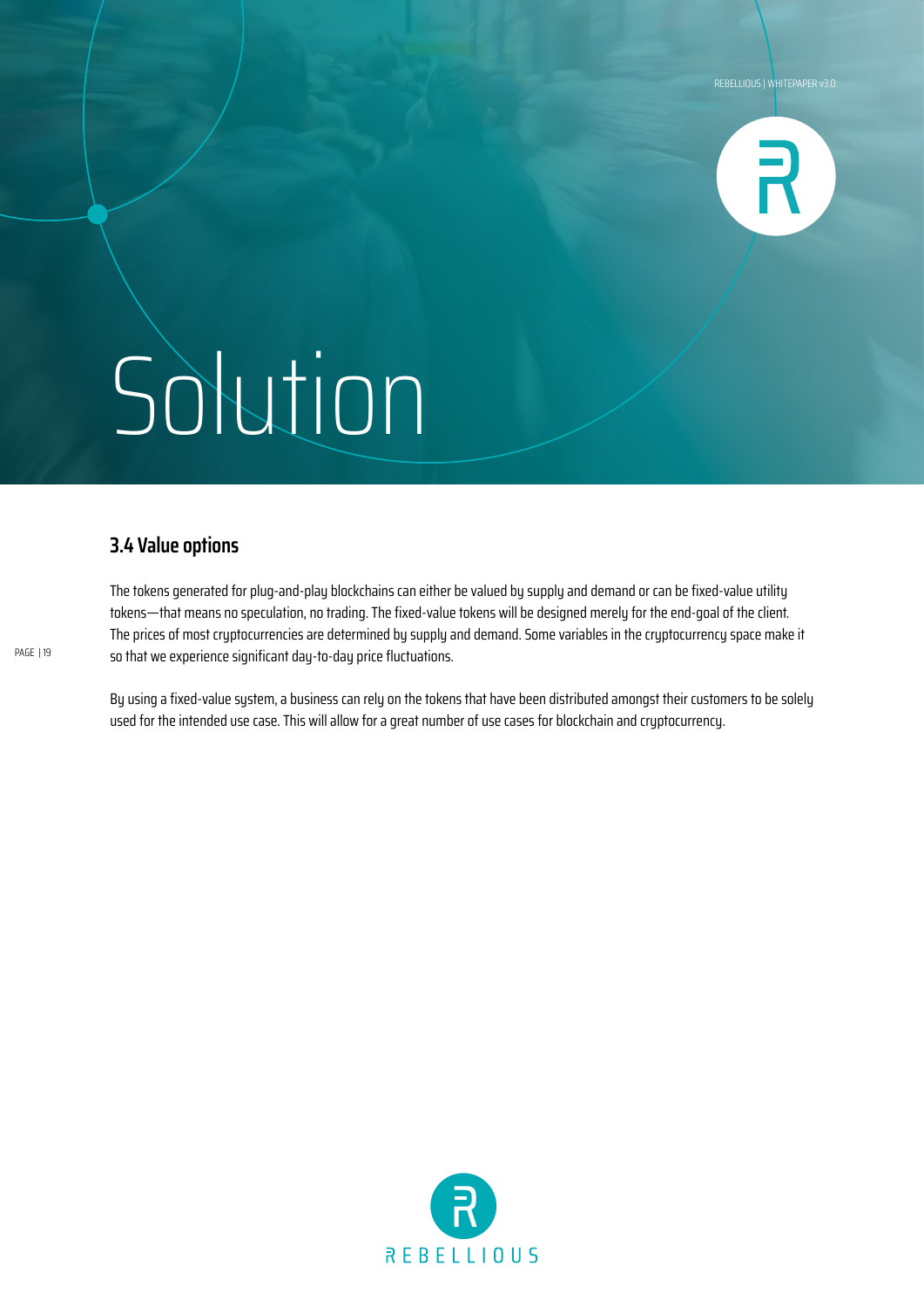![](_page_18_Picture_1.jpeg)

### **3.4 Value options**

The tokens generated for plug-and-play blockchains can either be valued by supply and demand or can be fixed-value utility tokens—that means no speculation, no trading. The fixed-value tokens will be designed merely for the end-goal of the client. The prices of most cryptocurrencies are determined by supply and demand. Some variables in the cryptocurrency space make it so that we experience significant day-to-day price fluctuations.

By using a fixed-value system, a business can rely on the tokens that have been distributed amongst their customers to be solely used for the intended use case. This will allow for a great number of use cases for blockchain and cryptocurrency.

![](_page_18_Picture_6.jpeg)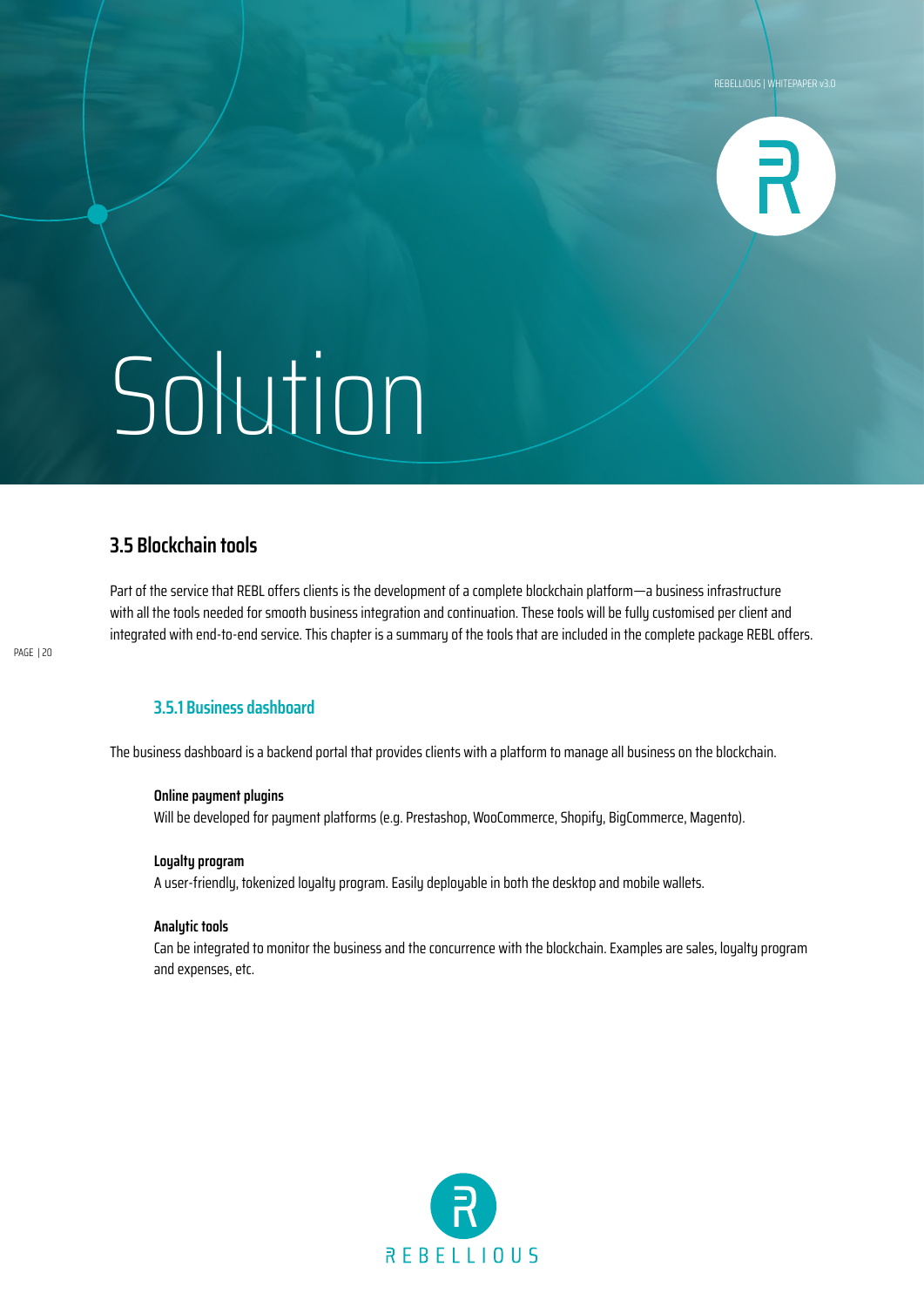![](_page_19_Picture_1.jpeg)

### **3.5 Blockchain tools**

Part of the service that REBL offers clients is the development of a complete blockchain platform—a business infrastructure with all the tools needed for smooth business integration and continuation. These tools will be fully customised per client and integrated with end-to-end service. This chapter is a summary of the tools that are included in the complete package REBL offers.

### **3.5.1 Business dashboard**

The business dashboard is a backend portal that provides clients with a platform to manage all business on the blockchain.

#### **Online payment plugins**

Will be developed for payment platforms (e.g. Prestashop, WooCommerce, Shopify, BigCommerce, Magento).

#### **Loyalty program**

A user-friendly, tokenized loyalty program. Easily deployable in both the desktop and mobile wallets.

#### **Analytic tools**

Can be integrated to monitor the business and the concurrence with the blockchain. Examples are sales, loyalty program and expenses, etc.

![](_page_19_Picture_14.jpeg)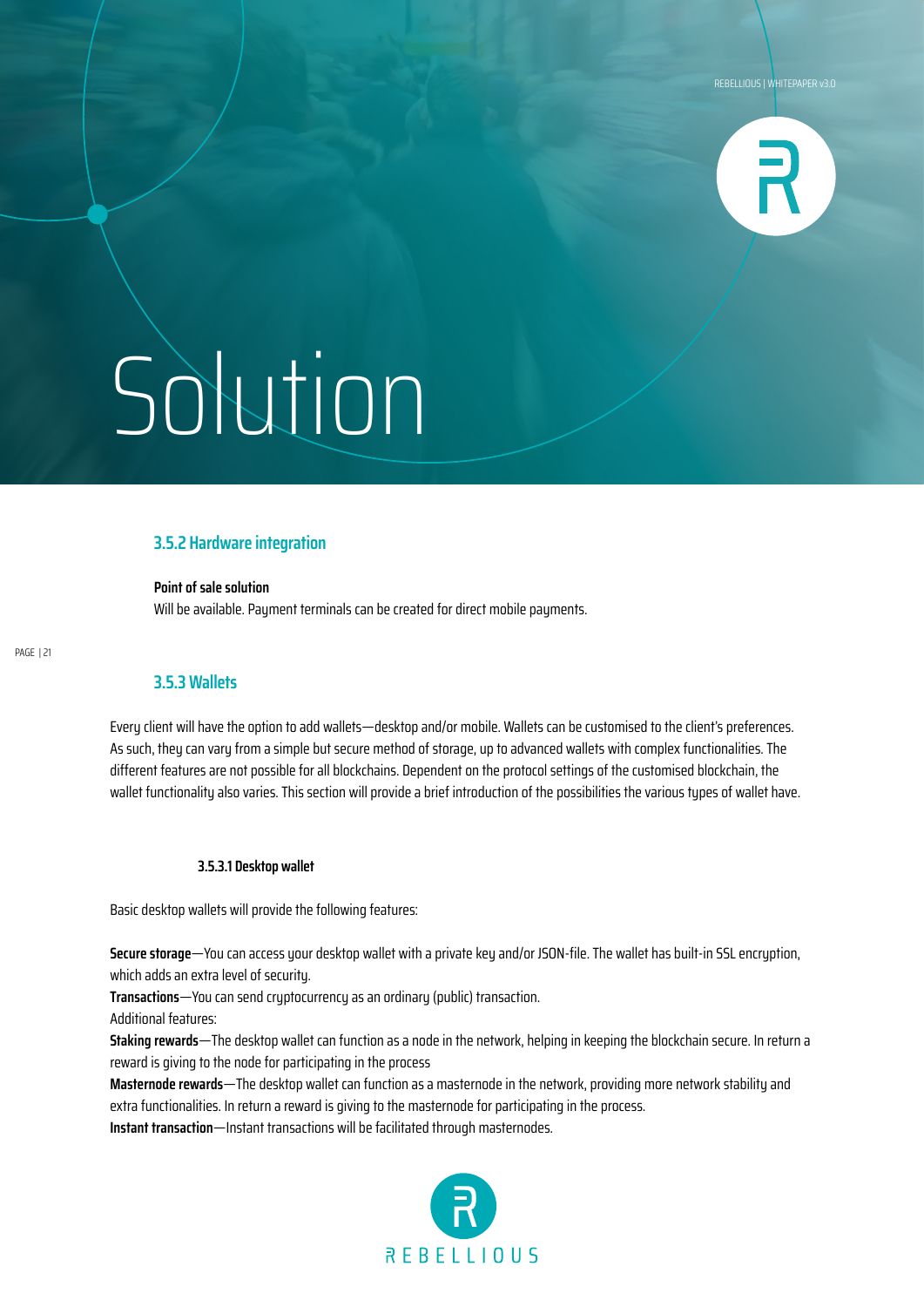![](_page_20_Picture_1.jpeg)

#### **3.5.2 Hardware integration**

**Point of sale solution** Will be available. Payment terminals can be created for direct mobile payments.

PAGE | 21

#### **3.5.3 Wallets**

Every client will have the option to add wallets—desktop and/or mobile. Wallets can be customised to the client's preferences. As such, they can vary from a simple but secure method of storage, up to advanced wallets with complex functionalities. The different features are not possible for all blockchains. Dependent on the protocol settings of the customised blockchain, the wallet functionality also varies. This section will provide a brief introduction of the possibilities the various types of wallet have.

#### **3.5.3.1 Desktop wallet**

Basic desktop wallets will provide the following features:

**Secure storage**—You can access your desktop wallet with a private key and/or JSON-file. The wallet has built-in SSL encryption, which adds an extra level of security.

**Transactions**—You can send cruptocurrency as an ordinary (public) transaction.

Additional features:

**Staking rewards**—The desktop wallet can function as a node in the network, helping in keeping the blockchain secure. In return a reward is giving to the node for participating in the process

**Masternode rewards**—The desktop wallet can function as a masternode in the network, providing more network stability and extra functionalities. In return a reward is giving to the masternode for participating in the process.

**Instant transaction**—Instant transactions will be facilitated through masternodes.

![](_page_20_Picture_16.jpeg)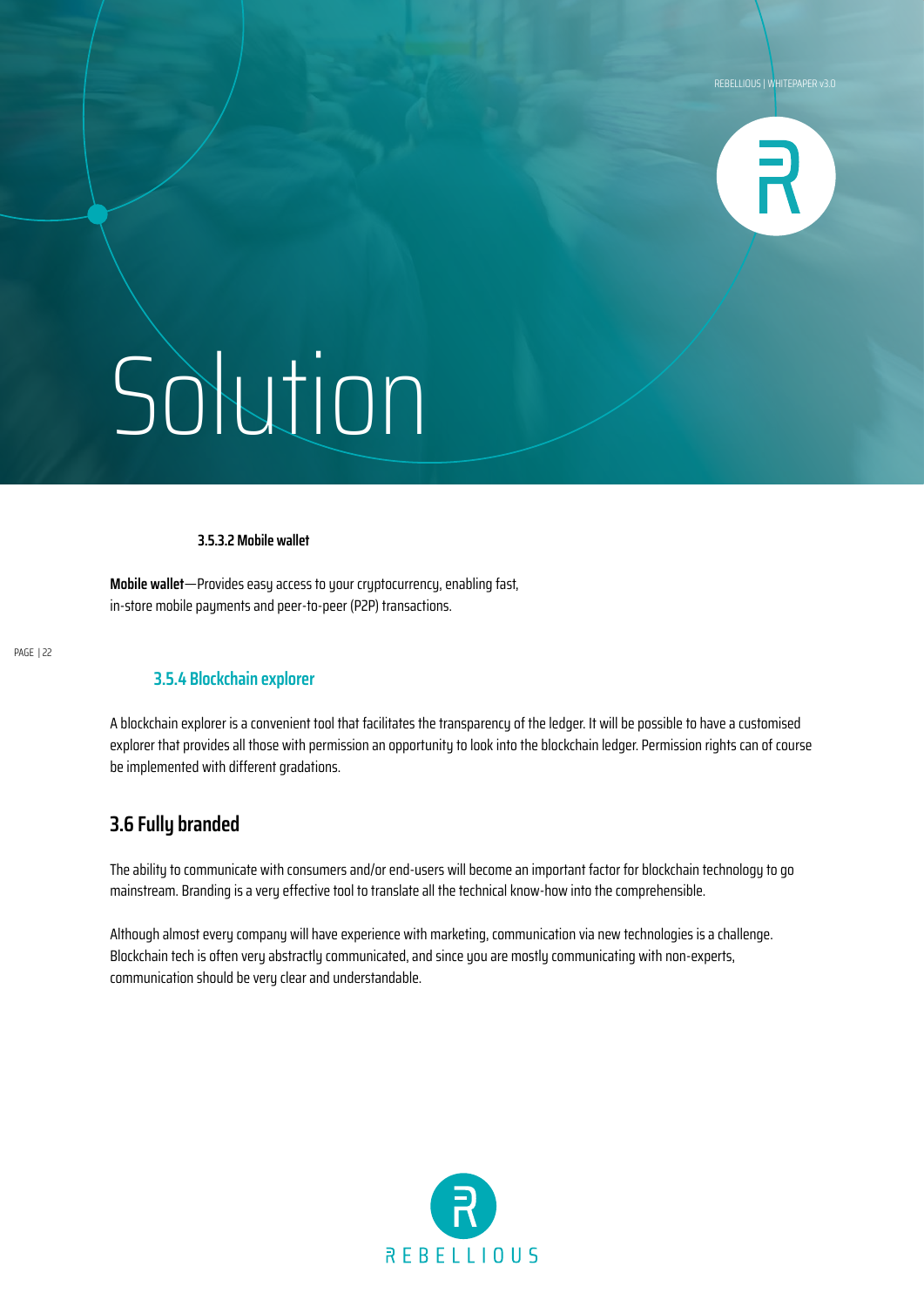![](_page_21_Picture_1.jpeg)

#### **3.5.3.2 Mobile wallet**

**Mobile wallet**—Provides easy access to your cryptocurrency, enabling fast, in-store mobile payments and peer-to-peer (P2P) transactions.

#### **3.5.4 Blockchain explorer**

A blockchain explorer is a convenient tool that facilitates the transparency of the ledger. It will be possible to have a customised explorer that provides all those with permission an opportunity to look into the blockchain ledger. Permission rights can of course be implemented with different gradations.

### **3.6 Fully branded**

The ability to communicate with consumers and/or end-users will become an important factor for blockchain technology to go mainstream. Branding is a very effective tool to translate all the technical know-how into the comprehensible.

Although almost every company will have experience with marketing, communication via new technologies is a challenge. Blockchain tech is often very abstractly communicated, and since you are mostly communicating with non-experts, communication should be very clear and understandable.

![](_page_21_Picture_11.jpeg)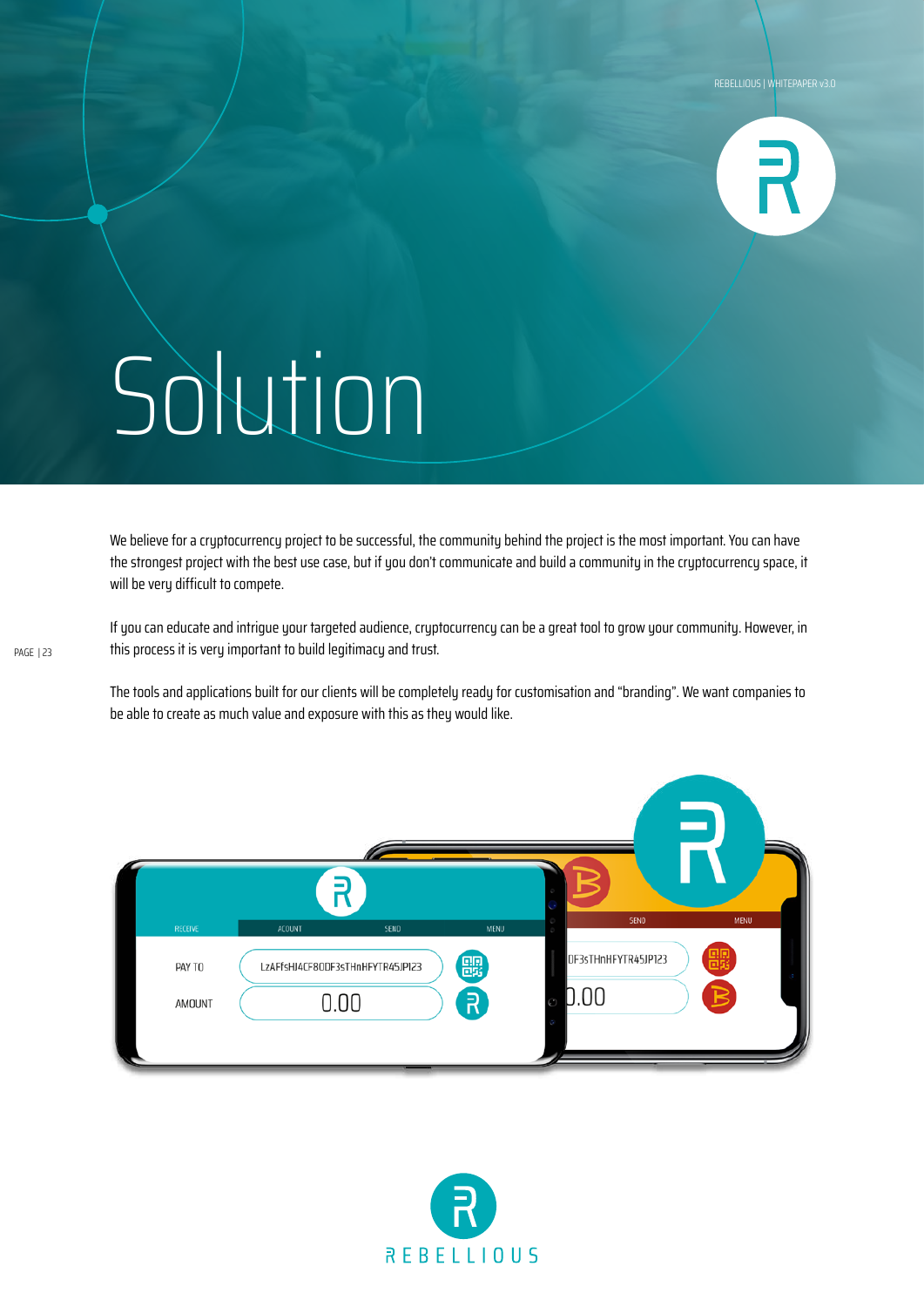![](_page_22_Picture_1.jpeg)

We believe for a cryptocurrency project to be successful, the community behind the project is the most important. You can have the strongest project with the best use case, but if you don't communicate and build a community in the cryptocurrency space, it will be very difficult to compete.

If you can educate and intrigue your targeted audience, cryptocurrency can be a great tool to grow your community. However, in this process it is very important to build legitimacy and trust.

The tools and applications built for our clients will be completely ready for customisation and "branding". We want companies to be able to create as much value and exposure with this as they would like.

![](_page_22_Picture_6.jpeg)

![](_page_22_Picture_7.jpeg)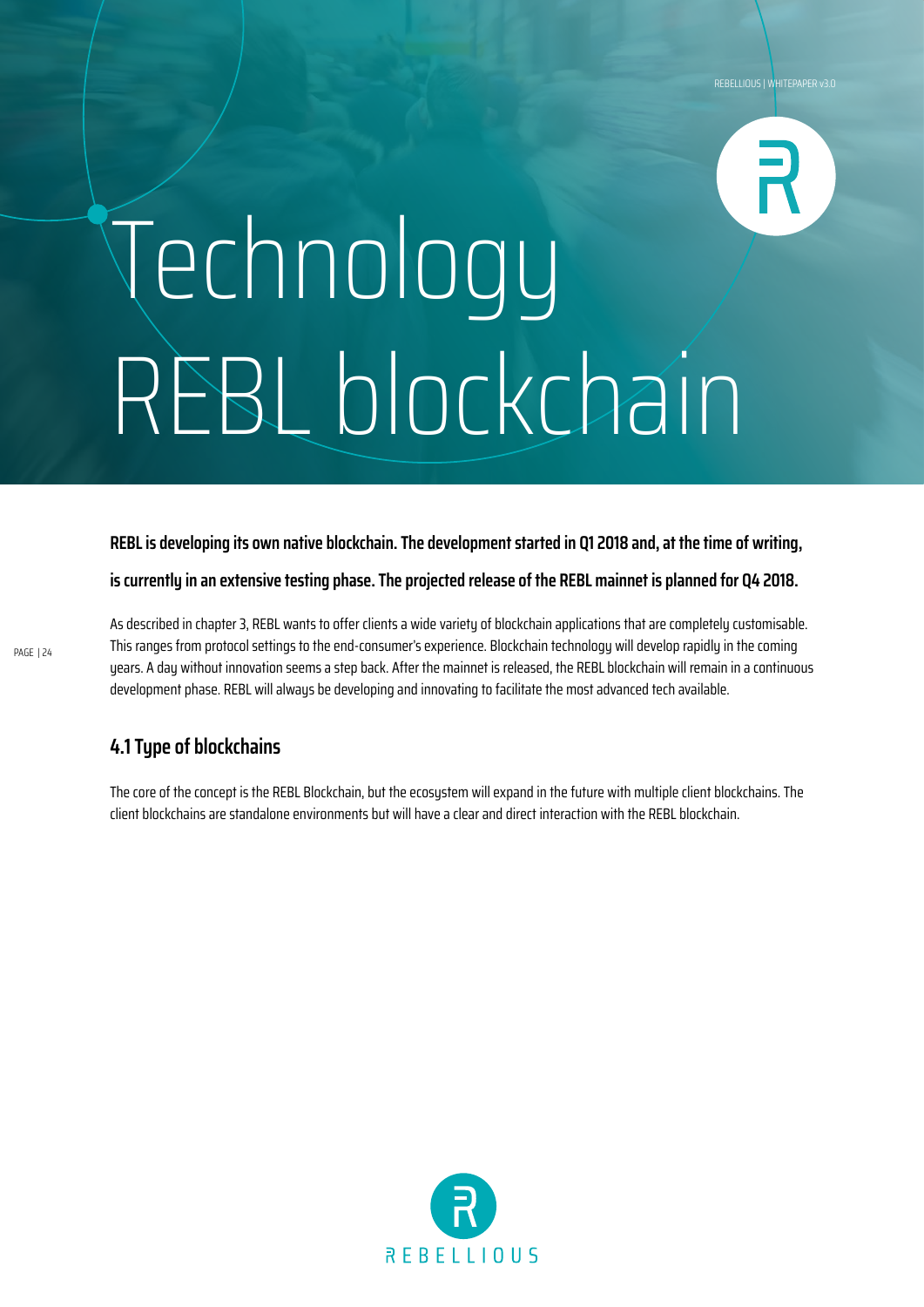# Technology REBL blockchain

**REBL is developing its own native blockchain. The development started in Q1 2018 and, at the time of writing, is currently in an extensive testing phase. The projected release of the REBL mainnet is planned for Q4 2018.**

As described in chapter 3, REBL wants to offer clients a wide variety of blockchain applications that are completely customisable. This ranges from protocol settings to the end-consumer's experience. Blockchain technology will develop rapidly in the coming years. A day without innovation seems a step back. After the mainnet is released, the REBL blockchain will remain in a continuous development phase. REBL will always be developing and innovating to facilitate the most advanced tech available.

### **4.1 Type of blockchains**

The core of the concept is the REBL Blockchain, but the ecosystem will expand in the future with multiple client blockchains. The client blockchains are standalone environments but will have a clear and direct interaction with the REBL blockchain.

![](_page_23_Picture_6.jpeg)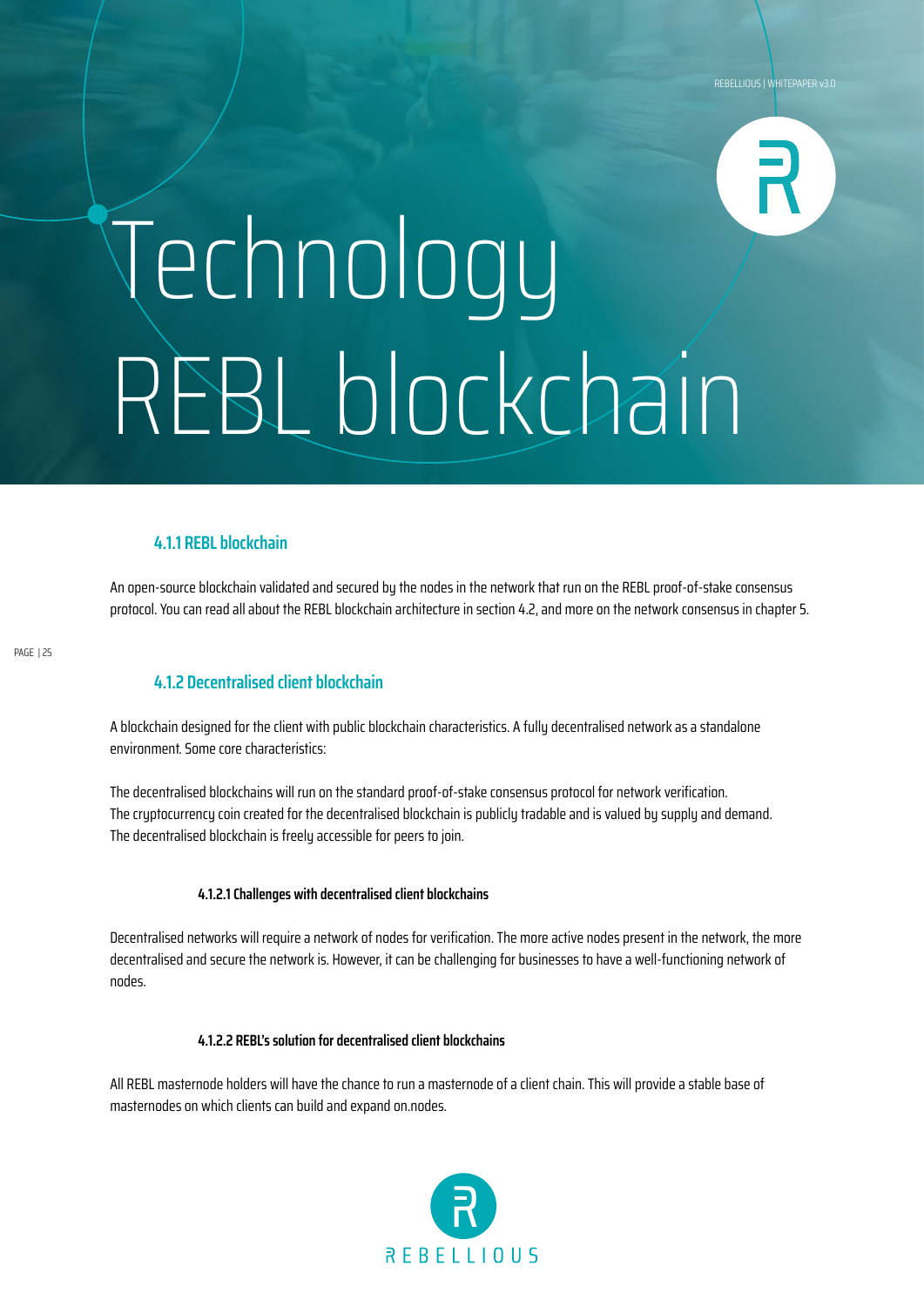# Technology REBL blockchain

### **4.1.1 REBL blockchain**

An open-source blockchain validated and secured by the nodes in the network that run on the REBL proof-of-stake consensus protocol. You can read all about the REBL blockchain architecture in section 4.2, and more on the network consensus in chapter 5.

PAGE | 25

### **4.1.2 Decentralised client blockchain**

A blockchain designed for the client with public blockchain characteristics. A fully decentralised network as a standalone environment. Some core characteristics:

The decentralised blockchains will run on the standard proof-of-stake consensus protocol for network verification. The cryptocurrency coin created for the decentralised blockchain is publicly tradable and is valued by supply and demand. The decentralised blockchain is freely accessible for peers to join.

#### **4.1.2.1 Challenges with decentralised client blockchains**

Decentralised networks will require a network of nodes for verification. The more active nodes present in the network, the more decentralised and secure the network is. However, it can be challenging for businesses to have a well-functioning network of nodes.

#### **4.1.2.2 REBL's solution for decentralised client blockchains**

All REBL masternode holders will have the chance to run a masternode of a client chain. This will provide a stable base of masternodes on which clients can build and expand on.nodes.

![](_page_24_Picture_12.jpeg)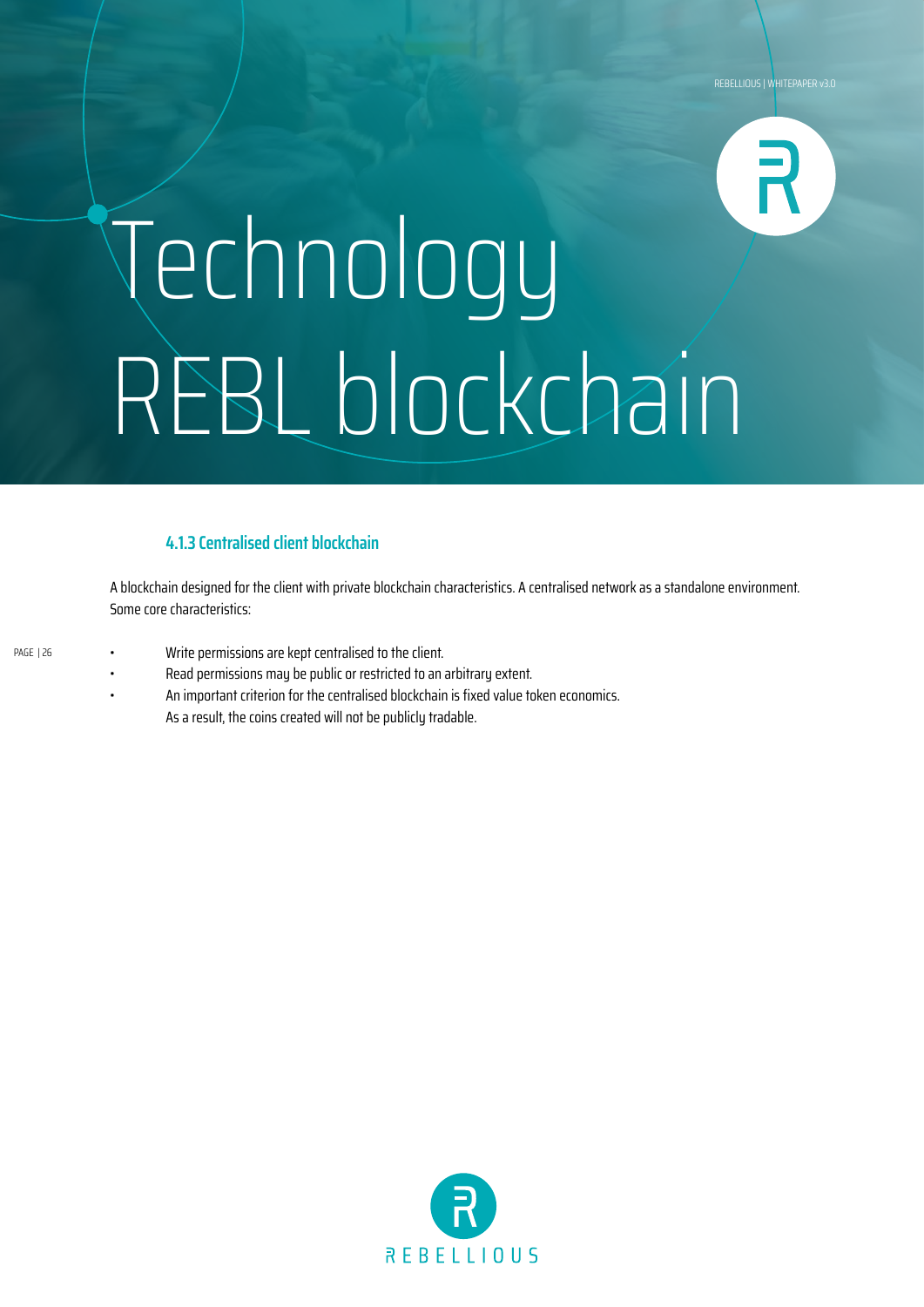## Technology REBL blockchain

### **4.1.3 Centralised client blockchain**

A blockchain designed for the client with private blockchain characteristics. A centralised network as a standalone environment. Some core characteristics:

- Write permissions are kept centralised to the client. PAGE | 26
	- Read permissions may be public or restricted to an arbitrary extent.
	- An important criterion for the centralised blockchain is fixed value token economics. As a result, the coins created will not be publicly tradable.

![](_page_25_Picture_7.jpeg)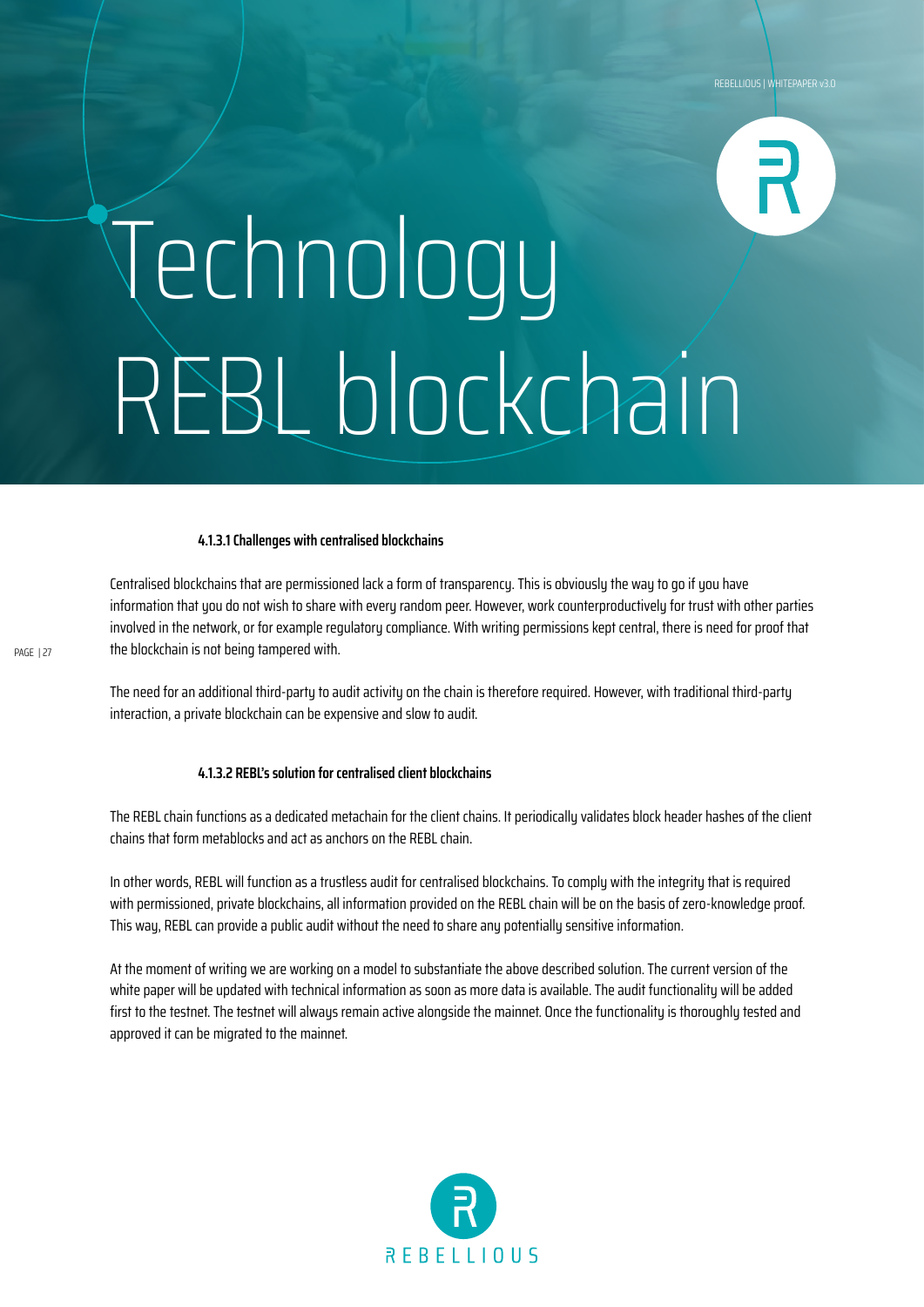# Technology REBL blockchain

#### **4.1.3.1 Challenges with centralised blockchains**

Centralised blockchains that are permissioned lack a form of transparency. This is obviously the way to go if you have information that you do not wish to share with every random peer. However, work counterproductively for trust with other parties involved in the network, or for example regulatory compliance. With writing permissions kept central, there is need for proof that the blockchain is not being tampered with.

The need for an additional third-party to audit activity on the chain is therefore required. However, with traditional third-party interaction, a private blockchain can be expensive and slow to audit.

#### **4.1.3.2 REBL's solution for centralised client blockchains**

The REBL chain functions as a dedicated metachain for the client chains. It periodically validates block header hashes of the client chains that form metablocks and act as anchors on the REBL chain.

In other words, REBL will function as a trustless audit for centralised blockchains. To comply with the integrity that is required with permissioned, private blockchains, all information provided on the REBL chain will be on the basis of zero-knowledge proof. This way, REBL can provide a public audit without the need to share any potentially sensitive information.

At the moment of writing we are working on a model to substantiate the above described solution. The current version of the white paper will be updated with technical information as soon as more data is available. The audit functionality will be added first to the testnet. The testnet will alwaus remain active alongside the mainnet. Once the functionalitu is thoroughly tested and approved it can be migrated to the mainnet.

![](_page_26_Picture_9.jpeg)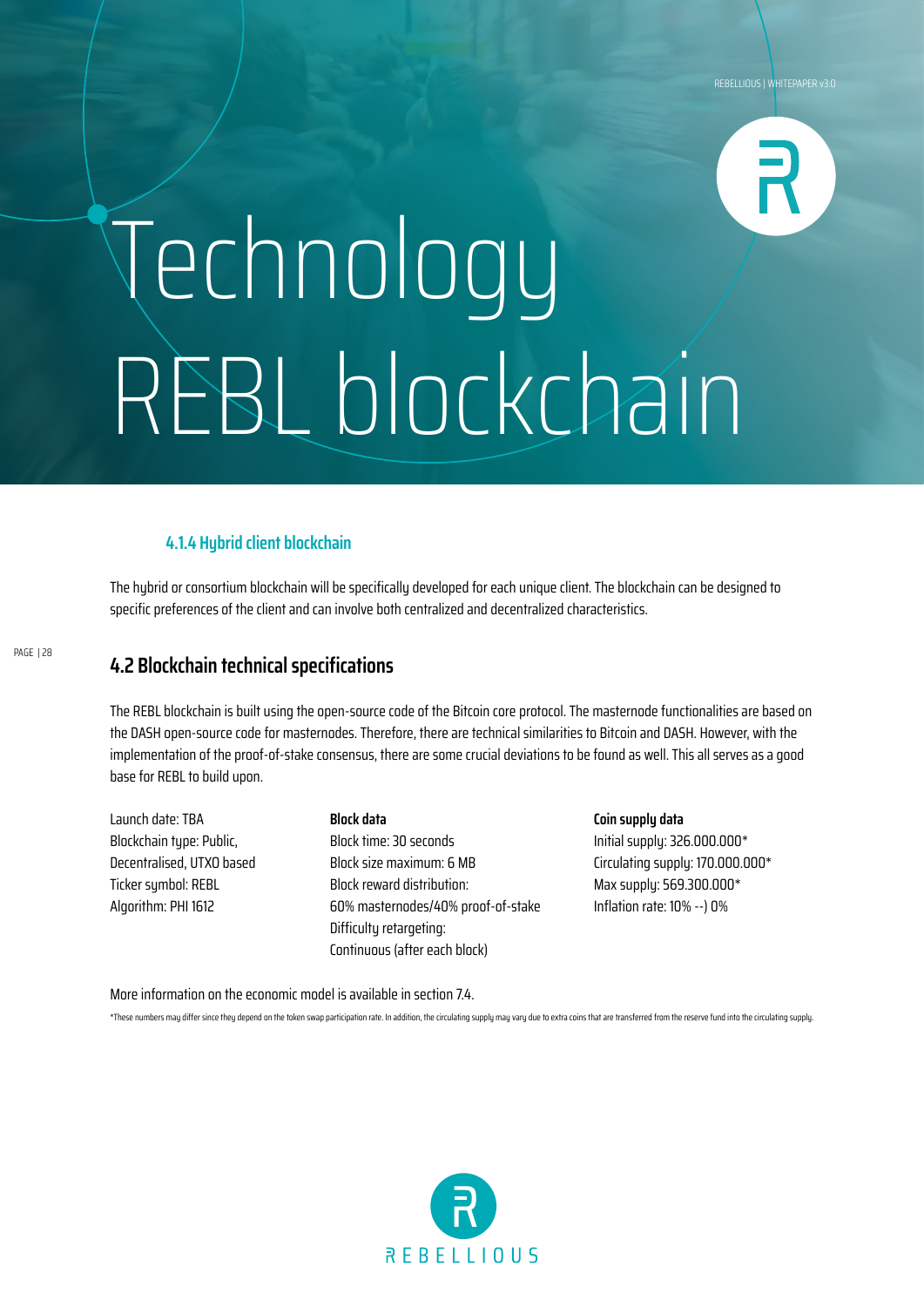## Technology REBL blockchain

### **4.1.4 Hybrid client blockchain**

The hubrid or consortium blockchain will be specifically developed for each unique client. The blockchain can be designed to specific preferences of the client and can involve both centralized and decentralized characteristics.

### **4.2 Blockchain technical specifications**

The REBL blockchain is built using the open-source code of the Bitcoin core protocol. The masternode functionalities are based on the DASH open-source code for masternodes. Therefore, there are technical similarities to Bitcoin and DASH. However, with the implementation of the proof-of-stake consensus, there are some crucial deviations to be found as well. This all serves as a good base for REBL to build upon.

Launch date: TBA Blockchain type: Public, Decentralised, UTXO based Ticker symbol: REBL Algorithm: PHI 1612

#### **Block data** Block time: 30 seconds Block size maximum: 6 MB Block reward distribution: 60% masternodes/40% proof-of-stake Difficulty retargeting: Continuous (after each block)

**Coin supply data** Initial supply: 326.000.000\* Circulating supply: 170.000.000\* Max supply: 569.300.000\* Inflation rate: 10% --) 0%

More information on the economic model is available in section 7.4.

\*These numbers may differ since they depend on the token swap participation rate. In addition, the circulating supply may vary due to extra coins that are transferred from the reserve fund into the circulating supply.

![](_page_27_Picture_11.jpeg)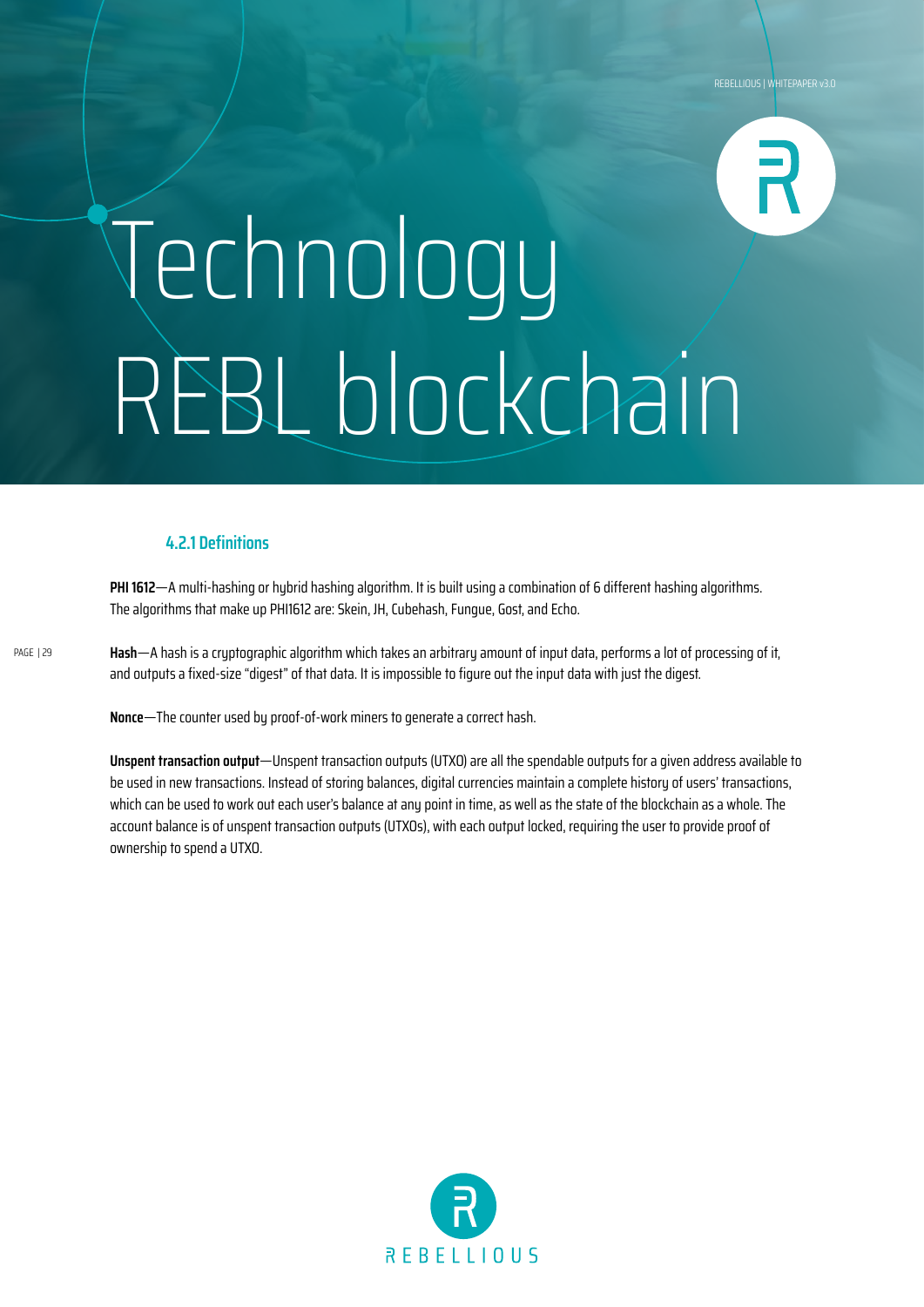# Technology REBL blockchain

### **4.2.1 Definitions**

**PHI 1612**—A multi-hashing or hubrid hashing algorithm. It is built using a combination of 6 different hashing algorithms. The algorithms that make up PHI1612 are: Skein, JH, Cubehash, Fungue, Gost, and Echo.

**Hash**—A hash is a cryptographic algorithm which takes an arbitrary amount of input data, performs a lot of processing of it, and outputs a fixed-size "digest" of that data. It is impossible to figure out the input data with just the digest.

**Nonce**—The counter used by proof-of-work miners to generate a correct hash.

**Unspent transaction output**—Unspent transaction outputs (UTXO) are all the spendable outputs for a given address available to be used in new transactions. Instead of storing balances, digital currencies maintain a complete history of users' transactions, which can be used to work out each user's balance at any point in time, as well as the state of the blockchain as a whole. The account balance is of unspent transaction outputs (UTXOs), with each output locked, requiring the user to provide proof of ownership to spend a UTXO.

![](_page_28_Picture_7.jpeg)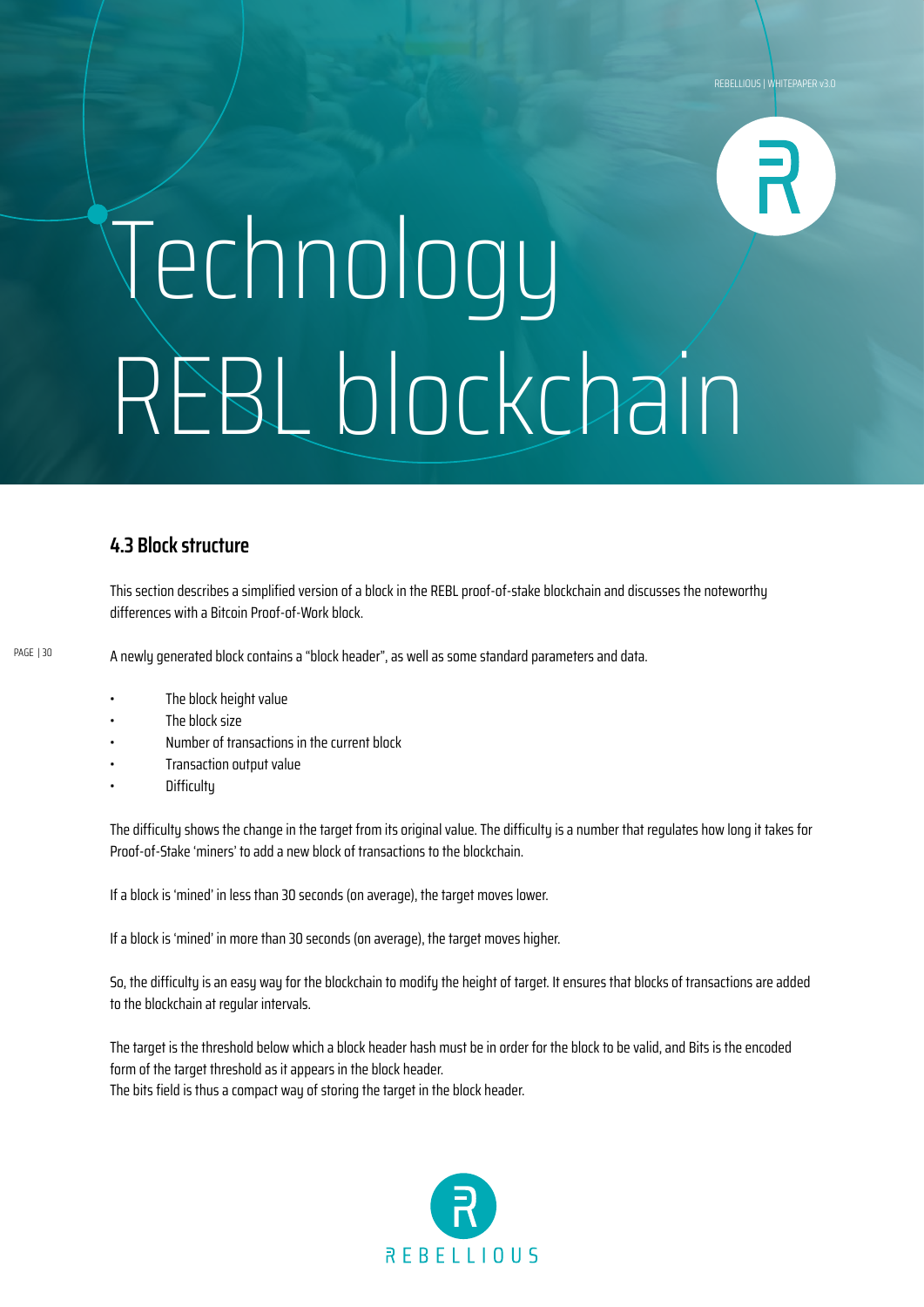# Technology REBL blockchain

### **4.3 Block structure**

This section describes a simplified version of a block in the REBL proof-of-stake blockchain and discusses the noteworthy differences with a Bitcoin Proof-of-Work block.

PAGE | 30

A newly generated block contains a "block header", as well as some standard parameters and data.

- The block height value
- The block size
- Number of transactions in the current block
- Transaction output value
- **Difficultu**

The difficulty shows the change in the target from its original value. The difficulty is a number that regulates how long it takes for Proof-of-Stake 'miners' to add a new block of transactions to the blockchain.

If a block is 'mined' in less than 30 seconds (on average), the target moves lower.

If a block is 'mined' in more than 30 seconds (on average), the target moves higher.

So, the difficulty is an easy way for the blockchain to modify the height of target. It ensures that blocks of transactions are added to the blockchain at regular intervals.

The target is the threshold below which a block header hash must be in order for the block to be valid, and Bits is the encoded form of the target threshold as it appears in the block header. The bits field is thus a compact way of storing the target in the block header.

![](_page_29_Picture_16.jpeg)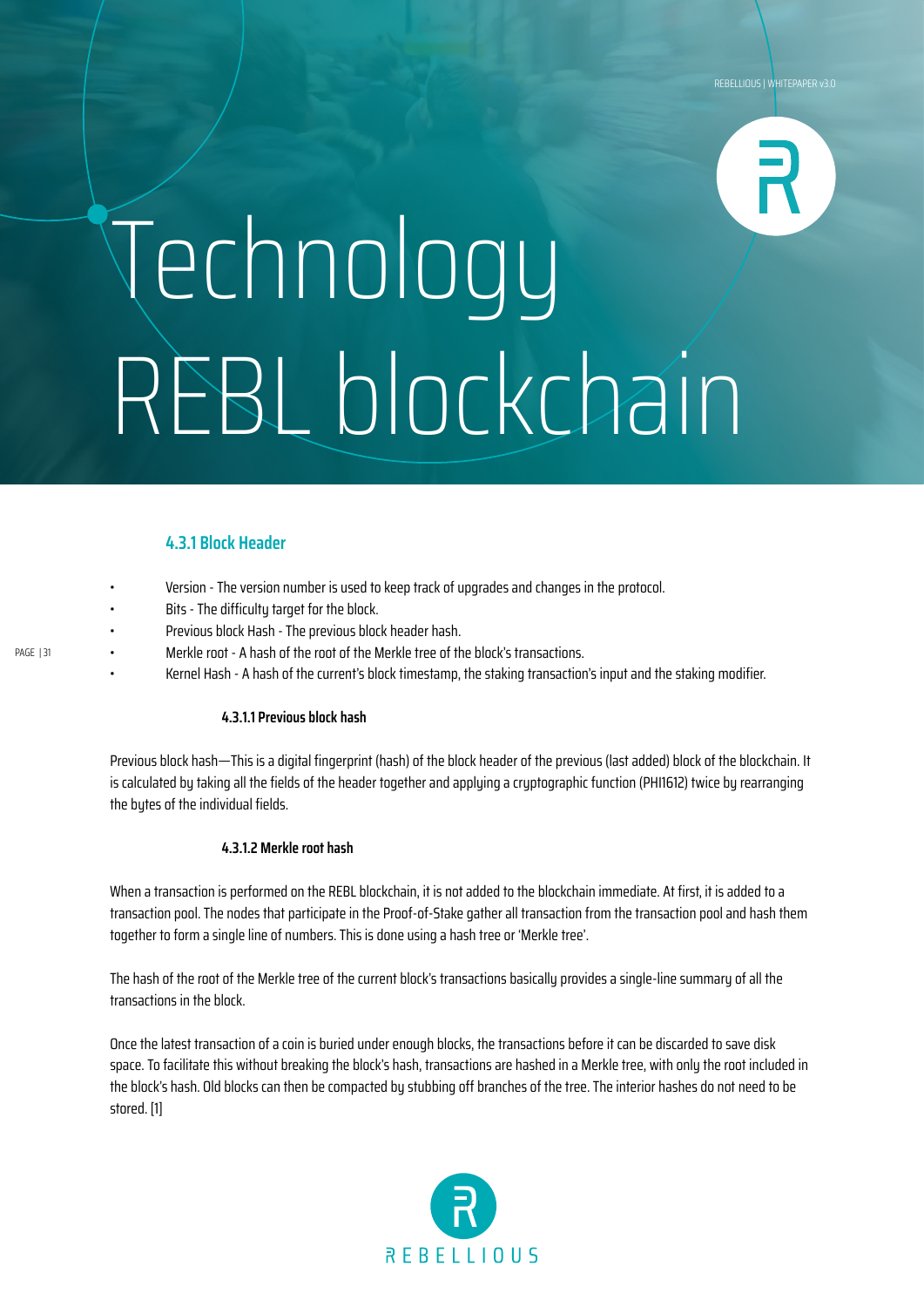## Technology REBL blockchain

### **4.3.1 Block Header**

- Version The version number is used to keep track of upgrades and changes in the protocol.
- Bits The difficulty target for the block.
- Previous block Hash The previous block header hash.
- Merkle root A hash of the root of the Merkle tree of the block's transactions.
- Kernel Hash A hash of the current's block timestamp, the staking transaction's input and the staking modifier.

#### **4.3.1.1 Previous block hash**

Previous block hash—This is a digital fingerprint (hash) of the block header of the previous (last added) block of the blockchain. It is calculated by taking all the fields of the header together and applying a cryptographic function (PHI1612) twice by rearranging the bytes of the individual fields.

#### **4.3.1.2 Merkle root hash**

When a transaction is performed on the REBL blockchain, it is not added to the blockchain immediate. At first, it is added to a transaction pool. The nodes that participate in the Proof-of-Stake gather all transaction from the transaction pool and hash them together to form a single line of numbers. This is done using a hash tree or 'Merkle tree'.

The hash of the root of the Merkle tree of the current block's transactions basically provides a single-line summary of all the transactions in the block.

Once the latest transaction of a coin is buried under enough blocks, the transactions before it can be discarded to save disk space. To facilitate this without breaking the block's hash, transactions are hashed in a Merkle tree, with only the root included in the block's hash. Old blocks can then be compacted by stubbing off branches of the tree. The interior hashes do not need to be stored. [1]

![](_page_30_Picture_14.jpeg)

PAGE | 31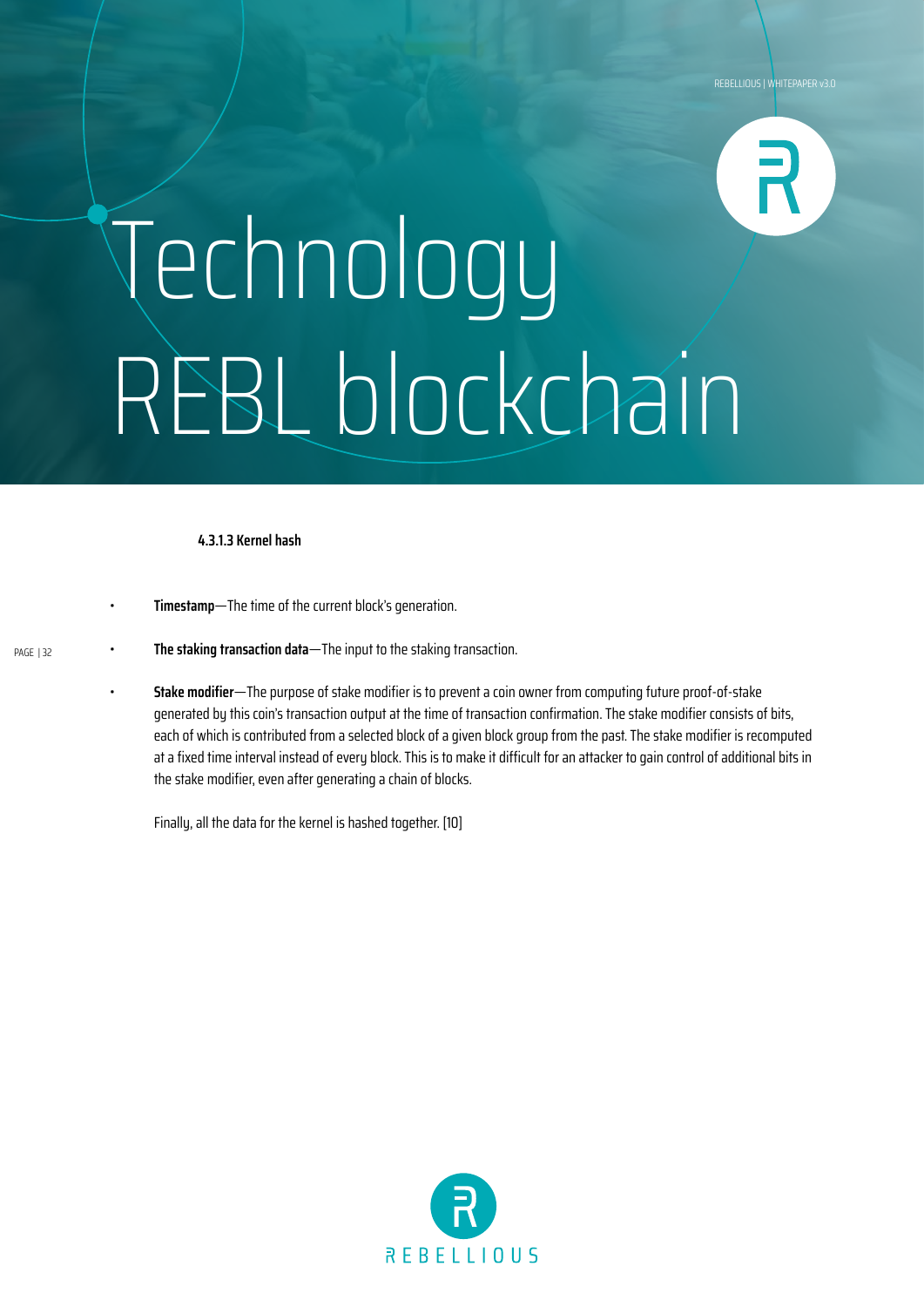# Technology REBL blockchain

#### **4.3.1.3 Kernel hash**

- **Timestamp**—The time of the current block's generation.
- PAGE | 32
- **The staking transaction data**—The input to the staking transaction.
	- **Stake modifier**—The purpose of stake modifier is to prevent a coin owner from computing future proof-of-stake generated by this coin's transaction output at the time of transaction confirmation. The stake modifier consists of bits, each of which is contributed from a selected block of a given block group from the past. The stake modifier is recomputed at a fixed time interval instead of every block. This is to make it difficult for an attacker to gain control of additional bits in the stake modifier, even after generating a chain of blocks.

Finally, all the data for the kernel is hashed together. [10]

![](_page_31_Picture_8.jpeg)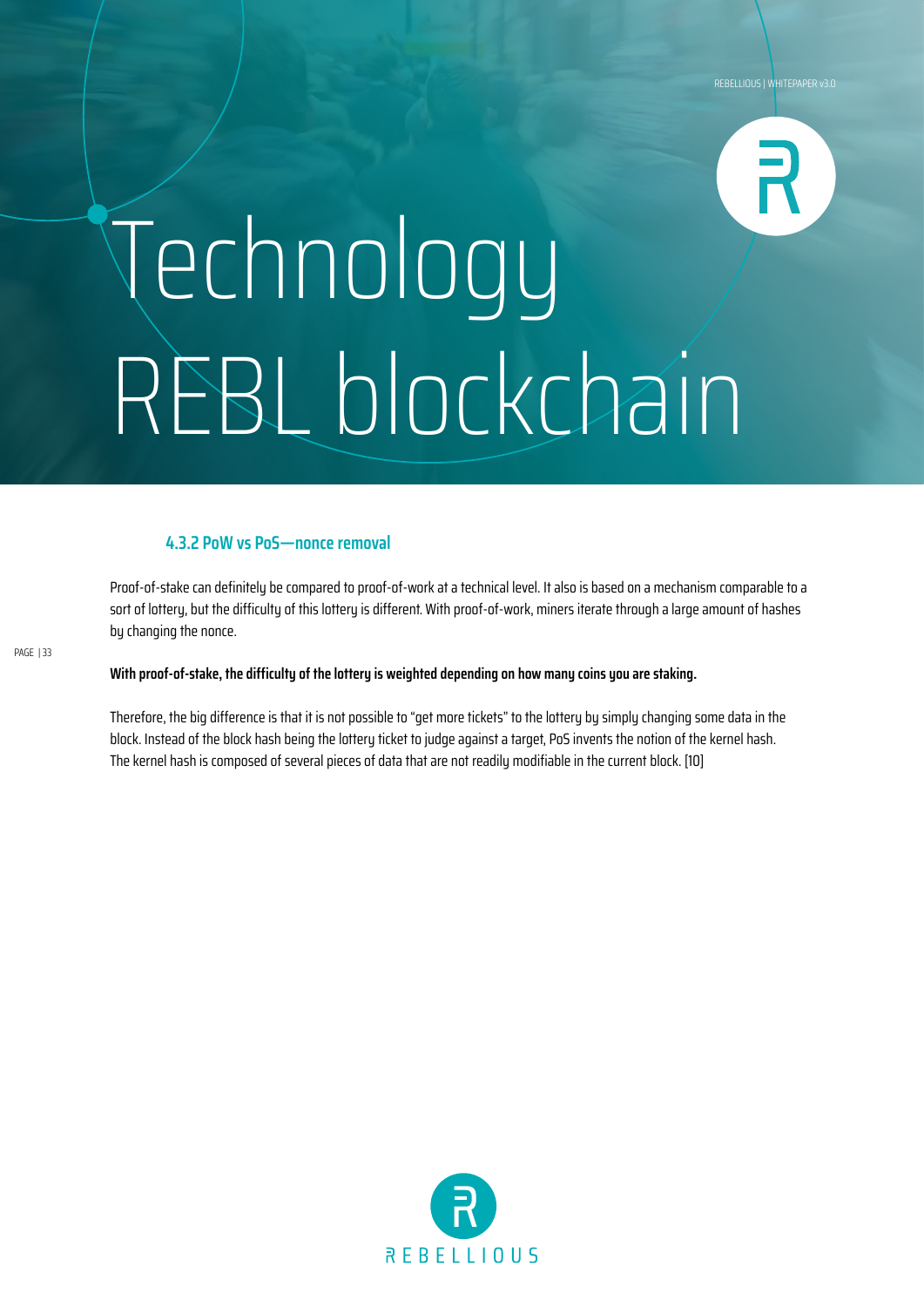# Technology REBL blockchain

### **4.3.2 PoW vs PoS—nonce removal**

Proof-of-stake can definitely be compared to proof-of-work at a technical level. It also is based on a mechanism comparable to a sort of lottery, but the difficulty of this lottery is different. With proof-of-work, miners iterate through a large amount of hashes by changing the nonce.

**With proof-of-stake, the difficulty of the lottery is weighted depending on how many coins you are staking.**

Therefore, the big difference is that it is not possible to "get more tickets" to the lottery by simply changing some data in the block. Instead of the block hash being the lottery ticket to judge against a target, PoS invents the notion of the kernel hash. The kernel hash is composed of several pieces of data that are not readily modifiable in the current block. [10]

![](_page_32_Picture_6.jpeg)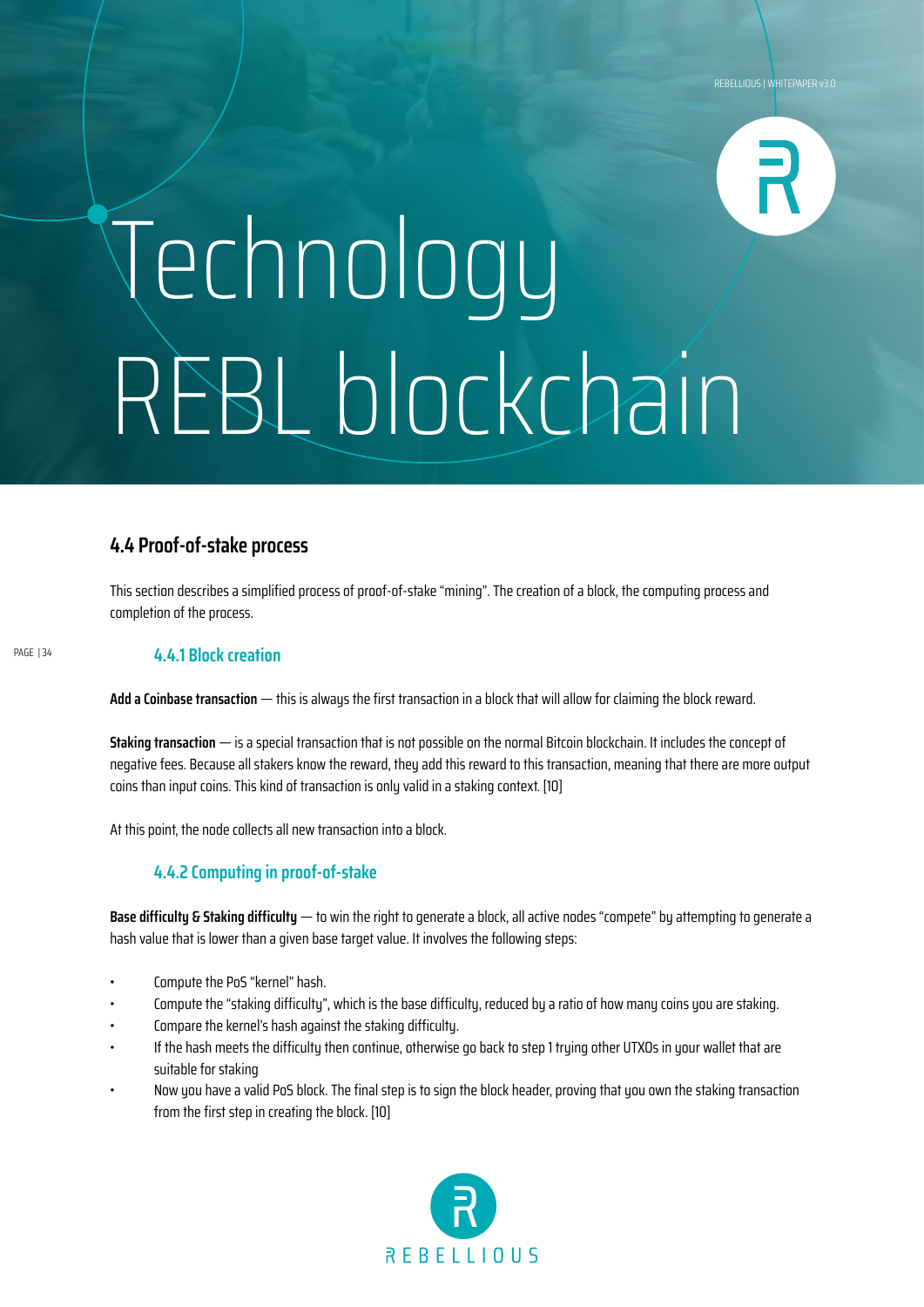# Technology REBL blockchain

### **4.4 Proof-of-stake process**

This section describes a simplified process of proof-of-stake "mining". The creation of a block, the computing process and completion of the process.

#### PAGE | 34

#### **4.4.1 Block creation**

**Add a Coinbase transaction** — this is always the first transaction in a block that will allow for claiming the block reward.

**Staking transaction** — is a special transaction that is not possible on the normal Bitcoin blockchain. It includes the concept of negative fees. Because all stakers know the reward, they add this reward to this transaction, meaning that there are more output coins than input coins. This kind of transaction is only valid in a staking context. [10]

At this point, the node collects all new transaction into a block.

#### **4.4.2 Computing in proof-of-stake**

**Base difficulty & Staking difficulty** — to win the right to generate a block, all active nodes "compete" by attempting to generate a hash value that is lower than a given base target value. It involves the following steps:

- Compute the PoS "kernel" hash.
- Compute the "staking difficulty", which is the base difficulty, reduced by a ratio of how many coins you are staking.
- Compare the kernel's hash against the staking difficulty.
- If the hash meets the difficulty then continue, otherwise go back to step 1 trying other UTXOs in your wallet that are suitable for staking
- Now you have a valid PoS block. The final step is to sign the block header, proving that you own the staking transaction from the first step in creating the block. [10]

![](_page_33_Picture_16.jpeg)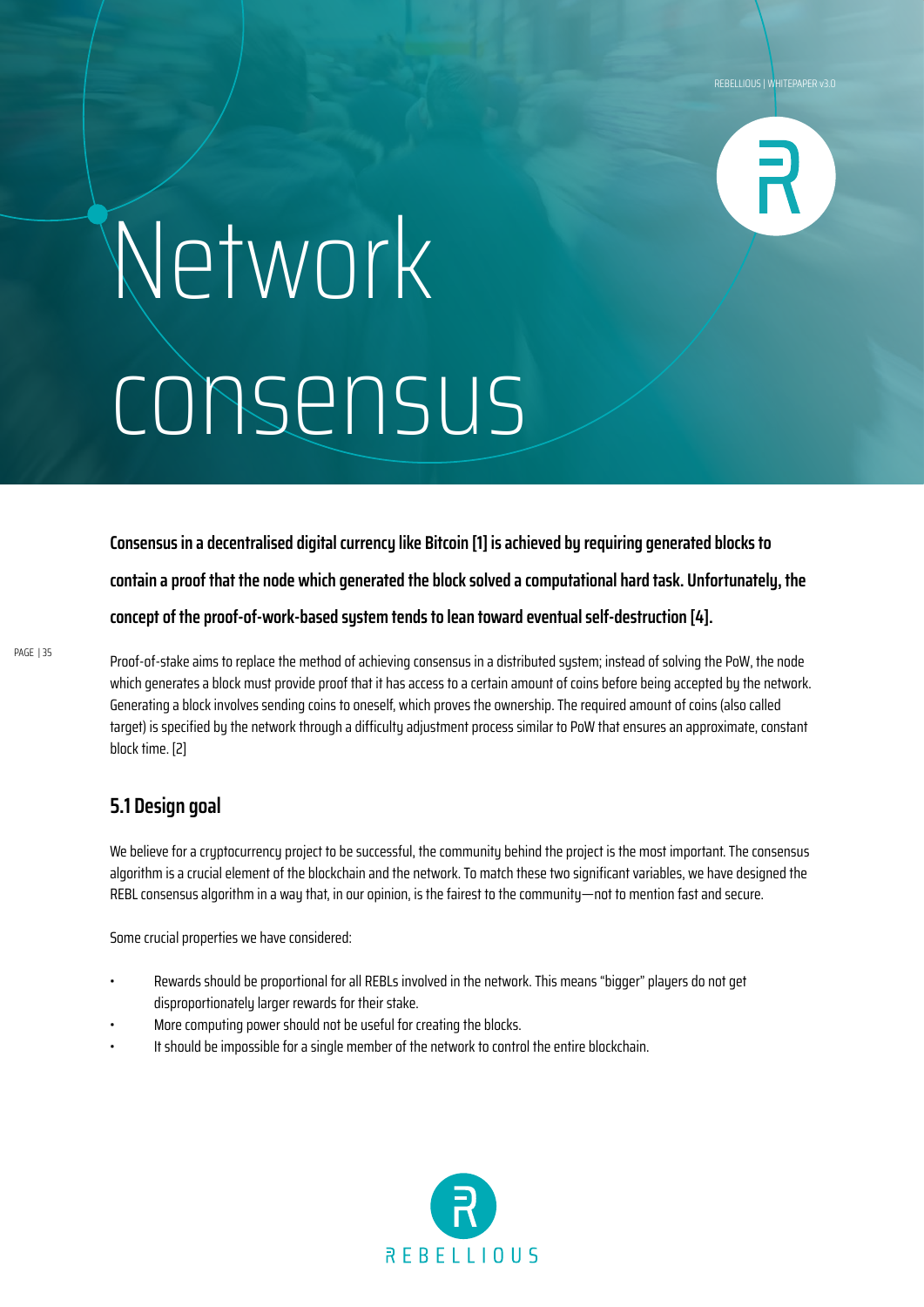![](_page_34_Picture_1.jpeg)

## Network consensus

**Consensus in a decentralised digital currency like Bitcoin [1] is achieved by requiring generated blocks to contain a proof that the node which generated the block solved a computational hard task. Unfortunately, the concept of the proof-of-work-based system tends to lean toward eventual self-destruction [4].**

Proof-of-stake aims to replace the method of achieving consensus in a distributed system; instead of solving the PoW, the node which generates a block must provide proof that it has access to a certain amount of coins before being accepted by the network. Generating a block involves sending coins to oneself, which proves the ownership. The required amount of coins (also called target) is specified by the network through a difficulty adjustment process similar to PoW that ensures an approximate, constant block time. [2]

### **5.1 Design goal**

We believe for a cryptocurrency project to be successful, the community behind the project is the most important. The consensus algorithm is a crucial element of the blockchain and the network. To match these two significant variables, we have designed the REBL consensus algorithm in a way that, in our opinion, is the fairest to the community—not to mention fast and secure.

Some crucial properties we have considered:

- Rewards should be proportional for all REBLs involved in the network. This means "bigger" players do not get disproportionately larger rewards for their stake.
- More computing power should not be useful for creating the blocks.
- It should be impossible for a single member of the network to control the entire blockchain.

![](_page_34_Picture_12.jpeg)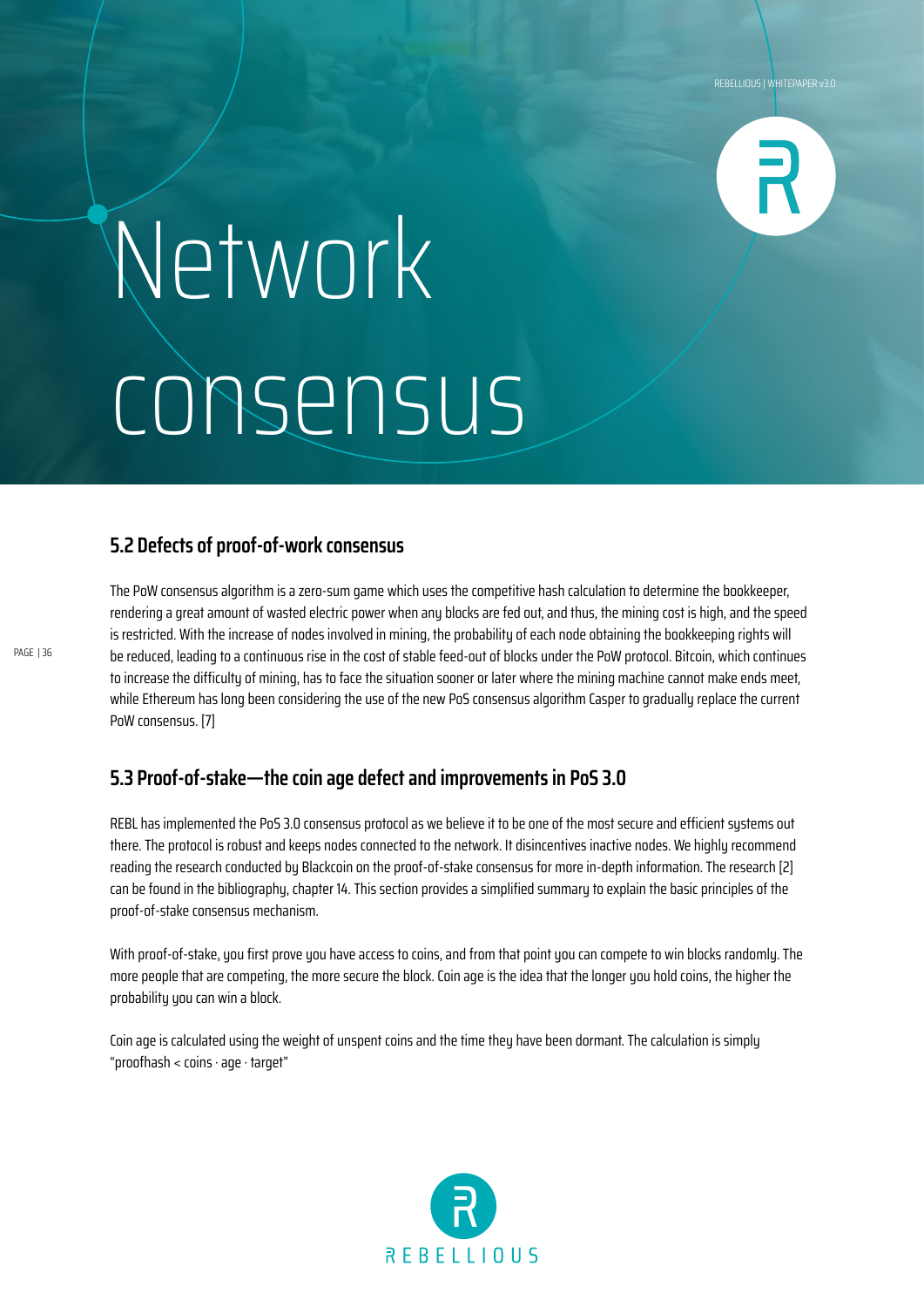![](_page_35_Picture_1.jpeg)

### Network consensus

### **5.2 Defects of proof-of-work consensus**

The PoW consensus algorithm is a zero-sum game which uses the competitive hash calculation to determine the bookkeeper, rendering a great amount of wasted electric power when any blocks are fed out, and thus, the mining cost is high, and the speed is restricted. With the increase of nodes involved in mining, the probability of each node obtaining the bookkeeping rights will be reduced, leading to a continuous rise in the cost of stable feed-out of blocks under the PoW protocol. Bitcoin, which continues to increase the difficulty of mining, has to face the situation sooner or later where the mining machine cannot make ends meet, while Ethereum has long been considering the use of the new PoS consensus algorithm Casper to gradually replace the current PoW consensus. [7]

### **5.3 Proof-of-stake—the coin age defect and improvements in PoS 3.0**

REBL has implemented the PoS 3.0 consensus protocol as we believe it to be one of the most secure and efficient systems out there. The protocol is robust and keeps nodes connected to the network. It disincentives inactive nodes. We highly recommend reading the research conducted by Blackcoin on the proof-of-stake consensus for more in-depth information. The research [2] can be found in the bibliography, chapter 14. This section provides a simplified summary to explain the basic principles of the proof-of-stake consensus mechanism.

With proof-of-stake, you first prove you have access to coins, and from that point you can compete to win blocks randomly. The more people that are competing, the more secure the block. Coin age is the idea that the longer you hold coins, the higher the probability you can win a block.

Coin age is calculated using the weight of unspent coins and the time they have been dormant. The calculation is simply "proofhash < coins · age · target"

![](_page_35_Picture_9.jpeg)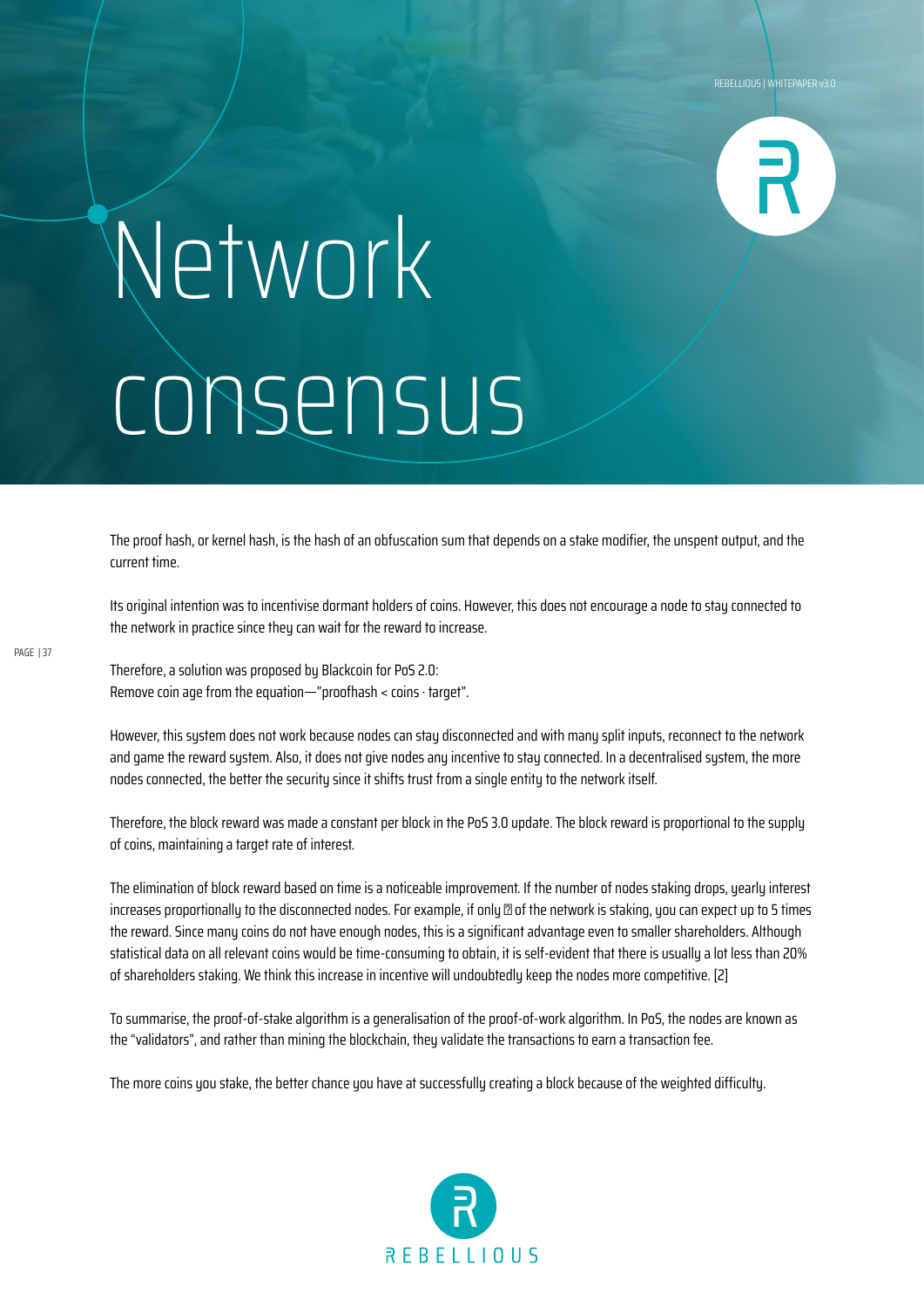![](_page_36_Picture_1.jpeg)

## Network consensus

The proof hash, or kernel hash, is the hash of an obfuscation sum that depends on a stake modifier, the unspent output, and the current time.

Its original intention was to incentivise dormant holders of coins. However, this does not encourage a node to stay connected to the network in practice since they can wait for the reward to increase.

Therefore, a solution was proposed by Blackcoin for PoS 2.0: Remove coin age from the equation—"proofhash < coins · target".

However, this system does not work because nodes can stay disconnected and with many split inputs, reconnect to the network and game the reward system. Also, it does not give nodes any incentive to stay connected. In a decentralised system, the more nodes connected, the better the security since it shifts trust from a single entity to the network itself.

Therefore, the block reward was made a constant per block in the PoS 3.0 update. The block reward is proportional to the supply of coins, maintaining a target rate of interest.

The elimination of block reward based on time is a noticeable improvement. If the number of nodes staking drops, yearly interest  $i$ ncreases proportionally to the disconnected nodes. For example, if only  $\mathbb Z$  of the network is staking, you can expect up to 5 times the reward. Since many coins do not have enough nodes, this is a significant advantage even to smaller shareholders. Although statistical data on all relevant coins would be time-consuming to obtain, it is self-evident that there is usually a lot less than 20% of shareholders staking. We think this increase in incentive will undoubtedly keep the nodes more competitive. [2]

To summarise, the proof-of-stake algorithm is a generalisation of the proof-of-work algorithm. In PoS, the nodes are known as the "validators", and rather than mining the blockchain, they validate the transactions to earn a transaction fee.

The more coins you stake, the better chance you have at successfully creating a block because of the weighted difficulty.

![](_page_36_Picture_11.jpeg)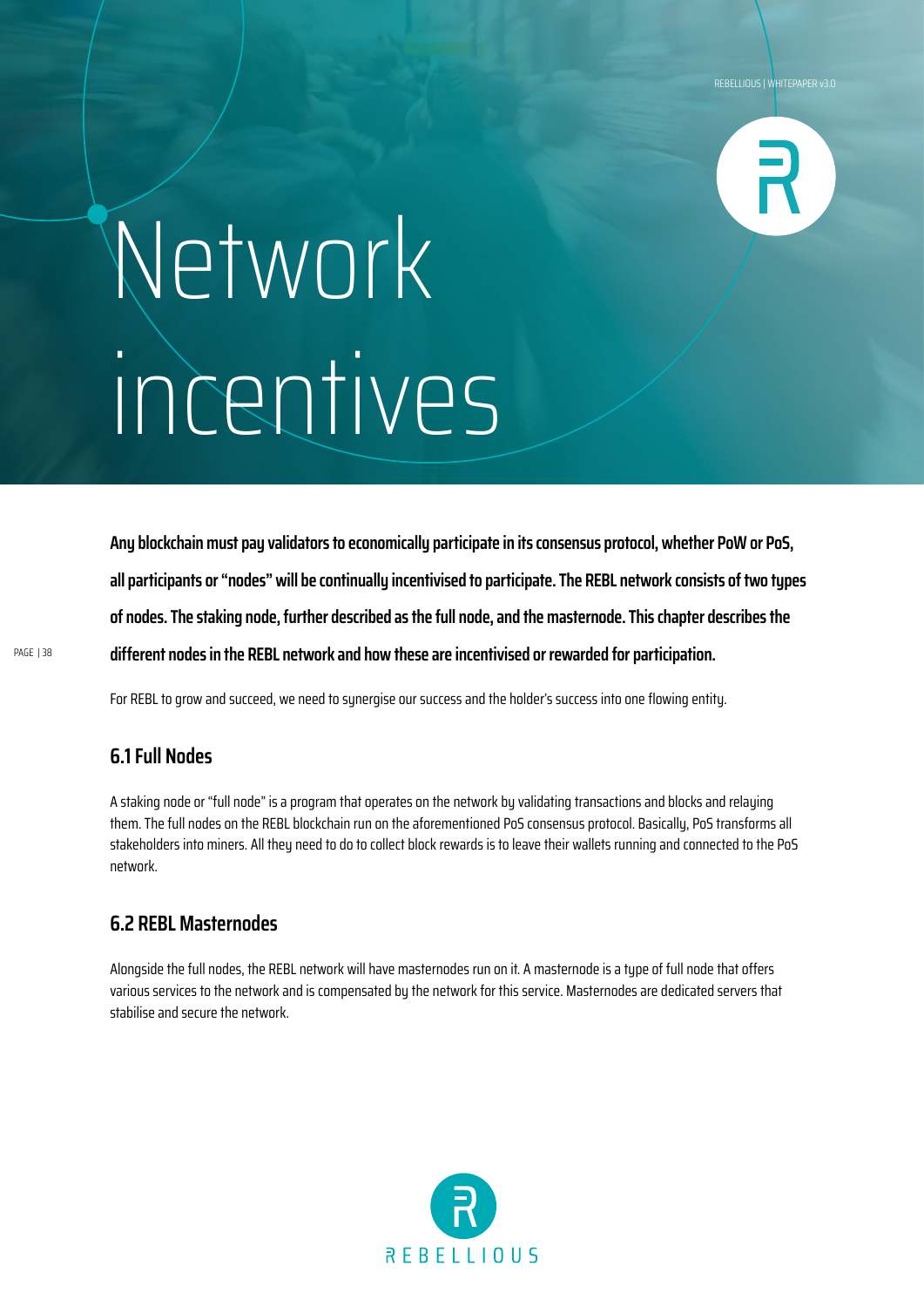![](_page_37_Picture_1.jpeg)

### Network incentives

**Any blockchain must pay validators to economically participate in its consensus protocol, whether PoW or PoS, all participants or "nodes" will be continually incentivised to participate. The REBL network consists of two types of nodes. The staking node, further described as the full node, and the masternode. This chapter describes the different nodes in the REBL network and how these are incentivised or rewarded for participation.**

PAGE | 38

For REBL to grow and succeed, we need to synergise our success and the holder's success into one flowing entity.

### **6.1 Full Nodes**

A staking node or "full node" is a program that operates on the network by validating transactions and blocks and relaying them. The full nodes on the REBL blockchain run on the aforementioned PoS consensus protocol. Basically, PoS transforms all stakeholders into miners. All they need to do to collect block rewards is to leave their wallets running and connected to the PoS network.

### **6.2 REBL Masternodes**

Alongside the full nodes, the REBL network will have masternodes run on it. A masternode is a type of full node that offers various services to the network and is compensated by the network for this service. Masternodes are dedicated servers that stabilise and secure the network.

![](_page_37_Picture_10.jpeg)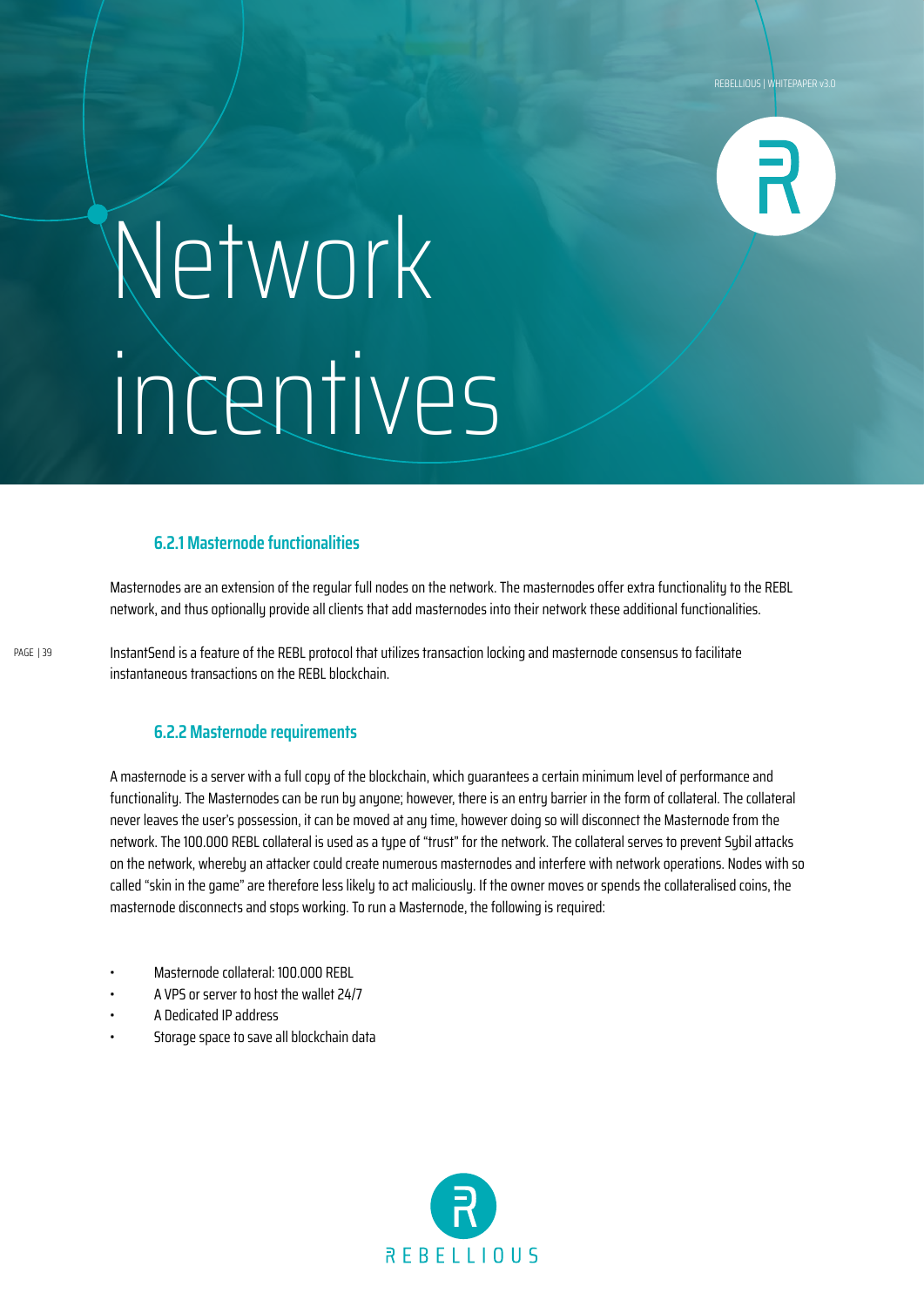![](_page_38_Picture_1.jpeg)

## Network incentives

### **6.2.1 Masternode functionalities**

Masternodes are an extension of the regular full nodes on the network. The masternodes offer extra functionality to the REBL network, and thus optionally provide all clients that add masternodes into their network these additional functionalities.

PAGE | 39

InstantSend is a feature of the REBL protocol that utilizes transaction locking and masternode consensus to facilitate instantaneous transactions on the REBL blockchain.

#### **6.2.2 Masternode requirements**

A masternode is a server with a full copy of the blockchain, which guarantees a certain minimum level of performance and functionality. The Masternodes can be run by anyone; however, there is an entry barrier in the form of collateral. The collateral never leaves the user's possession, it can be moved at any time, however doing so will disconnect the Masternode from the network. The 100.000 REBL collateral is used as a type of "trust" for the network. The collateral serves to prevent Sybil attacks on the network, whereby an attacker could create numerous masternodes and interfere with network operations. Nodes with so called "skin in the game" are therefore less likely to act maliciously. If the owner moves or spends the collateralised coins, the masternode disconnects and stops working. To run a Masternode, the following is required:

- Masternode collateral: 100.000 REBL
- A VPS or server to host the wallet 24/7
- A Dedicated IP address
- Storage space to save all blockchain data

![](_page_38_Picture_13.jpeg)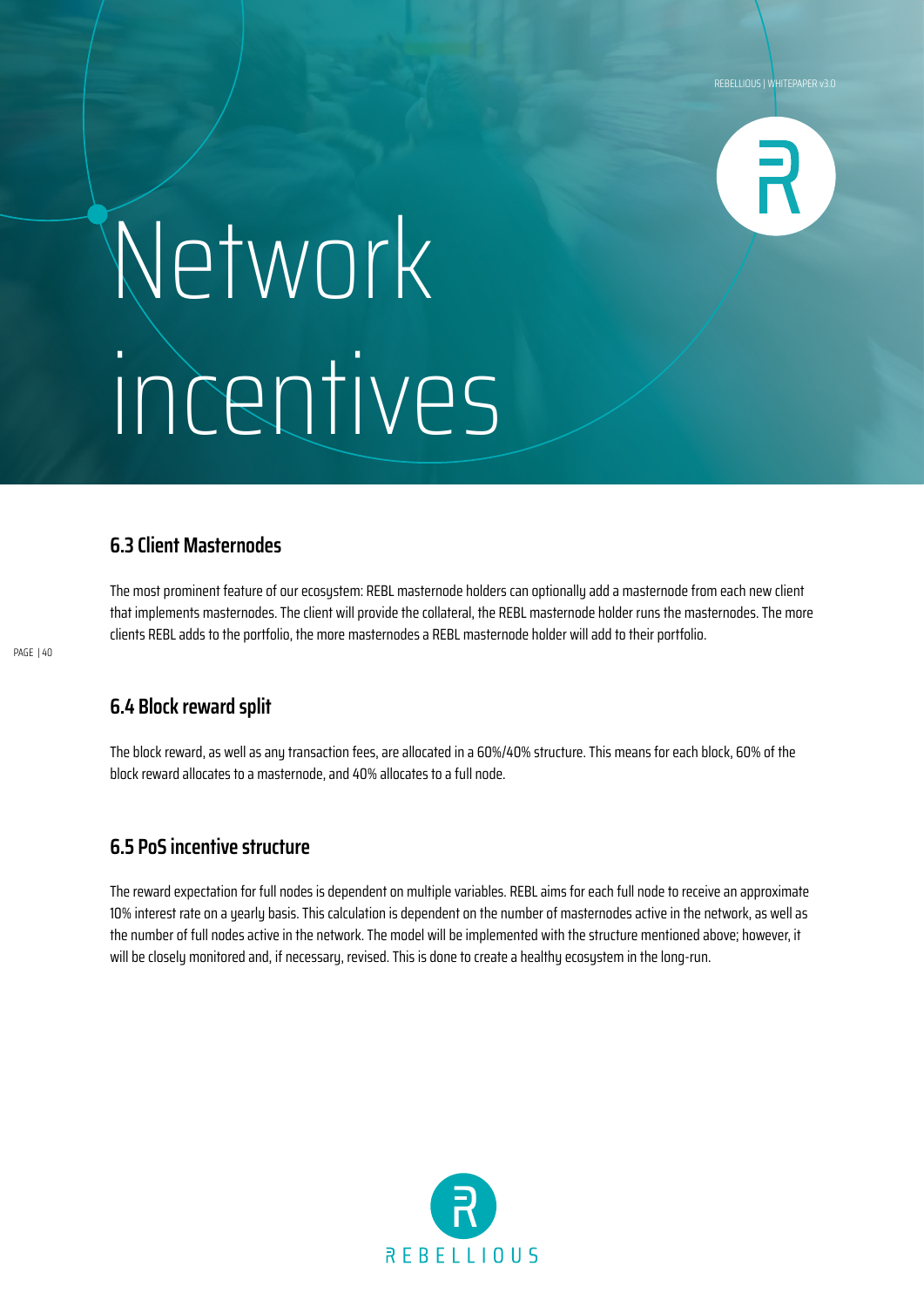![](_page_39_Picture_1.jpeg)

### Network incentives

### **6.3 Client Masternodes**

The most prominent feature of our ecosystem: REBL masternode holders can optionally add a masternode from each new client that implements masternodes. The client will provide the collateral, the REBL masternode holder runs the masternodes. The more clients REBL adds to the portfolio, the more masternodes a REBL masternode holder will add to their portfolio.

### **6.4 Block reward split**

The block reward, as well as any transaction fees, are allocated in a 60%/40% structure. This means for each block, 60% of the block reward allocates to a masternode, and 40% allocates to a full node.

### **6.5 PoS incentive structure**

The reward expectation for full nodes is dependent on multiple variables. REBL aims for each full node to receive an approximate 10% interest rate on a yearly basis. This calculation is dependent on the number of masternodes active in the network, as well as the number of full nodes active in the network. The model will be implemented with the structure mentioned above; however, it will be closely monitored and, if necessary, revised. This is done to create a healthy ecosystem in the long-run.

![](_page_39_Picture_10.jpeg)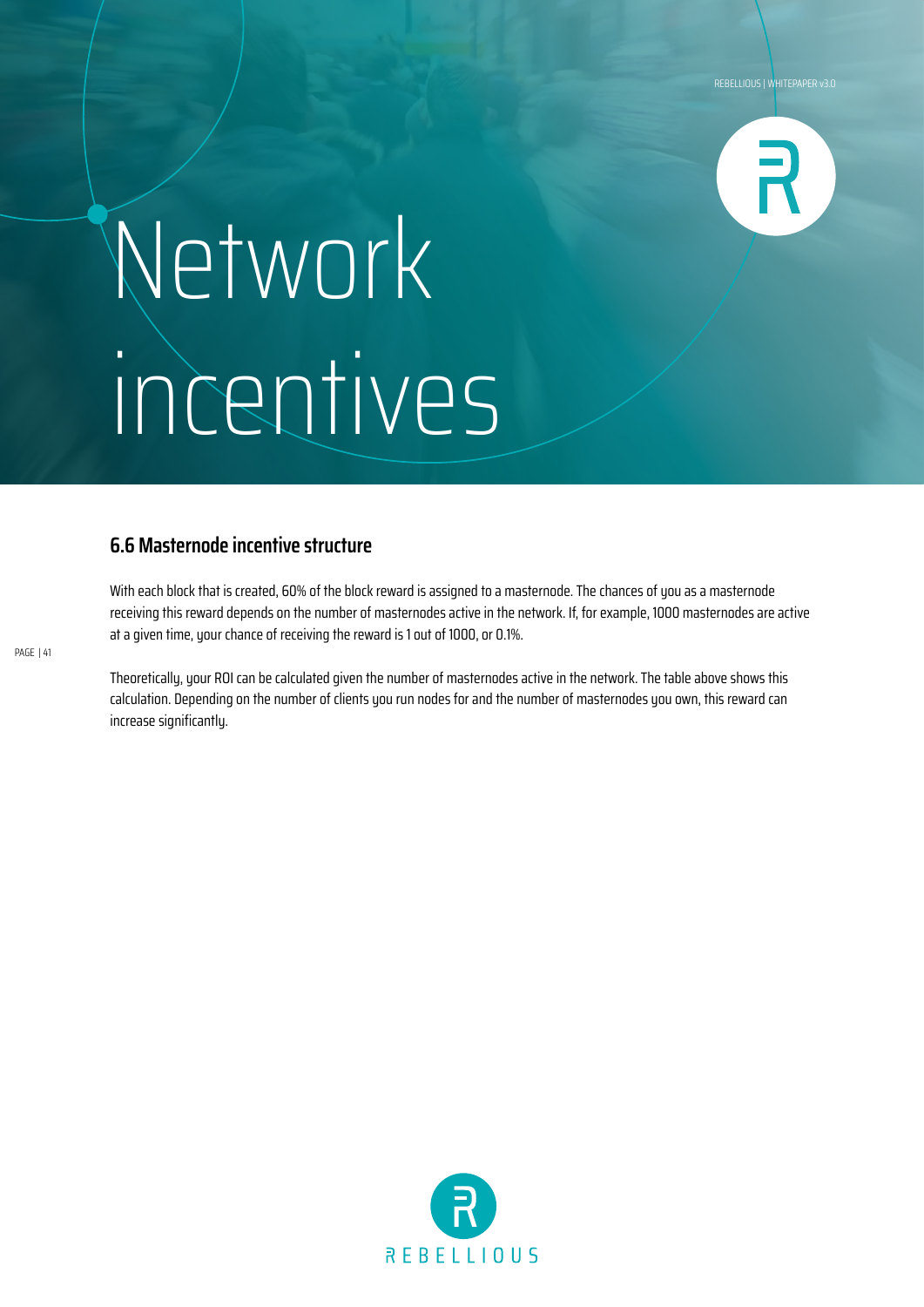![](_page_40_Picture_1.jpeg)

### Network incentives

### **6.6 Masternode incentive structure**

With each block that is created, 60% of the block reward is assigned to a masternode. The chances of you as a masternode receiving this reward depends on the number of masternodes active in the network. If, for example, 1000 masternodes are active at a given time, your chance of receiving the reward is 1 out of 1000, or 0.1%.

Theoretically, your ROI can be calculated given the number of masternodes active in the network. The table above shows this calculation. Depending on the number of clients you run nodes for and the number of masternodes you own, this reward can increase significantly.

![](_page_40_Picture_6.jpeg)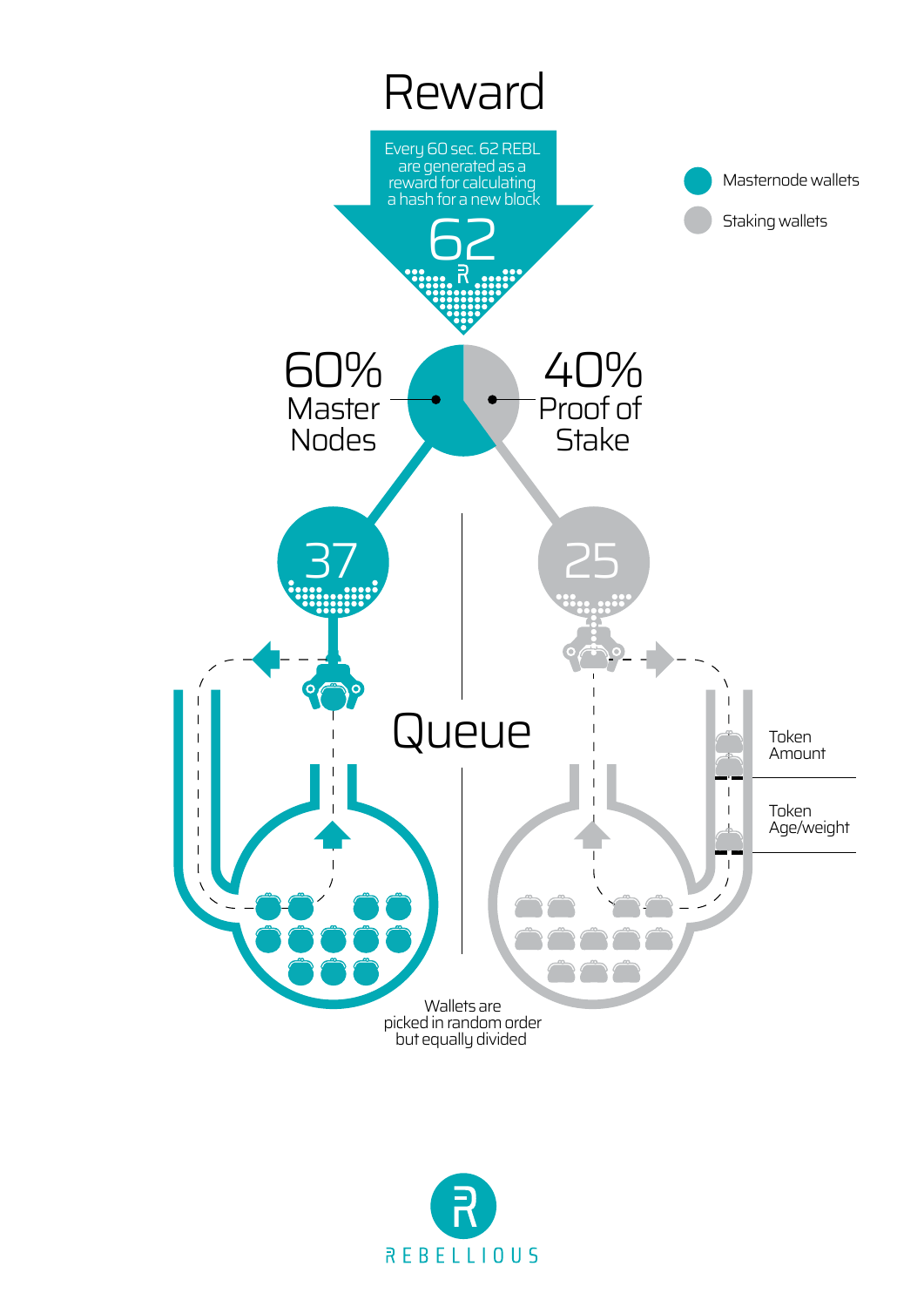![](_page_41_Figure_0.jpeg)

![](_page_41_Picture_1.jpeg)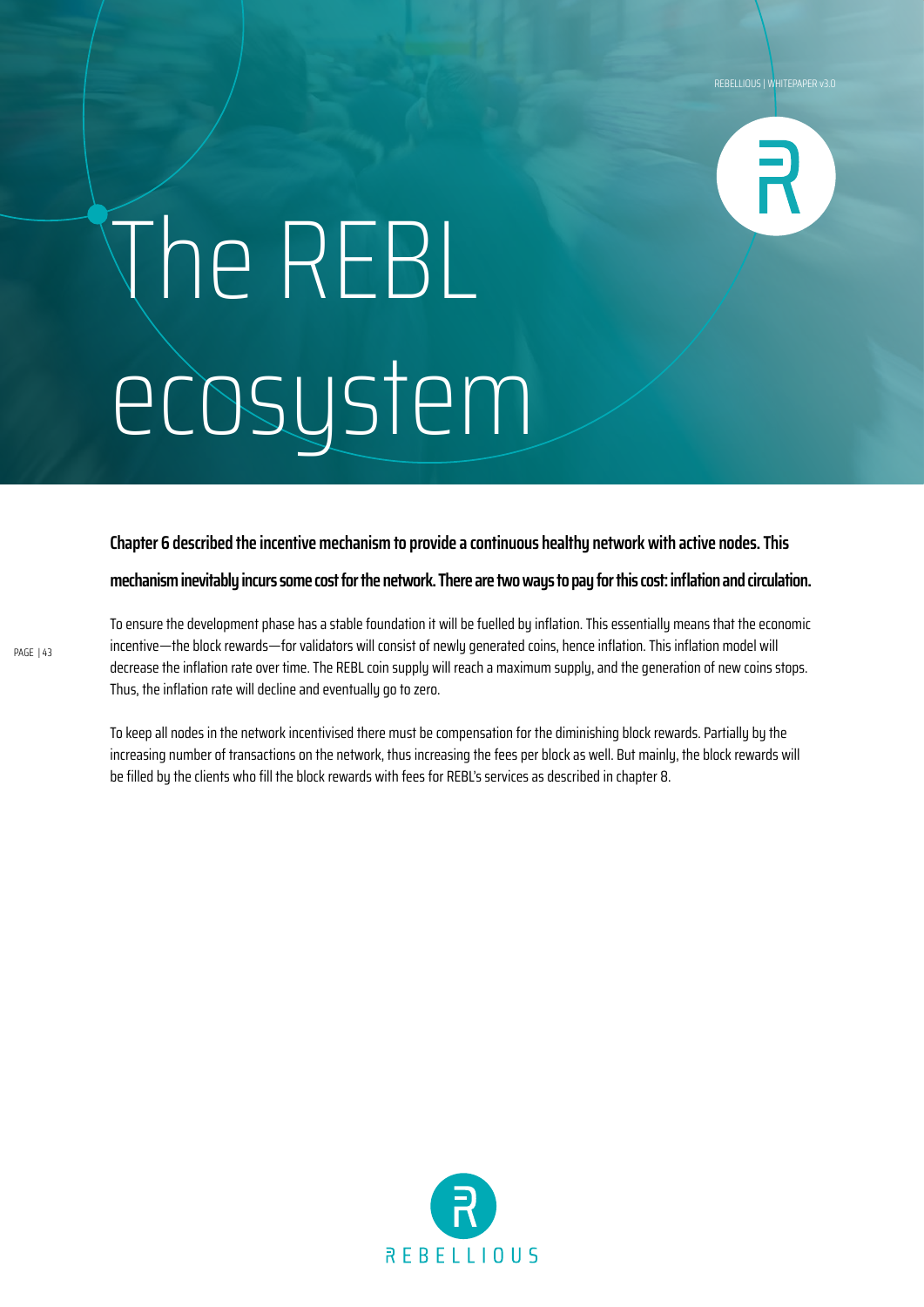![](_page_42_Picture_1.jpeg)

## The REBL ecosystem

**Chapter 6 described the incentive mechanism to provide a continuous healthy network with active nodes. This** 

**mechanism inevitably incurs some cost for the network. There are two ways to pay for this cost: inflation and circulation.**

To ensure the development phase has a stable foundation it will be fuelled by inflation. This essentially means that the economic incentive—the block rewards—for validators will consist of newly generated coins, hence inflation. This inflation model will decrease the inflation rate over time. The REBL coin supply will reach a maximum supply, and the generation of new coins stops. Thus, the inflation rate will decline and eventually go to zero.

To keep all nodes in the network incentivised there must be compensation for the diminishing block rewards. Partially by the increasing number of transactions on the network, thus increasing the fees per block as well. But mainly, the block rewards will be filled by the clients who fill the block rewards with fees for REBL's services as described in chapter 8.

![](_page_42_Picture_7.jpeg)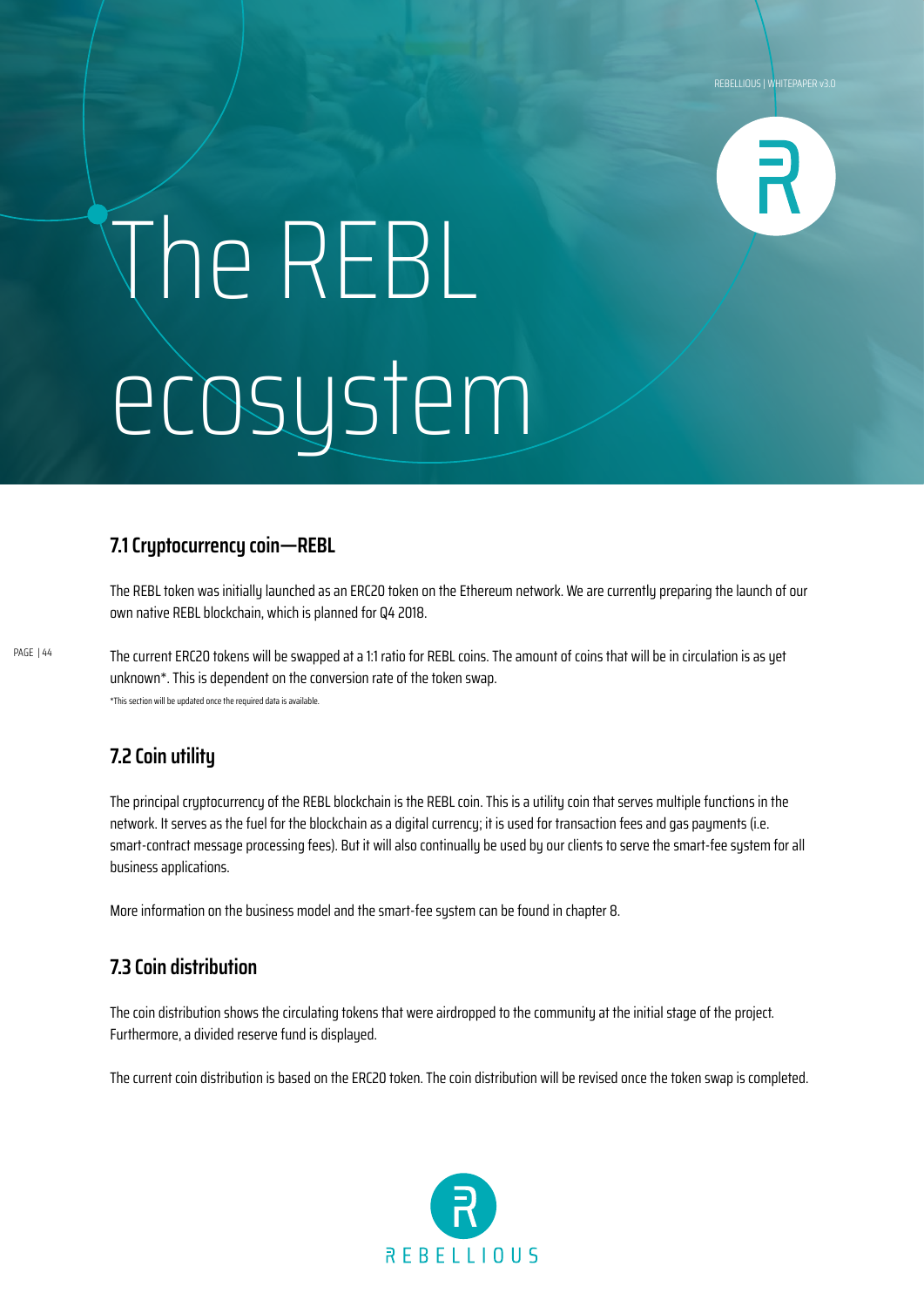![](_page_43_Picture_1.jpeg)

# The REBL ecosystem

### **7.1 Cryptocurrency coin—REBL**

The REBL token was initially launched as an ERC20 token on the Ethereum network. We are currently preparing the launch of our own native REBL blockchain, which is planned for Q4 2018.

The current ERC20 tokens will be swapped at a 1:1 ratio for REBL coins. The amount of coins that will be in circulation is as yet unknown\*. This is dependent on the conversion rate of the token swap. \*This section will be updated once the required data is available.

### **7.2 Coin utility**

PAGE | 44

The principal cryptocurrency of the REBL blockchain is the REBL coin. This is a utility coin that serves multiple functions in the network. It serves as the fuel for the blockchain as a digital currency; it is used for transaction fees and gas payments (i.e. smart-contract message processing fees). But it will also continually be used by our clients to serve the smart-fee system for all business applications.

More information on the business model and the smart-fee system can be found in chapter 8.

### **7.3 Coin distribution**

The coin distribution shows the circulating tokens that were airdropped to the community at the initial stage of the project. Furthermore, a divided reserve fund is displayed.

The current coin distribution is based on the ERC20 token. The coin distribution will be revised once the token swap is completed.

![](_page_43_Picture_12.jpeg)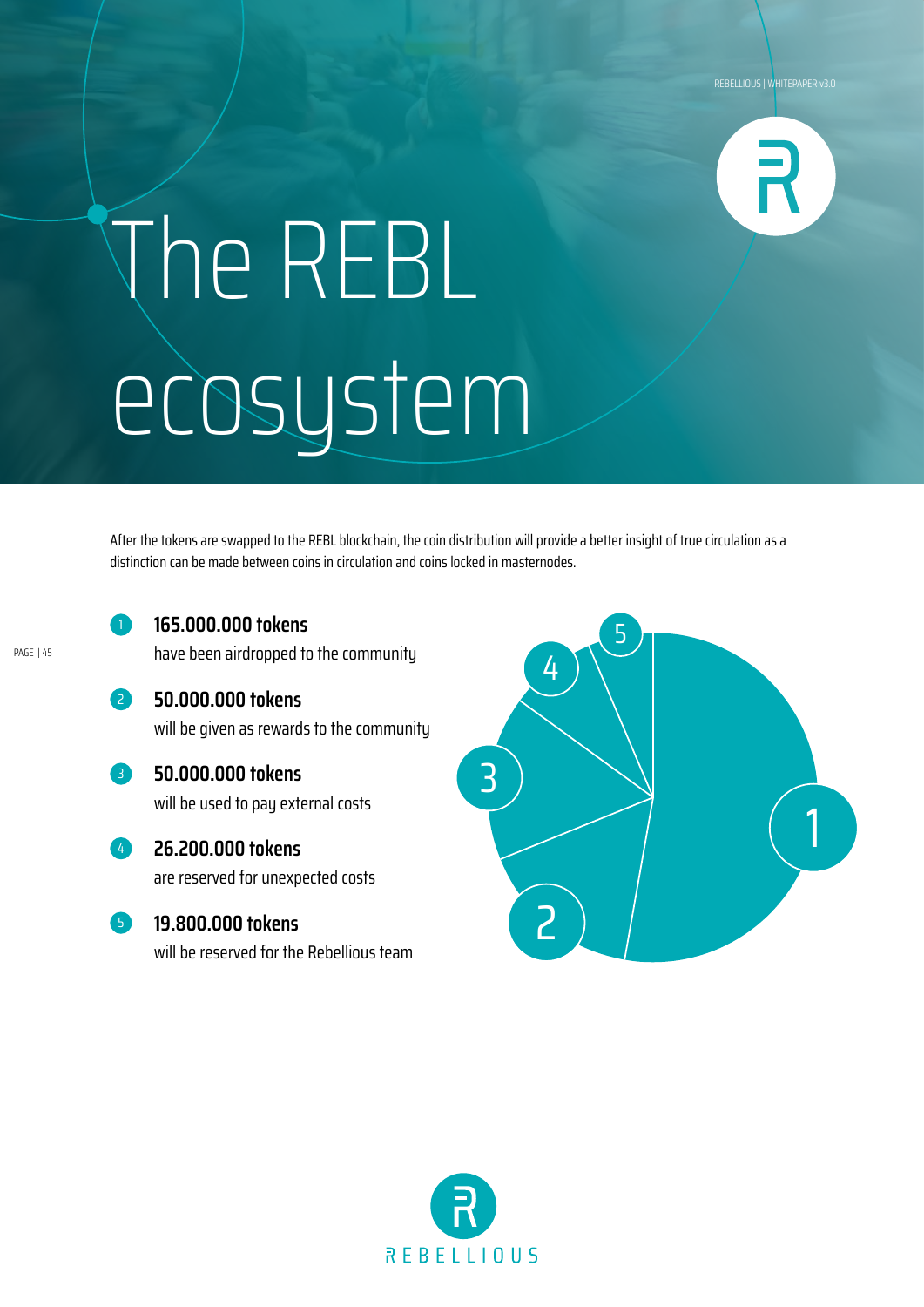![](_page_44_Picture_1.jpeg)

## The REBL ecosystem

After the tokens are swapped to the REBL blockchain, the coin distribution will provide a better insight of true circulation as a distinction can be made between coins in circulation and coins locked in masternodes.

PAGE | 45

### **165.000.000 tokens**

**50.000.000 tokens** 

have been airdropped to the community

- **50.000.000 tokens**  will be given as rewards to the community
- 3

4

2

will be used to pay external costs

**26.200.000 tokens**  are reserved for unexpected costs

**19.800.000 tokens**  5

will be reserved for the Rebellious team

![](_page_44_Picture_13.jpeg)

![](_page_44_Picture_14.jpeg)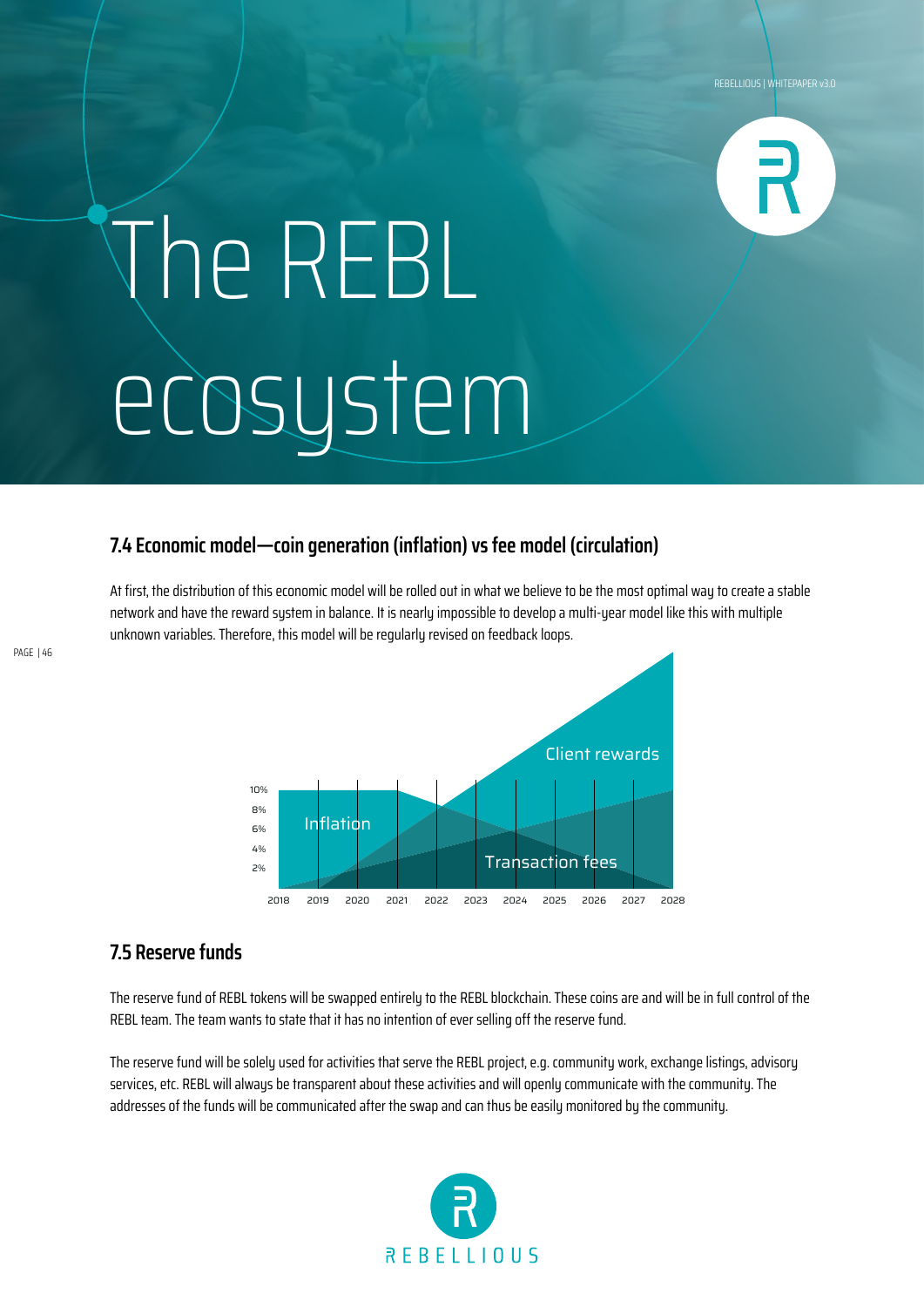![](_page_45_Picture_1.jpeg)

## The REBL ecosystem

### **7.4 Economic model—coin generation (inflation) vs fee model (circulation)**

At first, the distribution of this economic model will be rolled out in what we believe to be the most optimal way to create a stable network and have the reward system in balance. It is nearly impossible to develop a multi-year model like this with multiple unknown variables. Therefore, this model will be regularly revised on feedback loops.

![](_page_45_Figure_5.jpeg)

### **7.5 Reserve funds**

The reserve fund of REBL tokens will be swapped entirely to the REBL blockchain. These coins are and will be in full control of the REBL team. The team wants to state that it has no intention of ever selling off the reserve fund.

The reserve fund will be solely used for activities that serve the REBL project, e.g. community work, exchange listings, advisory services, etc. REBL will alwaus be transparent about these activities and will openly communicate with the community. The addresses of the funds will be communicated after the swap and can thus be easily monitored by the community.

![](_page_45_Picture_9.jpeg)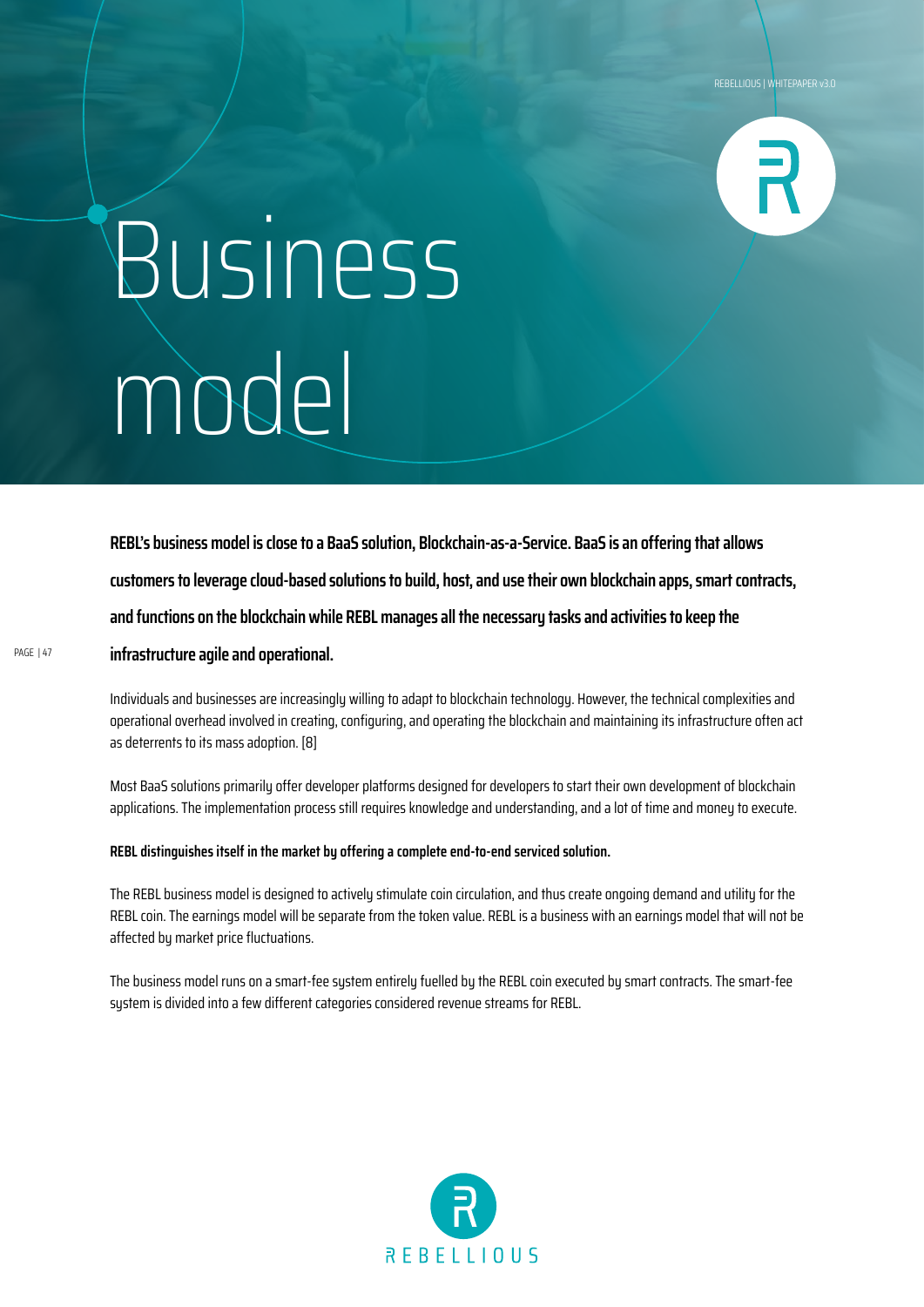![](_page_46_Picture_1.jpeg)

## Business model

**REBL's business model is close to a BaaS solution, Blockchain-as-a-Service. BaaS is an offering that allows customers to leverage cloud-based solutions to build, host, and use their own blockchain apps, smart contracts, and functions on the blockchain while REBL manages all the necessary tasks and activities to keep the infrastructure agile and operational.**

Individuals and businesses are increasingly willing to adapt to blockchain technology. However, the technical complexities and operational overhead involved in creating, configuring, and operating the blockchain and maintaining its infrastructure often act as deterrents to its mass adoption. [8]

Most BaaS solutions primarily offer developer platforms designed for developers to start their own development of blockchain applications. The implementation process still requires knowledge and understanding, and a lot of time and money to execute.

#### **REBL distinguishes itself in the market by offering a complete end-to-end serviced solution.**

The REBL business model is designed to actively stimulate coin circulation, and thus create ongoing demand and utility for the REBL coin. The earnings model will be separate from the token value. REBL is a business with an earnings model that will not be affected by market price fluctuations.

The business model runs on a smart-fee system entirely fuelled by the REBL coin executed by smart contracts. The smart-fee system is divided into a few different categories considered revenue streams for REBL.

![](_page_46_Picture_9.jpeg)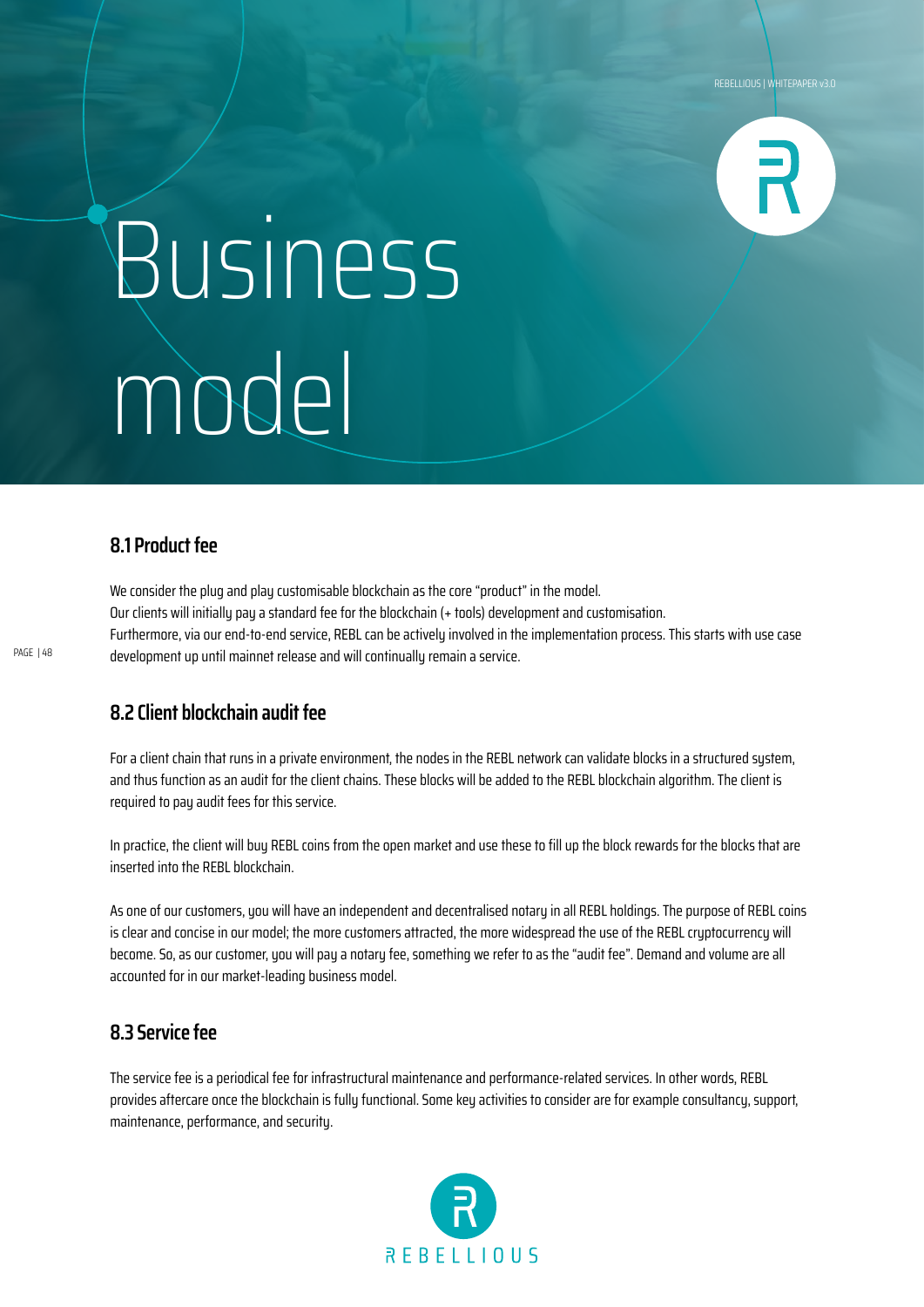![](_page_47_Picture_1.jpeg)

## Business model

### **8.1 Product fee**

We consider the plug and play customisable blockchain as the core "product" in the model. Our clients will initially pay a standard fee for the blockchain (+ tools) development and customisation. Furthermore, via our end-to-end service, REBL can be actively involved in the implementation process. This starts with use case development up until mainnet release and will continually remain a service.

### **8.2 Client blockchain audit fee**

For a client chain that runs in a private environment, the nodes in the REBL network can validate blocks in a structured sustem, and thus function as an audit for the client chains. These blocks will be added to the REBL blockchain algorithm. The client is required to pay audit fees for this service.

In practice, the client will buy REBL coins from the open market and use these to fill up the block rewards for the blocks that are inserted into the REBL blockchain.

As one of our customers, you will have an independent and decentralised notary in all REBL holdings. The purpose of REBL coins is clear and concise in our model; the more customers attracted, the more widespread the use of the REBL cryptocurrency will become. So, as our customer, you will pay a notary fee, something we refer to as the "audit fee". Demand and volume are all accounted for in our market-leading business model.

### **8.3 Service fee**

The service fee is a periodical fee for infrastructural maintenance and performance-related services. In other words, REBL provides aftercare once the blockchain is fully functional. Some key activities to consider are for example consultancy, support, maintenance, performance, and security.

![](_page_47_Picture_11.jpeg)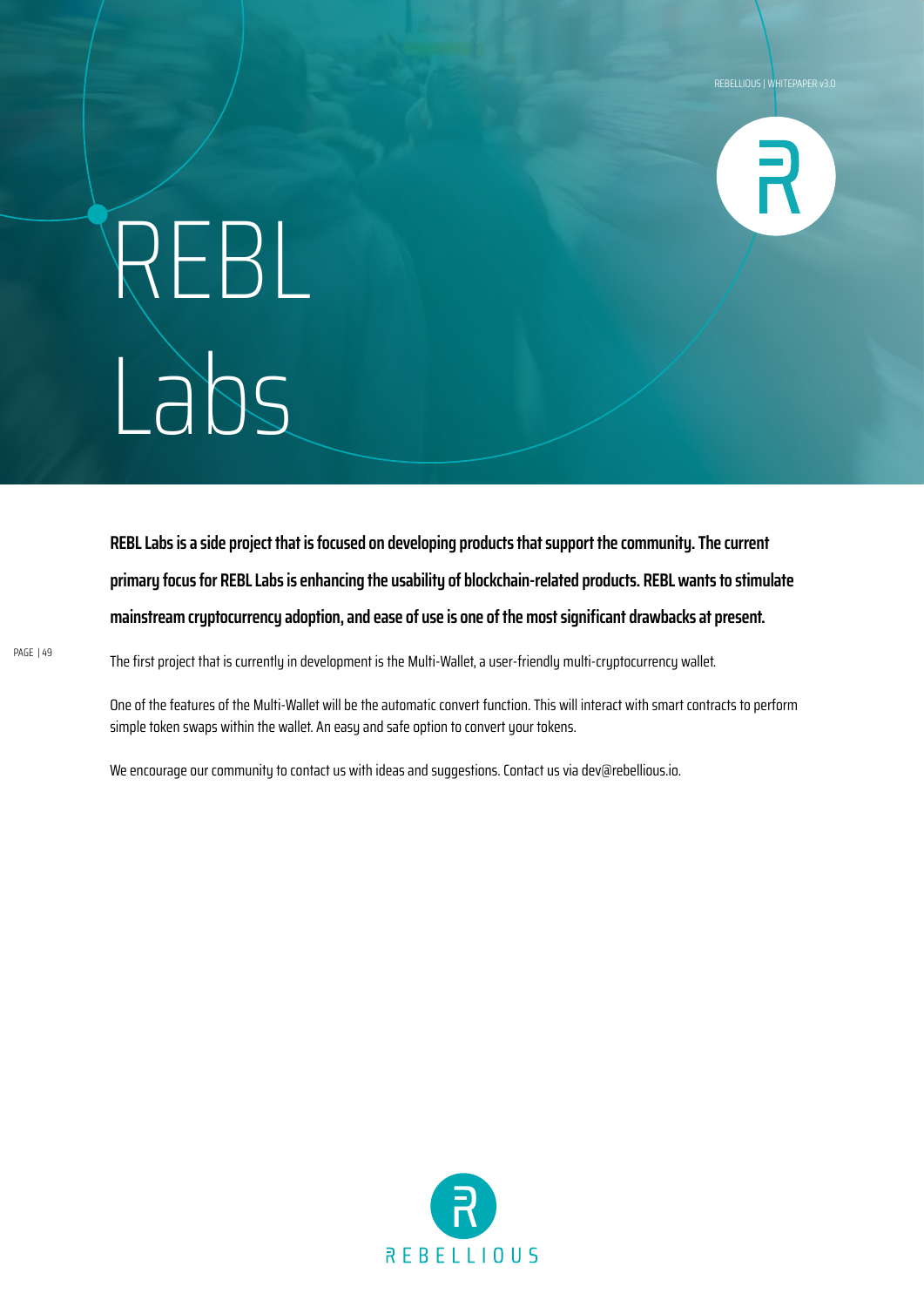![](_page_48_Picture_1.jpeg)

## REBL Labs

**REBL Labs is a side project that is focused on developing products that support the community. The current primary focus for REBL Labs is enhancing the usability of blockchain-related products. REBL wants to stimulate mainstream cryptocurrency adoption, and ease of use is one of the most significant drawbacks at present.**

The first project that is currently in development is the Multi-Wallet, a user-friendly multi-cryptocurrency wallet.

One of the features of the Multi-Wallet will be the automatic convert function. This will interact with smart contracts to perform simple token swaps within the wallet. An easy and safe option to convert your tokens.

We encourage our community to contact us with ideas and suggestions. Contact us via dev@rebellious.io.

![](_page_48_Picture_7.jpeg)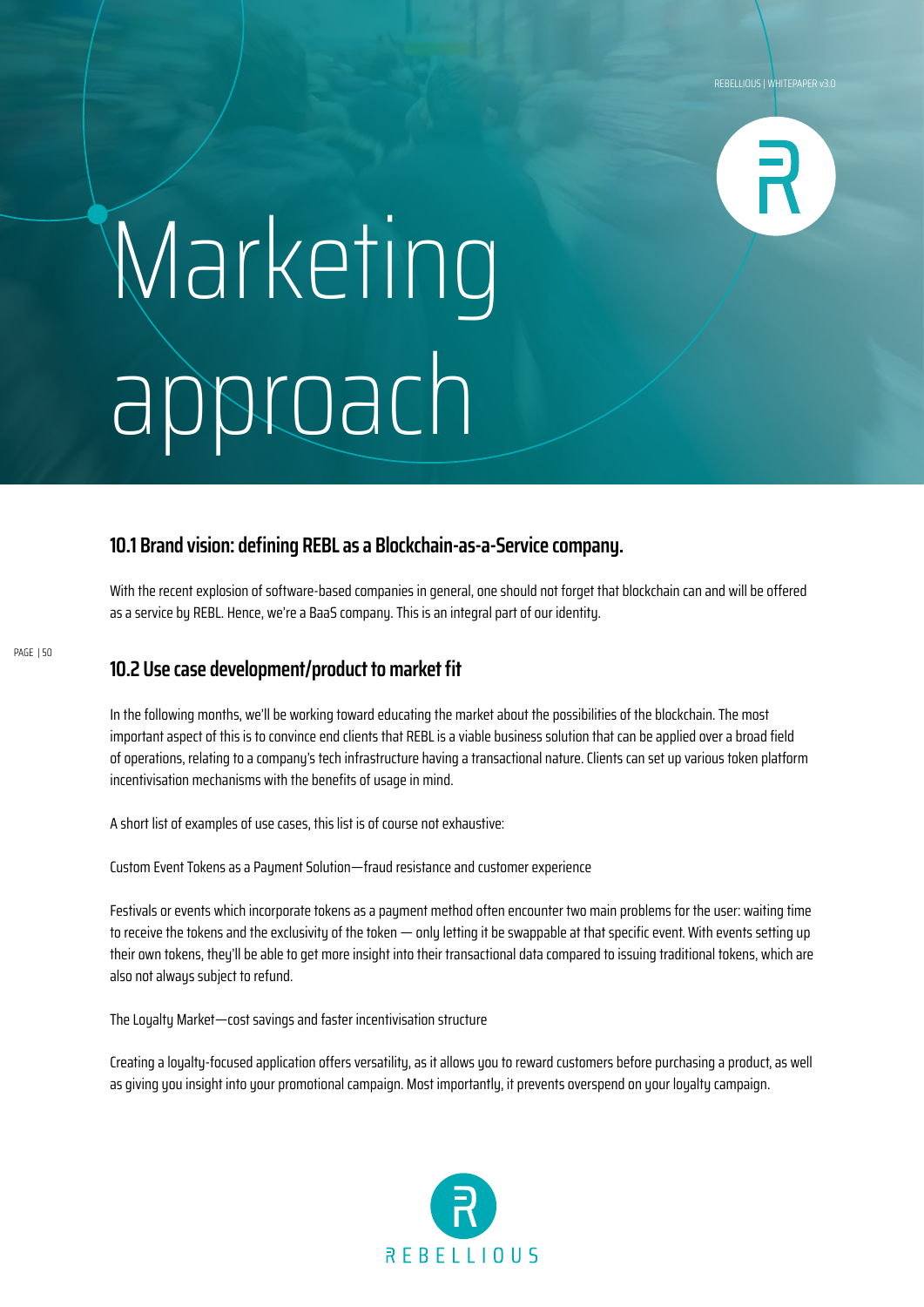![](_page_49_Picture_1.jpeg)

## Marketing approach

### **10.1 Brand vision: defining REBL as a Blockchain-as-a-Service company.**

With the recent explosion of software-based companies in general, one should not forget that blockchain can and will be offered as a service by REBL. Hence, we're a BaaS company. This is an integral part of our identity.

### **10.2 Use case development/product to market fit**

In the following months, we'll be working toward educating the market about the possibilities of the blockchain. The most important aspect of this is to convince end clients that REBL is a viable business solution that can be applied over a broad field of operations, relating to a company's tech infrastructure having a transactional nature. Clients can set up various token platform incentivisation mechanisms with the benefits of usage in mind.

A short list of examples of use cases, this list is of course not exhaustive:

Custom Event Tokens as a Payment Solution—fraud resistance and customer experience

Festivals or events which incorporate tokens as a payment method often encounter two main problems for the user: waiting time to receive the tokens and the exclusivity of the token — only letting it be swappable at that specific event. With events setting up their own tokens, they'll be able to get more insight into their transactional data compared to issuing traditional tokens, which are also not always subject to refund.

The Loualtu Market—cost savings and faster incentivisation structure

Creating a loyalty-focused application offers versatility, as it allows you to reward customers before purchasing a product, as well as giving you insight into your promotional campaign. Most importantly, it prevents overspend on your loyalty campaign.

![](_page_49_Picture_12.jpeg)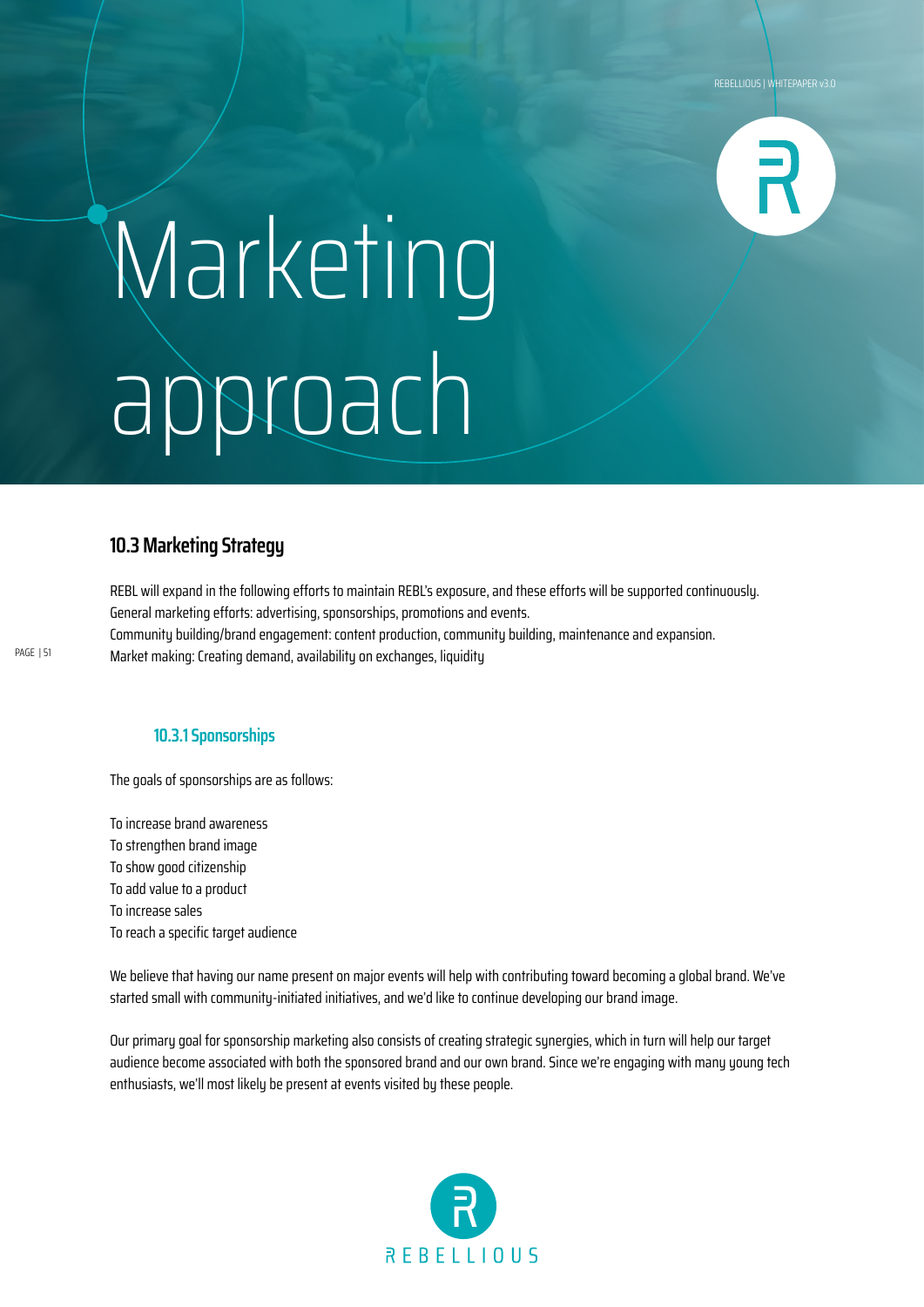![](_page_50_Picture_1.jpeg)

## Marketing approach

### **10.3 Marketing Strategy**

PAGE | 51

REBL will expand in the following efforts to maintain REBL's exposure, and these efforts will be supported continuously. General marketing efforts: advertising, sponsorships, promotions and events. Community building/brand engagement: content production, community building, maintenance and expansion. Market making: Creating demand, availability on exchanges, liquidity

**10.3.1 Sponsorships**

The goals of sponsorships are as follows:

To increase brand awareness To strengthen brand image To show good citizenship To add value to a product To increase sales To reach a specific target audience

We believe that having our name present on major events will help with contributing toward becoming a global brand. We've started small with community-initiated initiatives, and we'd like to continue developing our brand image.

Our primary goal for sponsorship marketing also consists of creating strategic synergies, which in turn will help our target audience become associated with both the sponsored brand and our own brand. Since we're engaging with many young tech enthusiasts, we'll most likely be present at events visited by these people.

![](_page_50_Picture_10.jpeg)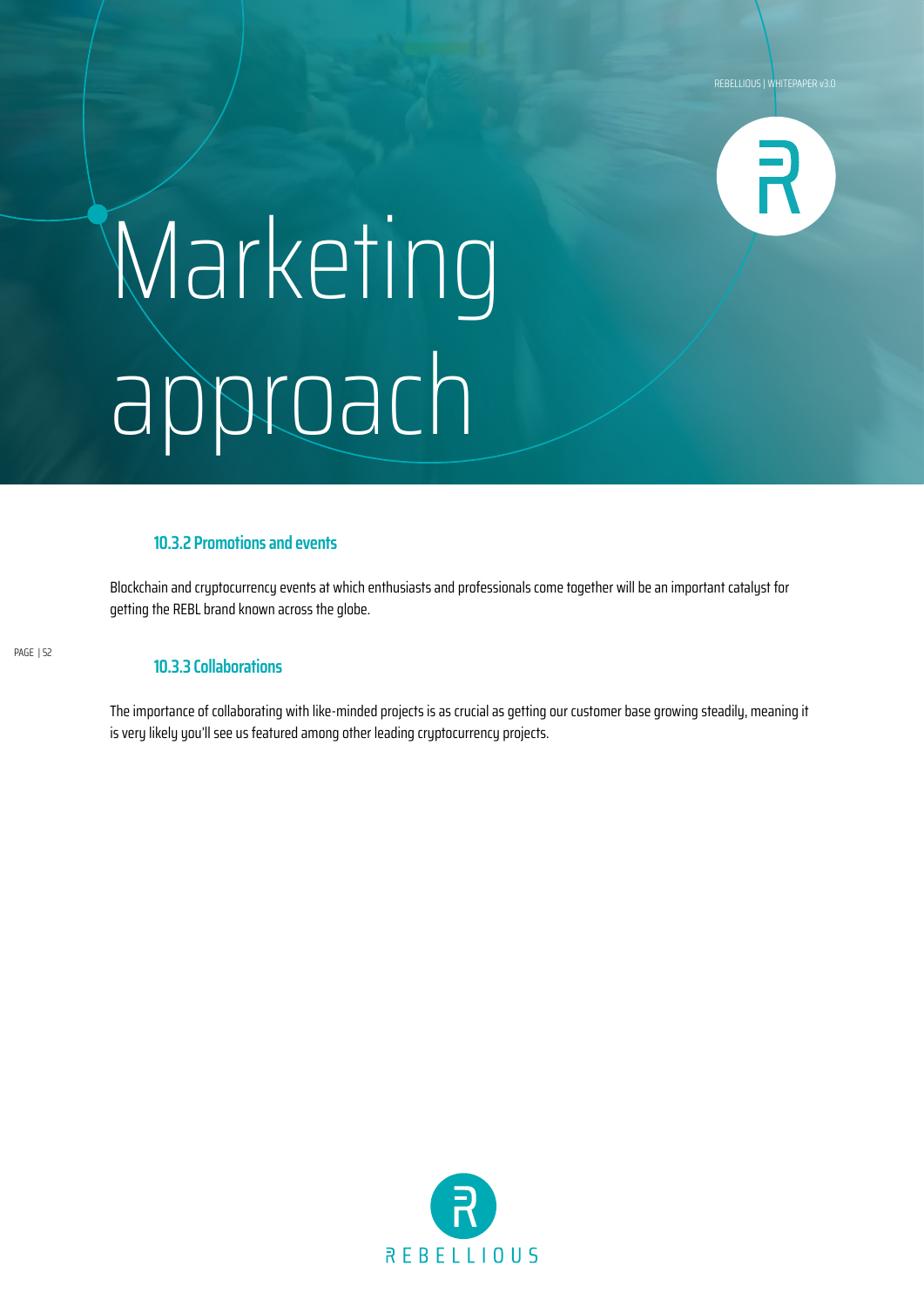![](_page_51_Picture_1.jpeg)

## Marketing approach

### **10.3.2 Promotions and events**

Blockchain and cruptocurrency events at which enthusiasts and professionals come together will be an important catalyst for getting the REBL brand known across the globe.

PAGE | 52

#### **10.3.3 Collaborations**

The importance of collaborating with like-minded projects is as crucial as getting our customer base growing steadily, meaning it is very likely you'll see us featured among other leading cryptocurrency projects.

![](_page_51_Picture_8.jpeg)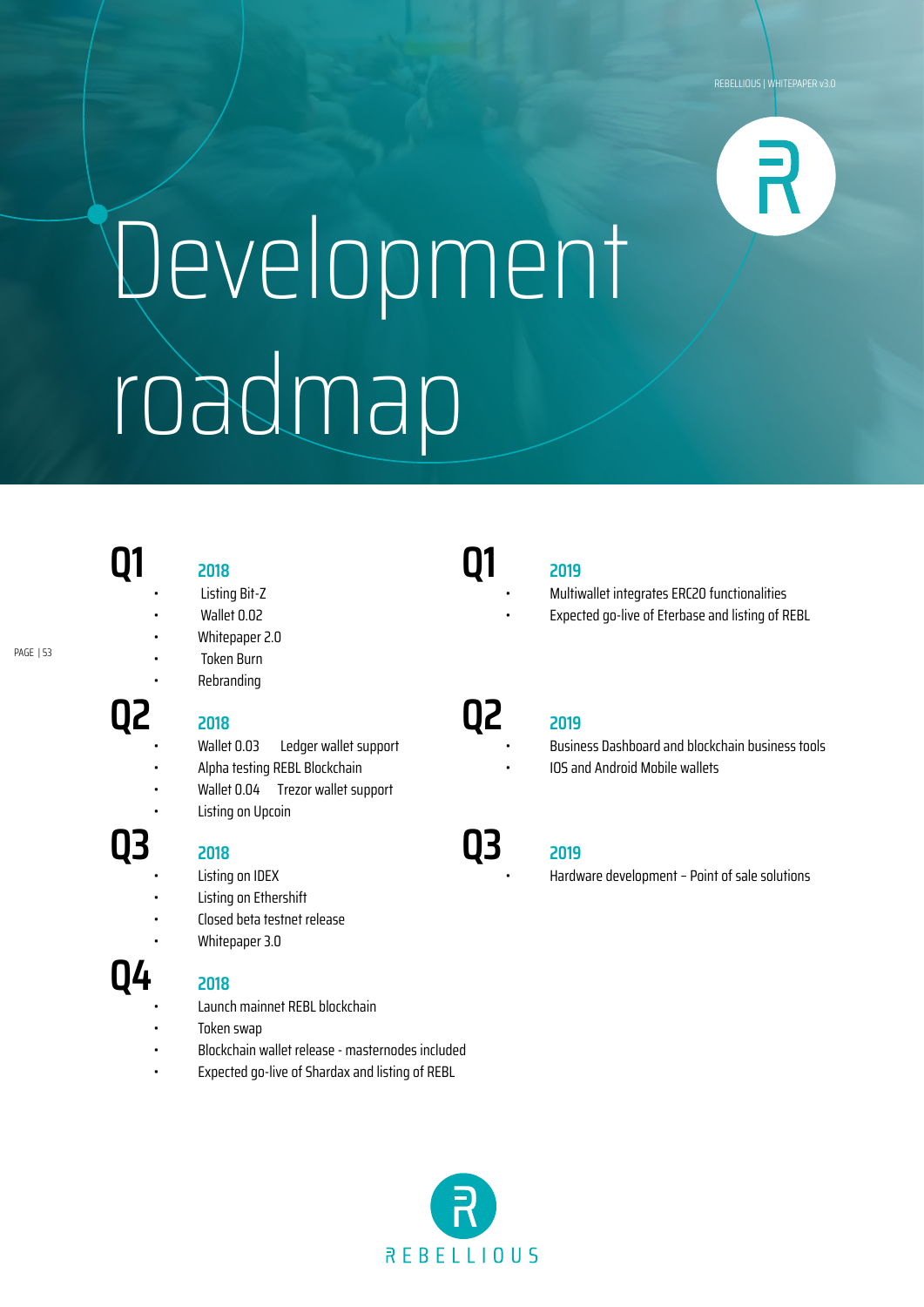# Development roadmap

### **Q1 2018**

PAGE | 53

### **Q2 2018**

- 
- 

### **Q3 <sup>2018</sup>**

- Listing on IDEX
- Listing on Ethershift

• Listing Bit-Z • Wallet 0.02 • Whitepaper 2.0 • Token Burn • Rebranding

• Closed beta testnet release

• Listing on Upcoin

• Alpha testing REBL Blockchain • Wallet 0.04 Trezor wallet support

• Whitepaper 3.0

### **Q4 <sup>2018</sup>**

- 
- Launch mainnet REBL blockchain
- Token swap
- Blockchain wallet release masternodes included

Ledger wallet support

• Expected go-live of Shardax and listing of REBL

![](_page_52_Picture_20.jpeg)

### **Q1 2019**

- Multiwallet integrates ERC20 functionalities
	- Expected go-live of Eterbase and listing of REBL

**Q2 <sup>2019</sup>**

• Business Dashboard and blockchain business tools • IOS and Android Mobile wallets

### **Q3 <sup>2019</sup>**

• Hardware development – Point of sale solutions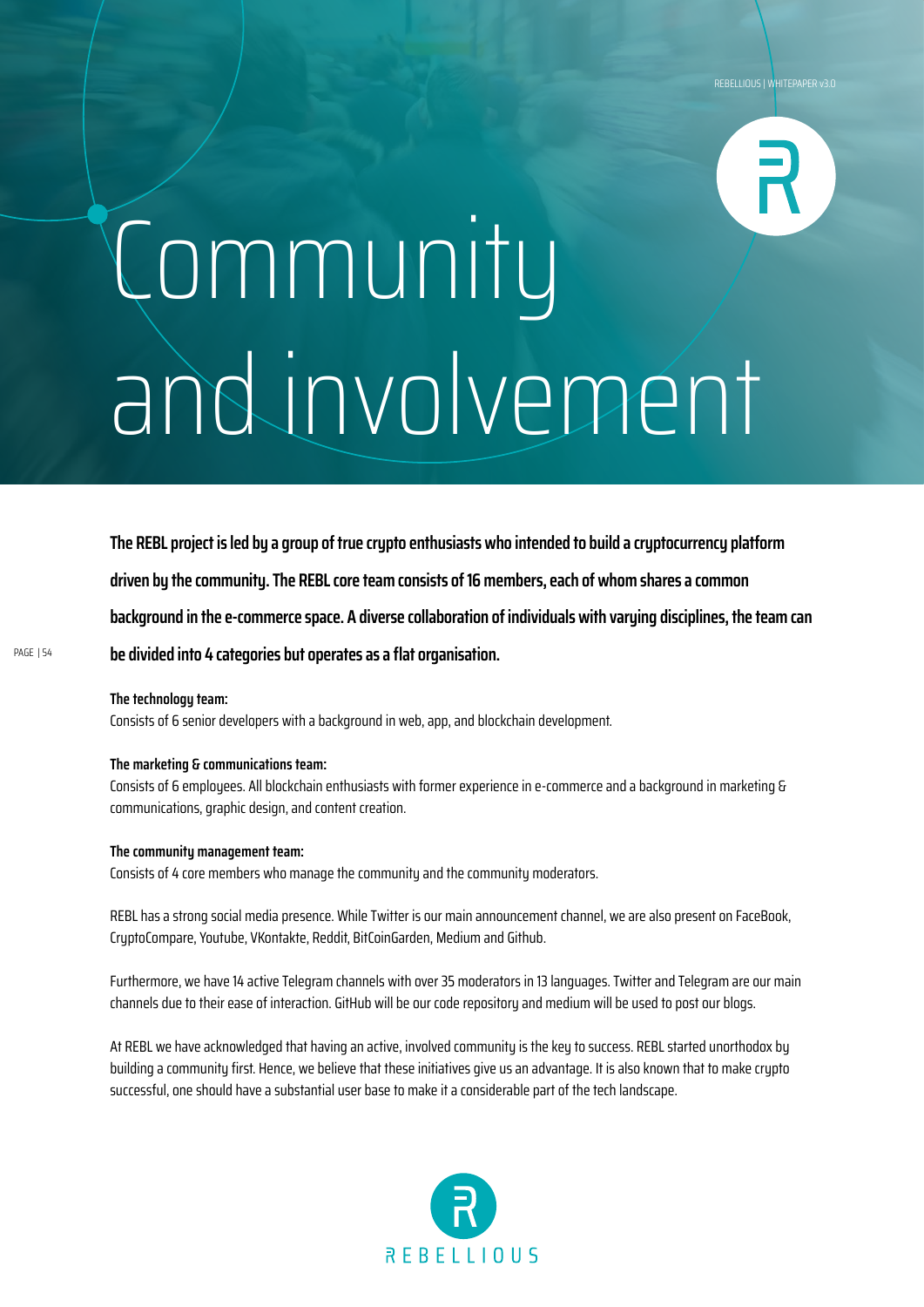# Community and involvement

**The REBL project is led by a group of true crypto enthusiasts who intended to build a cryptocurrency platform driven by the community. The REBL core team consists of 16 members, each of whom shares a common background in the e-commerce space. A diverse collaboration of individuals with varying disciplines, the team can be divided into 4 categories but operates as a flat organisation.**

**The technology team:**

Consists of 6 senior developers with a background in web, app, and blockchain development.

#### **The marketing & communications team:**

Consists of 6 employees. All blockchain enthusiasts with former experience in e-commerce and a background in marketing & communications, graphic design, and content creation.

#### **The community management team:**

Consists of 4 core members who manage the community and the community moderators.

REBL has a strong social media presence. While Twitter is our main announcement channel, we are also present on FaceBook, CryptoCompare, Youtube, VKontakte, Reddit, BitCoinGarden, Medium and Github.

Furthermore, we have 14 active Telegram channels with over 35 moderators in 13 languages. Twitter and Telegram are our main channels due to their ease of interaction. GitHub will be our code repository and medium will be used to post our blogs.

At REBL we have acknowledged that having an active, involved community is the key to success. REBL started unorthodox by building a community first. Hence, we believe that these initiatives give us an advantage. It is also known that to make crypto successful, one should have a substantial user base to make it a considerable part of the tech landscape.

![](_page_53_Picture_12.jpeg)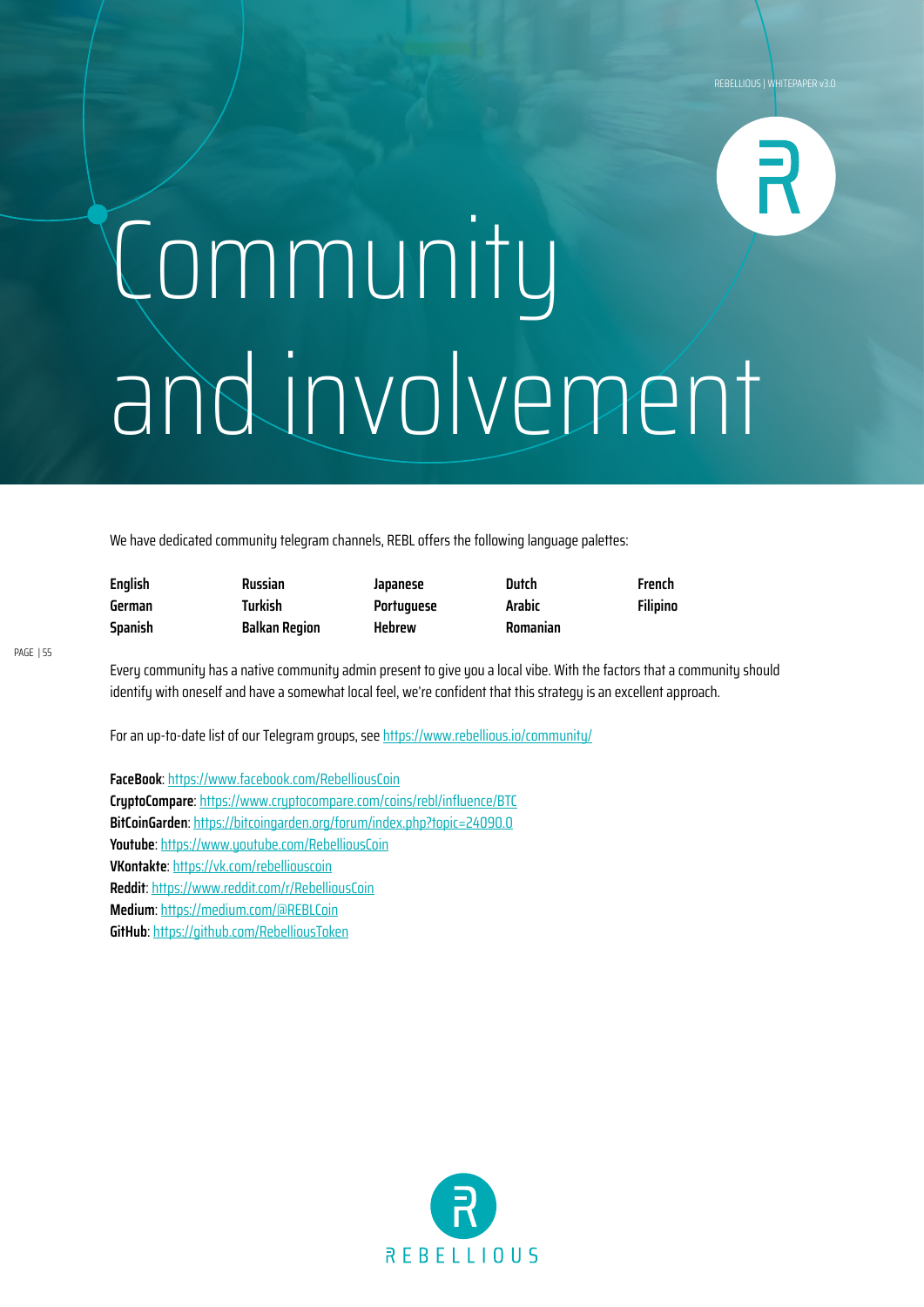# Community and involvement

We have dedicated community telegram channels, REBL offers the following language palettes:

| <b>English</b> | Russian              | Japanese      | Dutch    | French          |
|----------------|----------------------|---------------|----------|-----------------|
| German         | Turkish              | Portuguese    | Arabic   | <b>Filipino</b> |
| Spanish        | <b>Balkan Region</b> | <b>Hebrew</b> | Romanian |                 |

Every community has a native community admin present to give you a local vibe. With the factors that a community should identify with oneself and have a somewhat local feel, we're confident that this strategy is an excellent approach.

For an up-to-date list of our Telegram groups, see https://www.rebellious.io/community/

**FaceBook**: https://www.facebook.com/RebelliousCoin **CryptoCompare**: https://www.cryptocompare.com/coins/rebl/influence/BTC **BitCoinGarden**: https://bitcoingarden.org/forum/index.php?topic=24090.0 **Youtube**: https://www.youtube.com/RebelliousCoin **VKontakte**: https://vk.com/rebelliouscoin **Reddit**: https://www.reddit.com/r/RebelliousCoin **Medium**: https://medium.com/@REBLCoin **GitHub**: https://github.com/RebelliousToken

![](_page_54_Picture_8.jpeg)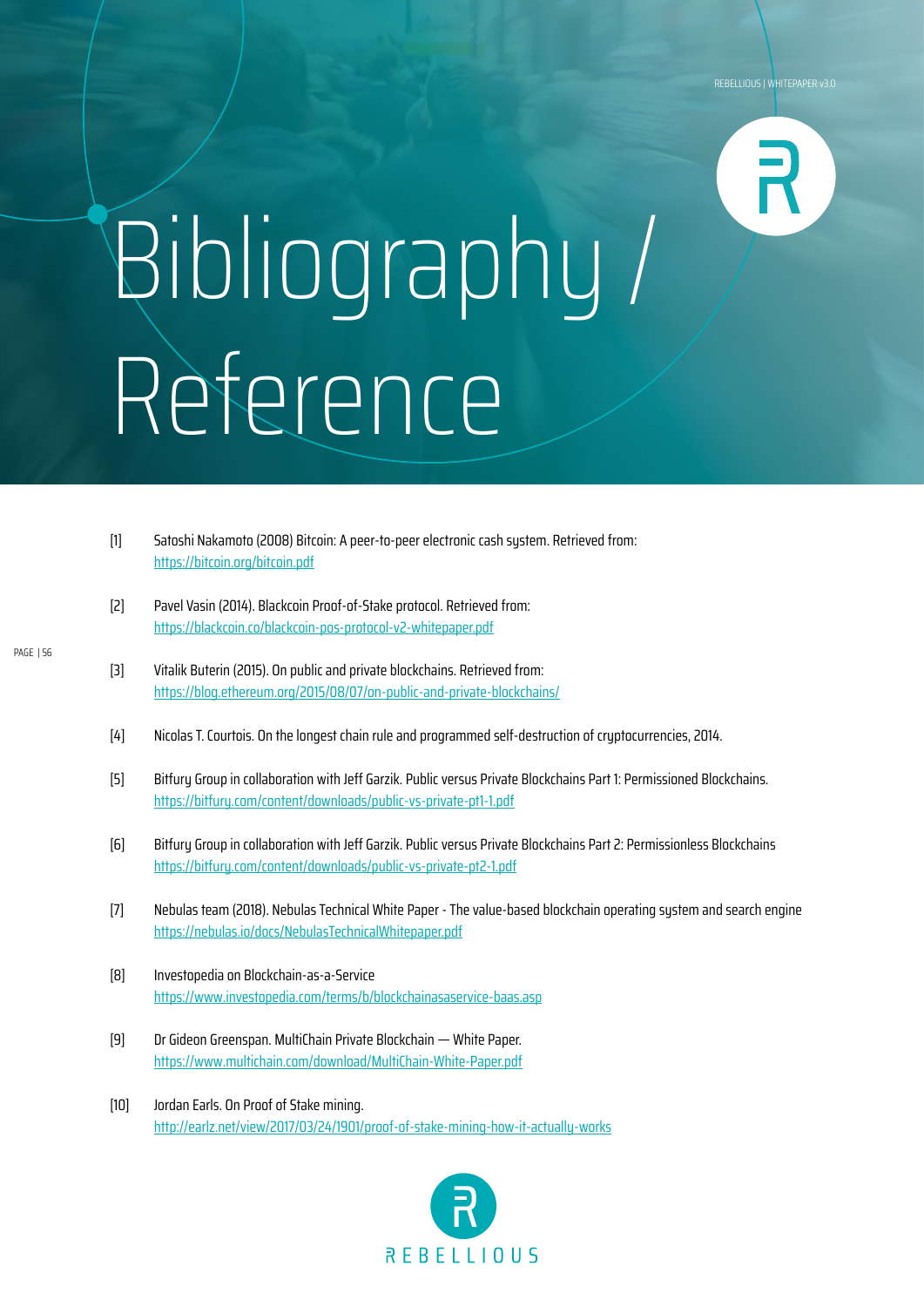## Bibliography / Reference

- [1] Satoshi Nakamoto (2008) Bitcoin: A peer-to-peer electronic cash system. Retrieved from: https://bitcoin.org/bitcoin.pdf
- [2] Pavel Vasin (2014). Blackcoin Proof-of-Stake protocol. Retrieved from: https://blackcoin.co/blackcoin-pos-protocol-v2-whitepaper.pdf
- [3] Vitalik Buterin (2015). On public and private blockchains. Retrieved from: https://blog.ethereum.org/2015/08/07/on-public-and-private-blockchains/
- [4] Nicolas T. Courtois. On the longest chain rule and programmed self-destruction of cryptocurrencies, 2014.
- [5] Bitfury Group in collaboration with Jeff Garzik. Public versus Private Blockchains Part 1: Permissioned Blockchains. https://bitfury.com/content/downloads/public-vs-private-pt1-1.pdf
- [6] Bitfury Group in collaboration with Jeff Garzik. Public versus Private Blockchains Part 2: Permissionless Blockchains https://bitfury.com/content/downloads/public-vs-private-pt2-1.pdf
- [7] Nebulas team (2018). Nebulas Technical White Paper The value-based blockchain operating system and search engine https://nebulas.io/docs/NebulasTechnicalWhitepaper.pdf
- [8] Investopedia on Blockchain-as-a-Service https://www.investopedia.com/terms/b/blockchainasaservice-baas.asp
- [9] Dr Gideon Greenspan. MultiChain Private Blockchain White Paper. https://www.multichain.com/download/MultiChain-White-Paper.pdf
- [10] Jordan Earls. On Proof of Stake mining. http://earlz.net/view/2017/03/24/1901/proof-of-stake-mining-how-it-actually-works

![](_page_55_Picture_12.jpeg)

PAGE | 56